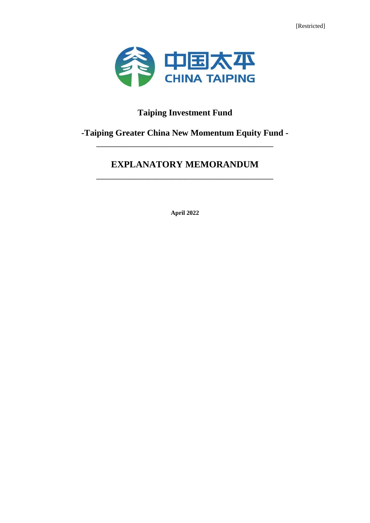[Restricted]



# **Taiping Investment Fund**

# **-Taiping Greater China New Momentum Equity Fund -** \_\_\_\_\_\_\_\_\_\_\_\_\_\_\_\_\_\_\_\_\_\_\_\_\_\_\_\_\_\_\_\_\_\_\_\_\_\_

# **EXPLANATORY MEMORANDUM** \_\_\_\_\_\_\_\_\_\_\_\_\_\_\_\_\_\_\_\_\_\_\_\_\_\_\_\_\_\_\_\_\_\_\_\_\_\_

**April 2022**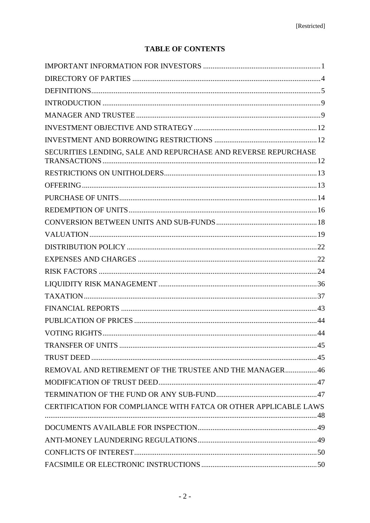# **TABLE OF CONTENTS**

| SECURITIES LENDING, SALE AND REPURCHASE AND REVERSE REPURCHASE   |  |
|------------------------------------------------------------------|--|
|                                                                  |  |
|                                                                  |  |
|                                                                  |  |
|                                                                  |  |
|                                                                  |  |
|                                                                  |  |
|                                                                  |  |
|                                                                  |  |
|                                                                  |  |
|                                                                  |  |
|                                                                  |  |
|                                                                  |  |
|                                                                  |  |
|                                                                  |  |
|                                                                  |  |
|                                                                  |  |
| REMOVAL AND RETIREMENT OF THE TRUSTEE AND THE MANAGER46          |  |
|                                                                  |  |
|                                                                  |  |
| CERTIFICATION FOR COMPLIANCE WITH FATCA OR OTHER APPLICABLE LAWS |  |
|                                                                  |  |
|                                                                  |  |
|                                                                  |  |
|                                                                  |  |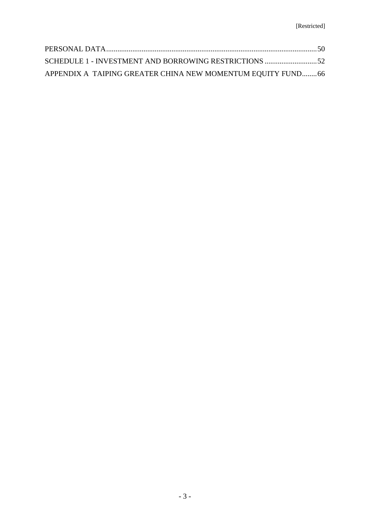| SCHEDULE 1 - INVESTMENT AND BORROWING RESTRICTIONS 52        |  |
|--------------------------------------------------------------|--|
| APPENDIX A TAIPING GREATER CHINA NEW MOMENTUM EQUITY FUND 66 |  |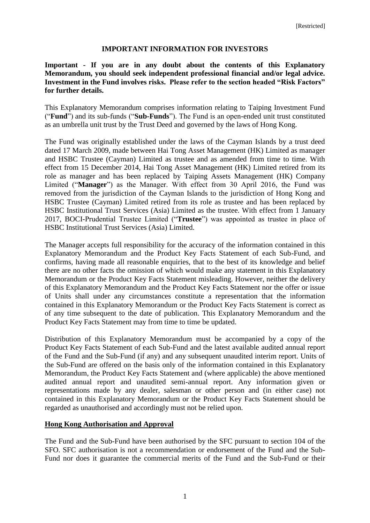## **IMPORTANT INFORMATION FOR INVESTORS**

<span id="page-3-0"></span>**Important - If you are in any doubt about the contents of this Explanatory Memorandum, you should seek independent professional financial and/or legal advice. Investment in the Fund involves risks. Please refer to the section headed "Risk Factors" for further details.**

This Explanatory Memorandum comprises information relating to Taiping Investment Fund ("**Fund**") and its sub-funds ("**Sub-Funds**"). The Fund is an open-ended unit trust constituted as an umbrella unit trust by the Trust Deed and governed by the laws of Hong Kong.

The Fund was originally established under the laws of the Cayman Islands by a trust deed dated 17 March 2009, made between Hai Tong Asset Management (HK) Limited as manager and HSBC Trustee (Cayman) Limited as trustee and as amended from time to time. With effect from 15 December 2014, Hai Tong Asset Management (HK) Limited retired from its role as manager and has been replaced by Taiping Assets Management (HK) Company Limited ("**Manager**") as the Manager. With effect from 30 April 2016, the Fund was removed from the jurisdiction of the Cayman Islands to the jurisdiction of Hong Kong and HSBC Trustee (Cayman) Limited retired from its role as trustee and has been replaced by HSBC Institutional Trust Services (Asia) Limited as the trustee. With effect from 1 January 2017, BOCI-Prudential Trustee Limited ("**Trustee**") was appointed as trustee in place of HSBC Institutional Trust Services (Asia) Limited.

The Manager accepts full responsibility for the accuracy of the information contained in this Explanatory Memorandum and the Product Key Facts Statement of each Sub-Fund, and confirms, having made all reasonable enquiries, that to the best of its knowledge and belief there are no other facts the omission of which would make any statement in this Explanatory Memorandum or the Product Key Facts Statement misleading. However, neither the delivery of this Explanatory Memorandum and the Product Key Facts Statement nor the offer or issue of Units shall under any circumstances constitute a representation that the information contained in this Explanatory Memorandum or the Product Key Facts Statement is correct as of any time subsequent to the date of publication. This Explanatory Memorandum and the Product Key Facts Statement may from time to time be updated.

Distribution of this Explanatory Memorandum must be accompanied by a copy of the Product Key Facts Statement of each Sub-Fund and the latest available audited annual report of the Fund and the Sub-Fund (if any) and any subsequent unaudited interim report. Units of the Sub-Fund are offered on the basis only of the information contained in this Explanatory Memorandum, the Product Key Facts Statement and (where applicable) the above mentioned audited annual report and unaudited semi-annual report. Any information given or representations made by any dealer, salesman or other person and (in either case) not contained in this Explanatory Memorandum or the Product Key Facts Statement should be regarded as unauthorised and accordingly must not be relied upon.

#### **Hong Kong Authorisation and Approval**

The Fund and the Sub-Fund have been authorised by the SFC pursuant to section 104 of the SFO. SFC authorisation is not a recommendation or endorsement of the Fund and the Sub-Fund nor does it guarantee the commercial merits of the Fund and the Sub-Fund or their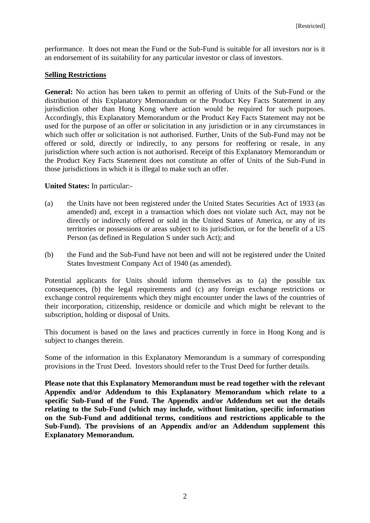performance. It does not mean the Fund or the Sub-Fund is suitable for all investors nor is it an endorsement of its suitability for any particular investor or class of investors.

## **Selling Restrictions**

**General:** No action has been taken to permit an offering of Units of the Sub-Fund or the distribution of this Explanatory Memorandum or the Product Key Facts Statement in any jurisdiction other than Hong Kong where action would be required for such purposes. Accordingly, this Explanatory Memorandum or the Product Key Facts Statement may not be used for the purpose of an offer or solicitation in any jurisdiction or in any circumstances in which such offer or solicitation is not authorised. Further, Units of the Sub-Fund may not be offered or sold, directly or indirectly, to any persons for reoffering or resale, in any jurisdiction where such action is not authorised. Receipt of this Explanatory Memorandum or the Product Key Facts Statement does not constitute an offer of Units of the Sub-Fund in those jurisdictions in which it is illegal to make such an offer.

## **United States:** In particular:-

- (a) the Units have not been registered under the United States Securities Act of 1933 (as amended) and, except in a transaction which does not violate such Act, may not be directly or indirectly offered or sold in the United States of America, or any of its territories or possessions or areas subject to its jurisdiction, or for the benefit of a US Person (as defined in Regulation S under such Act); and
- (b) the Fund and the Sub-Fund have not been and will not be registered under the United States Investment Company Act of 1940 (as amended).

Potential applicants for Units should inform themselves as to (a) the possible tax consequences, (b) the legal requirements and (c) any foreign exchange restrictions or exchange control requirements which they might encounter under the laws of the countries of their incorporation, citizenship, residence or domicile and which might be relevant to the subscription, holding or disposal of Units.

This document is based on the laws and practices currently in force in Hong Kong and is subject to changes therein.

Some of the information in this Explanatory Memorandum is a summary of corresponding provisions in the Trust Deed. Investors should refer to the Trust Deed for further details.

**Please note that this Explanatory Memorandum must be read together with the relevant Appendix and/or Addendum to this Explanatory Memorandum which relate to a specific Sub-Fund of the Fund. The Appendix and/or Addendum set out the details relating to the Sub-Fund (which may include, without limitation, specific information on the Sub-Fund and additional terms, conditions and restrictions applicable to the Sub-Fund). The provisions of an Appendix and/or an Addendum supplement this Explanatory Memorandum.**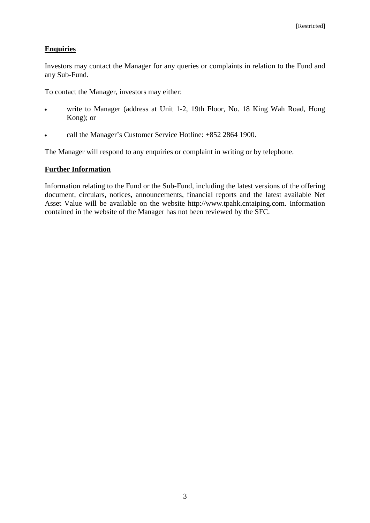# **Enquiries**

Investors may contact the Manager for any queries or complaints in relation to the Fund and any Sub-Fund.

To contact the Manager, investors may either:

- write to Manager (address at Unit 1-2, 19th Floor, No. 18 King Wah Road, Hong Kong); or
- call the Manager's Customer Service Hotline: +852 2864 1900.

The Manager will respond to any enquiries or complaint in writing or by telephone.

# **Further Information**

Information relating to the Fund or the Sub-Fund, including the latest versions of the offering document, circulars, notices, announcements, financial reports and the latest available Net Asset Value will be available on the website http://www.tpahk.cntaiping.com. Information contained in the website of the Manager has not been reviewed by the SFC.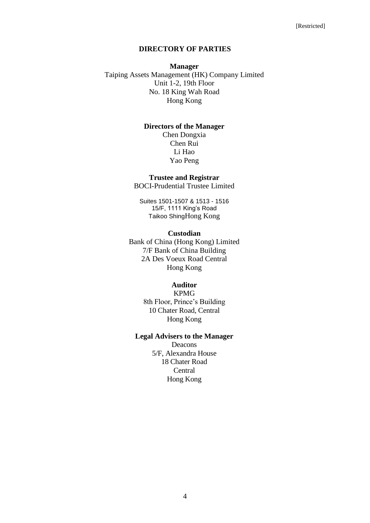#### **DIRECTORY OF PARTIES**

## <span id="page-6-0"></span>**Manager** Taiping Assets Management (HK) Company Limited Unit 1-2, 19th Floor No. 18 King Wah Road Hong Kong

## **Directors of the Manager**

Chen Dongxia Chen Rui Li Hao Yao Peng

#### **Trustee and Registrar**

BOCI-Prudential Trustee Limited

Suites 1501-1507 & 1513 - 1516 15/F, 1111 King's Road Taikoo ShingHong Kong

#### **Custodian**

Bank of China (Hong Kong) Limited 7/F Bank of China Building 2A Des Voeux Road Central Hong Kong

## **Auditor**

KPMG 8th Floor, Prince's Building 10 Chater Road, Central Hong Kong

#### **Legal Advisers to the Manager**

Deacons 5/F, Alexandra House 18 Chater Road **Central** Hong Kong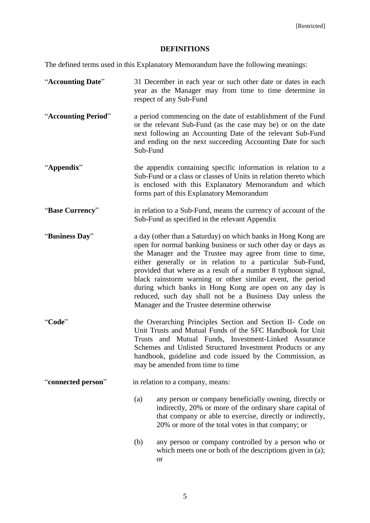# **DEFINITIONS**

<span id="page-7-0"></span>The defined terms used in this Explanatory Memorandum have the following meanings:

| "Accounting Date"   | 31 December in each year or such other date or dates in each<br>year as the Manager may from time to time determine in<br>respect of any Sub-Fund                                                                                                                                                                                                                                                                                                                                                                                                           |
|---------------------|-------------------------------------------------------------------------------------------------------------------------------------------------------------------------------------------------------------------------------------------------------------------------------------------------------------------------------------------------------------------------------------------------------------------------------------------------------------------------------------------------------------------------------------------------------------|
| "Accounting Period" | a period commencing on the date of establishment of the Fund<br>or the relevant Sub-Fund (as the case may be) or on the date<br>next following an Accounting Date of the relevant Sub-Fund<br>and ending on the next succeeding Accounting Date for such<br>Sub-Fund                                                                                                                                                                                                                                                                                        |
| "Appendix"          | the appendix containing specific information in relation to a<br>Sub-Fund or a class or classes of Units in relation thereto which<br>is enclosed with this Explanatory Memorandum and which<br>forms part of this Explanatory Memorandum                                                                                                                                                                                                                                                                                                                   |
| "Base Currency"     | in relation to a Sub-Fund, means the currency of account of the<br>Sub-Fund as specified in the relevant Appendix                                                                                                                                                                                                                                                                                                                                                                                                                                           |
| "Business Day"      | a day (other than a Saturday) on which banks in Hong Kong are<br>open for normal banking business or such other day or days as<br>the Manager and the Trustee may agree from time to time,<br>either generally or in relation to a particular Sub-Fund,<br>provided that where as a result of a number 8 typhoon signal,<br>black rainstorm warning or other similar event, the period<br>during which banks in Hong Kong are open on any day is<br>reduced, such day shall not be a Business Day unless the<br>Manager and the Trustee determine otherwise |
| "Code"              | the Overarching Principles Section and Section II- Code on<br>Unit Trusts and Mutual Funds of the SFC Handbook for Unit<br>and Mutual Funds, Investment-Linked Assurance<br>Trusts<br>Schemes and Unlisted Structured Investment Products or any<br>handbook, guideline and code issued by the Commission, as<br>may be amended from time to time                                                                                                                                                                                                           |
| "connected person"  | in relation to a company, means:                                                                                                                                                                                                                                                                                                                                                                                                                                                                                                                            |
|                     | (a)<br>any person or company beneficially owning, directly or<br>indirectly, 20% or more of the ordinary share capital of<br>that company or able to exercise, directly or indirectly,<br>20% or more of the total votes in that company; or                                                                                                                                                                                                                                                                                                                |
|                     | (b)<br>any person or company controlled by a person who or<br>which meets one or both of the descriptions given in (a);<br><b>or</b>                                                                                                                                                                                                                                                                                                                                                                                                                        |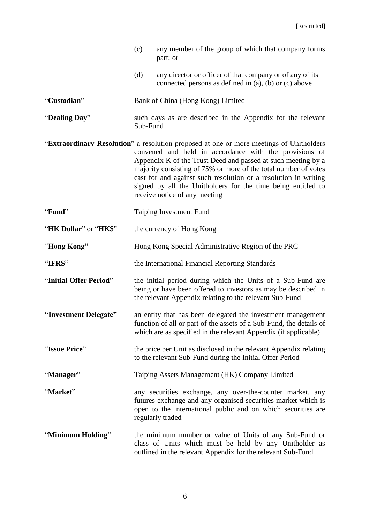|                        | (c)<br>any member of the group of which that company forms<br>part; or                                                                                                                                                                                                                                                                                                                                                                                   |
|------------------------|----------------------------------------------------------------------------------------------------------------------------------------------------------------------------------------------------------------------------------------------------------------------------------------------------------------------------------------------------------------------------------------------------------------------------------------------------------|
|                        | (d)<br>any director or officer of that company or of any of its<br>connected persons as defined in (a), (b) or (c) above                                                                                                                                                                                                                                                                                                                                 |
| "Custodian"            | Bank of China (Hong Kong) Limited                                                                                                                                                                                                                                                                                                                                                                                                                        |
| "Dealing Day"          | such days as are described in the Appendix for the relevant<br>Sub-Fund                                                                                                                                                                                                                                                                                                                                                                                  |
|                        | "Extraordinary Resolution" a resolution proposed at one or more meetings of Unitholders<br>convened and held in accordance with the provisions of<br>Appendix K of the Trust Deed and passed at such meeting by a<br>majority consisting of 75% or more of the total number of votes<br>cast for and against such resolution or a resolution in writing<br>signed by all the Unitholders for the time being entitled to<br>receive notice of any meeting |
| "Fund"                 | Taiping Investment Fund                                                                                                                                                                                                                                                                                                                                                                                                                                  |
| "HK Dollar" or "HK\$"  | the currency of Hong Kong                                                                                                                                                                                                                                                                                                                                                                                                                                |
| "Hong Kong"            | Hong Kong Special Administrative Region of the PRC                                                                                                                                                                                                                                                                                                                                                                                                       |
| "IFRS"                 | the International Financial Reporting Standards                                                                                                                                                                                                                                                                                                                                                                                                          |
| "Initial Offer Period" | the initial period during which the Units of a Sub-Fund are<br>being or have been offered to investors as may be described in<br>the relevant Appendix relating to the relevant Sub-Fund                                                                                                                                                                                                                                                                 |
| "Investment Delegate"  | an entity that has been delegated the investment management<br>function of all or part of the assets of a Sub-Fund, the details of<br>which are as specified in the relevant Appendix (if applicable)                                                                                                                                                                                                                                                    |
| "Issue Price"          | the price per Unit as disclosed in the relevant Appendix relating<br>to the relevant Sub-Fund during the Initial Offer Period                                                                                                                                                                                                                                                                                                                            |
| "Manager"              | Taiping Assets Management (HK) Company Limited                                                                                                                                                                                                                                                                                                                                                                                                           |
| "Market"               | any securities exchange, any over-the-counter market, any<br>futures exchange and any organised securities market which is<br>open to the international public and on which securities are<br>regularly traded                                                                                                                                                                                                                                           |
| "Minimum Holding"      | the minimum number or value of Units of any Sub-Fund or<br>class of Units which must be held by any Unitholder as<br>outlined in the relevant Appendix for the relevant Sub-Fund                                                                                                                                                                                                                                                                         |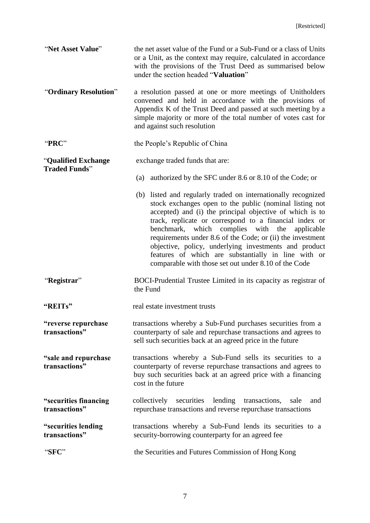| "Net Asset Value"                            | the net asset value of the Fund or a Sub-Fund or a class of Units<br>or a Unit, as the context may require, calculated in accordance<br>with the provisions of the Trust Deed as summarised below<br>under the section headed "Valuation"                                                                                                                                                                                                                                                                                                      |
|----------------------------------------------|------------------------------------------------------------------------------------------------------------------------------------------------------------------------------------------------------------------------------------------------------------------------------------------------------------------------------------------------------------------------------------------------------------------------------------------------------------------------------------------------------------------------------------------------|
| "Ordinary Resolution"                        | a resolution passed at one or more meetings of Unitholders<br>convened and held in accordance with the provisions of<br>Appendix K of the Trust Deed and passed at such meeting by a<br>simple majority or more of the total number of votes cast for<br>and against such resolution                                                                                                                                                                                                                                                           |
| "PRC"                                        | the People's Republic of China                                                                                                                                                                                                                                                                                                                                                                                                                                                                                                                 |
| "Qualified Exchange<br><b>Traded Funds</b> " | exchange traded funds that are:                                                                                                                                                                                                                                                                                                                                                                                                                                                                                                                |
|                                              | authorized by the SFC under 8.6 or 8.10 of the Code; or<br>(a)                                                                                                                                                                                                                                                                                                                                                                                                                                                                                 |
|                                              | (b) listed and regularly traded on internationally recognized<br>stock exchanges open to the public (nominal listing not<br>accepted) and (i) the principal objective of which is to<br>track, replicate or correspond to a financial index or<br>complies with the<br>benchmark,<br>which<br>applicable<br>requirements under 8.6 of the Code; or (ii) the investment<br>objective, policy, underlying investments and product<br>features of which are substantially in line with or<br>comparable with those set out under 8.10 of the Code |
| "Registrar"                                  | BOCI-Prudential Trustee Limited in its capacity as registrar of<br>the Fund                                                                                                                                                                                                                                                                                                                                                                                                                                                                    |
| "REITs"                                      | real estate investment trusts                                                                                                                                                                                                                                                                                                                                                                                                                                                                                                                  |
| "reverse repurchase<br>transactions"         | transactions whereby a Sub-Fund purchases securities from a<br>counterparty of sale and repurchase transactions and agrees to<br>sell such securities back at an agreed price in the future                                                                                                                                                                                                                                                                                                                                                    |
| "sale and repurchase"<br>transactions"       | transactions whereby a Sub-Fund sells its securities to a<br>counterparty of reverse repurchase transactions and agrees to<br>buy such securities back at an agreed price with a financing<br>cost in the future                                                                                                                                                                                                                                                                                                                               |
| "securities financing<br>transactions"       | collectively securities<br>lending transactions,<br>sale<br>and<br>repurchase transactions and reverse repurchase transactions                                                                                                                                                                                                                                                                                                                                                                                                                 |
| "securities lending<br>transactions"         | transactions whereby a Sub-Fund lends its securities to a<br>security-borrowing counterparty for an agreed fee                                                                                                                                                                                                                                                                                                                                                                                                                                 |
| "SFC"                                        | the Securities and Futures Commission of Hong Kong                                                                                                                                                                                                                                                                                                                                                                                                                                                                                             |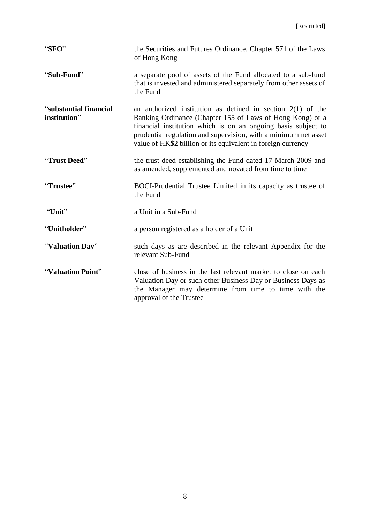| "SFO"                                  | the Securities and Futures Ordinance, Chapter 571 of the Laws<br>of Hong Kong                                                                                                                                                                                                                                                  |
|----------------------------------------|--------------------------------------------------------------------------------------------------------------------------------------------------------------------------------------------------------------------------------------------------------------------------------------------------------------------------------|
| "Sub-Fund"                             | a separate pool of assets of the Fund allocated to a sub-fund<br>that is invested and administered separately from other assets of<br>the Fund                                                                                                                                                                                 |
| "substantial financial<br>institution" | an authorized institution as defined in section $2(1)$ of the<br>Banking Ordinance (Chapter 155 of Laws of Hong Kong) or a<br>financial institution which is on an ongoing basis subject to<br>prudential regulation and supervision, with a minimum net asset<br>value of HK\$2 billion or its equivalent in foreign currency |
| "Trust Deed"                           | the trust deed establishing the Fund dated 17 March 2009 and<br>as amended, supplemented and novated from time to time                                                                                                                                                                                                         |
| "Trustee"                              | BOCI-Prudential Trustee Limited in its capacity as trustee of<br>the Fund                                                                                                                                                                                                                                                      |
| "Unit"                                 | a Unit in a Sub-Fund                                                                                                                                                                                                                                                                                                           |
| "Unitholder"                           | a person registered as a holder of a Unit                                                                                                                                                                                                                                                                                      |
| "Valuation Day"                        | such days as are described in the relevant Appendix for the<br>relevant Sub-Fund                                                                                                                                                                                                                                               |
| "Valuation Point"                      | close of business in the last relevant market to close on each<br>Valuation Day or such other Business Day or Business Days as<br>the Manager may determine from time to time with the<br>approval of the Trustee                                                                                                              |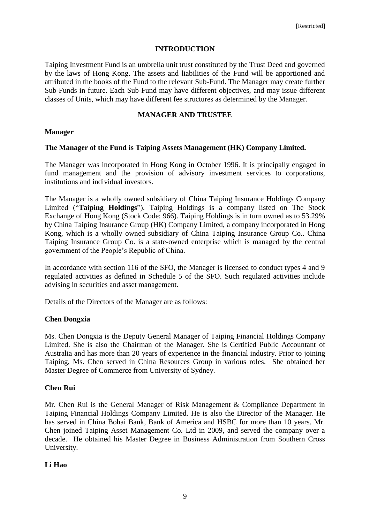#### **INTRODUCTION**

<span id="page-11-0"></span>Taiping Investment Fund is an umbrella unit trust constituted by the Trust Deed and governed by the laws of Hong Kong. The assets and liabilities of the Fund will be apportioned and attributed in the books of the Fund to the relevant Sub-Fund. The Manager may create further Sub-Funds in future. Each Sub-Fund may have different objectives, and may issue different classes of Units, which may have different fee structures as determined by the Manager.

#### **MANAGER AND TRUSTEE**

#### <span id="page-11-1"></span>**Manager**

#### **The Manager of the Fund is Taiping Assets Management (HK) Company Limited.**

The Manager was incorporated in Hong Kong in October 1996. It is principally engaged in fund management and the provision of advisory investment services to corporations, institutions and individual investors.

The Manager is a wholly owned subsidiary of China Taiping Insurance Holdings Company Limited ("**Taiping Holdings**"). Taiping Holdings is a company listed on The Stock Exchange of Hong Kong (Stock Code: 966). Taiping Holdings is in turn owned as to 53.29% by China Taiping Insurance Group (HK) Company Limited, a company incorporated in Hong Kong, which is a wholly owned subsidiary of China Taiping Insurance Group Co.. China Taiping Insurance Group Co. is a state-owned enterprise which is managed by the central government of the People's Republic of China.

In accordance with section 116 of the SFO, the Manager is licensed to conduct types 4 and 9 regulated activities as defined in Schedule 5 of the SFO. Such regulated activities include advising in securities and asset management.

Details of the Directors of the Manager are as follows:

#### **Chen Dongxia**

Ms. Chen Dongxia is the Deputy General Manager of Taiping Financial Holdings Company Limited. She is also the Chairman of the Manager. She is Certified Public Accountant of Australia and has more than 20 years of experience in the financial industry. Prior to joining Taiping, Ms. Chen served in China Resources Group in various roles. She obtained her Master Degree of Commerce from University of Sydney.

#### **Chen Rui**

Mr. Chen Rui is the General Manager of Risk Management & Compliance Department in Taiping Financial Holdings Company Limited. He is also the Director of the Manager. He has served in China Bohai Bank, Bank of America and HSBC for more than 10 years. Mr. Chen joined Taiping Asset Management Co. Ltd in 2009, and served the company over a decade. He obtained his Master Degree in Business Administration from Southern Cross University.

#### **Li Hao**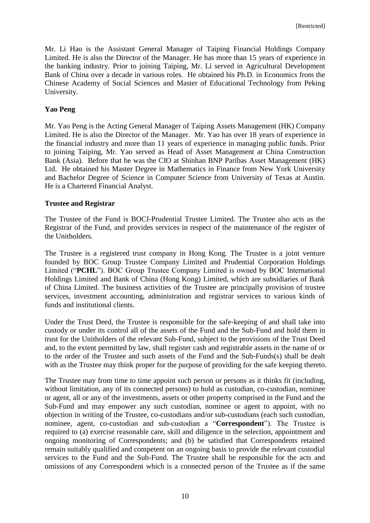Mr. Li Hao is the Assistant General Manager of Taiping Financial Holdings Company Limited. He is also the Director of the Manager. He has more than 15 years of experience in the banking industry. Prior to joining Taiping, Mr. Li served in Agricultural Development Bank of China over a decade in various roles. He obtained his Ph.D. in Economics from the Chinese Academy of Social Sciences and Master of Educational Technology from Peking University.

## **Yao Peng**

Mr. Yao Peng is the Acting General Manager of Taiping Assets Management (HK) Company Limited. He is also the Director of the Manager. Mr. Yao has over 18 years of experience in the financial industry and more than 11 years of experience in managing public funds. Prior to joining Taiping, Mr. Yao served as Head of Asset Management at China Construction Bank (Asia). Before that he was the CIO at Shinhan BNP Paribas Asset Management (HK) Ltd. He obtained his Master Degree in Mathematics in Finance from New York University and Bachelor Degree of Science in Computer Science from University of Texas at Austin. He is a Chartered Financial Analyst.

#### **Trustee and Registrar**

The Trustee of the Fund is BOCI-Prudential Trustee Limited. The Trustee also acts as the Registrar of the Fund, and provides services in respect of the maintenance of the register of the Unitholders.

The Trustee is a registered trust company in Hong Kong. The Trustee is a joint venture founded by BOC Group Trustee Company Limited and Prudential Corporation Holdings Limited ("**PCHL**"). BOC Group Trustee Company Limited is owned by BOC International Holdings Limited and Bank of China (Hong Kong) Limited, which are subsidiaries of Bank of China Limited. The business activities of the Trustee are principally provision of trustee services, investment accounting, administration and registrar services to various kinds of funds and institutional clients.

Under the Trust Deed, the Trustee is responsible for the safe-keeping of and shall take into custody or under its control all of the assets of the Fund and the Sub-Fund and hold them in trust for the Unitholders of the relevant Sub-Fund, subject to the provisions of the Trust Deed and, to the extent permitted by law, shall register cash and registrable assets in the name of or to the order of the Trustee and such assets of the Fund and the Sub-Funds(s) shall be dealt with as the Trustee may think proper for the purpose of providing for the safe keeping thereto.

The Trustee may from time to time appoint such person or persons as it thinks fit (including, without limitation, any of its connected persons) to hold as custodian, co-custodian, nominee or agent, all or any of the investments, assets or other property comprised in the Fund and the Sub-Fund and may empower any such custodian, nominee or agent to appoint, with no objection in writing of the Trustee, co-custodians and/or sub-custodians (each such custodian, nominee, agent, co-custodian and sub-custodian a "**Correspondent**"). The Trustee is required to (a) exercise reasonable care, skill and diligence in the selection, appointment and ongoing monitoring of Correspondents; and (b) be satisfied that Correspondents retained remain suitably qualified and competent on an ongoing basis to provide the relevant custodial services to the Fund and the Sub-Fund. The Trustee shall be responsible for the acts and omissions of any Correspondent which is a connected person of the Trustee as if the same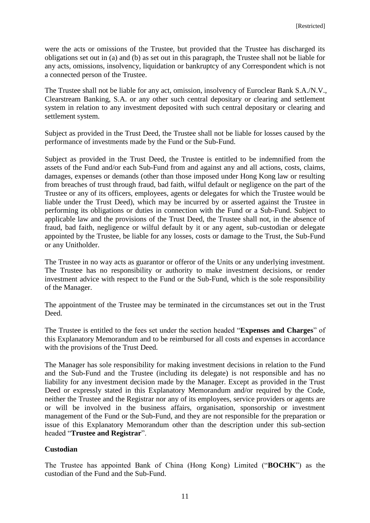were the acts or omissions of the Trustee, but provided that the Trustee has discharged its obligations set out in (a) and (b) as set out in this paragraph, the Trustee shall not be liable for any acts, omissions, insolvency, liquidation or bankruptcy of any Correspondent which is not a connected person of the Trustee.

The Trustee shall not be liable for any act, omission, insolvency of Euroclear Bank S.A./N.V., Clearstream Banking, S.A. or any other such central depositary or clearing and settlement system in relation to any investment deposited with such central depositary or clearing and settlement system.

Subject as provided in the Trust Deed, the Trustee shall not be liable for losses caused by the performance of investments made by the Fund or the Sub-Fund.

Subject as provided in the Trust Deed, the Trustee is entitled to be indemnified from the assets of the Fund and/or each Sub-Fund from and against any and all actions, costs, claims, damages, expenses or demands (other than those imposed under Hong Kong law or resulting from breaches of trust through fraud, bad faith, wilful default or negligence on the part of the Trustee or any of its officers, employees, agents or delegates for which the Trustee would be liable under the Trust Deed), which may be incurred by or asserted against the Trustee in performing its obligations or duties in connection with the Fund or a Sub-Fund. Subject to applicable law and the provisions of the Trust Deed, the Trustee shall not, in the absence of fraud, bad faith, negligence or wilful default by it or any agent, sub-custodian or delegate appointed by the Trustee, be liable for any losses, costs or damage to the Trust, the Sub-Fund or any Unitholder.

The Trustee in no way acts as guarantor or offeror of the Units or any underlying investment. The Trustee has no responsibility or authority to make investment decisions, or render investment advice with respect to the Fund or the Sub-Fund, which is the sole responsibility of the Manager.

The appointment of the Trustee may be terminated in the circumstances set out in the Trust Deed.

The Trustee is entitled to the fees set under the section headed "**Expenses and Charges**" of this Explanatory Memorandum and to be reimbursed for all costs and expenses in accordance with the provisions of the Trust Deed.

The Manager has sole responsibility for making investment decisions in relation to the Fund and the Sub-Fund and the Trustee (including its delegate) is not responsible and has no liability for any investment decision made by the Manager. Except as provided in the Trust Deed or expressly stated in this Explanatory Memorandum and/or required by the Code, neither the Trustee and the Registrar nor any of its employees, service providers or agents are or will be involved in the business affairs, organisation, sponsorship or investment management of the Fund or the Sub-Fund, and they are not responsible for the preparation or issue of this Explanatory Memorandum other than the description under this sub-section headed "**Trustee and Registrar**".

# **Custodian**

The Trustee has appointed Bank of China (Hong Kong) Limited ("**BOCHK**") as the custodian of the Fund and the Sub-Fund.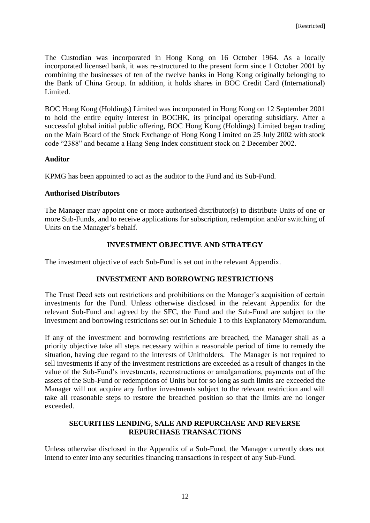The Custodian was incorporated in Hong Kong on 16 October 1964. As a locally incorporated licensed bank, it was re-structured to the present form since 1 October 2001 by combining the businesses of ten of the twelve banks in Hong Kong originally belonging to the Bank of China Group. In addition, it holds shares in BOC Credit Card (International) Limited.

BOC Hong Kong (Holdings) Limited was incorporated in Hong Kong on 12 September 2001 to hold the entire equity interest in BOCHK, its principal operating subsidiary. After a successful global initial public offering, BOC Hong Kong (Holdings) Limited began trading on the Main Board of the Stock Exchange of Hong Kong Limited on 25 July 2002 with stock code "2388" and became a Hang Seng Index constituent stock on 2 December 2002.

#### **Auditor**

KPMG has been appointed to act as the auditor to the Fund and its Sub-Fund.

#### **Authorised Distributors**

The Manager may appoint one or more authorised distributor(s) to distribute Units of one or more Sub-Funds, and to receive applications for subscription, redemption and/or switching of Units on the Manager's behalf.

## **INVESTMENT OBJECTIVE AND STRATEGY**

<span id="page-14-0"></span>The investment objective of each Sub-Fund is set out in the relevant Appendix.

#### **INVESTMENT AND BORROWING RESTRICTIONS**

<span id="page-14-1"></span>The Trust Deed sets out restrictions and prohibitions on the Manager's acquisition of certain investments for the Fund. Unless otherwise disclosed in the relevant Appendix for the relevant Sub-Fund and agreed by the SFC, the Fund and the Sub-Fund are subject to the investment and borrowing restrictions set out in Schedule 1 to this Explanatory Memorandum.

If any of the investment and borrowing restrictions are breached, the Manager shall as a priority objective take all steps necessary within a reasonable period of time to remedy the situation, having due regard to the interests of Unitholders. The Manager is not required to sell investments if any of the investment restrictions are exceeded as a result of changes in the value of the Sub-Fund's investments, reconstructions or amalgamations, payments out of the assets of the Sub-Fund or redemptions of Units but for so long as such limits are exceeded the Manager will not acquire any further investments subject to the relevant restriction and will take all reasonable steps to restore the breached position so that the limits are no longer exceeded.

## <span id="page-14-2"></span>**SECURITIES LENDING, SALE AND REPURCHASE AND REVERSE REPURCHASE TRANSACTIONS**

Unless otherwise disclosed in the Appendix of a Sub-Fund, the Manager currently does not intend to enter into any securities financing transactions in respect of any Sub-Fund.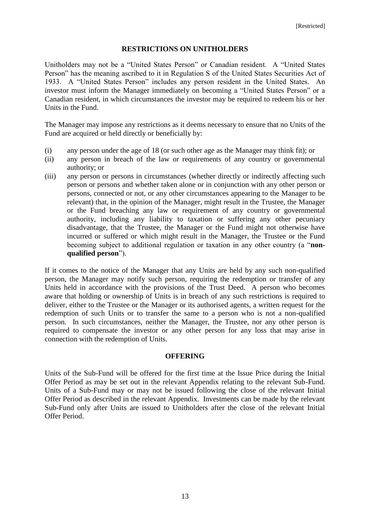#### **RESTRICTIONS ON UNITHOLDERS**

<span id="page-15-0"></span>Unitholders may not be a "United States Person" or Canadian resident. A "United States Person" has the meaning ascribed to it in Regulation S of the United States Securities Act of 1933. A "United States Person" includes any person resident in the United States. An investor must inform the Manager immediately on becoming a "United States Person" or a Canadian resident, in which circumstances the investor may be required to redeem his or her Units in the Fund.

The Manager may impose any restrictions as it deems necessary to ensure that no Units of the Fund are acquired or held directly or beneficially by:

- (i) any person under the age of 18 (or such other age as the Manager may think fit); or
- (ii) any person in breach of the law or requirements of any country or governmental authority; or
- (iii) any person or persons in circumstances (whether directly or indirectly affecting such person or persons and whether taken alone or in conjunction with any other person or persons, connected or not, or any other circumstances appearing to the Manager to be relevant) that, in the opinion of the Manager, might result in the Trustee, the Manager or the Fund breaching any law or requirement of any country or governmental authority, including any liability to taxation or suffering any other pecuniary disadvantage, that the Trustee, the Manager or the Fund might not otherwise have incurred or suffered or which might result in the Manager, the Trustee or the Fund becoming subject to additional regulation or taxation in any other country (a "**nonqualified person**").

If it comes to the notice of the Manager that any Units are held by any such non-qualified person, the Manager may notify such person, requiring the redemption or transfer of any Units held in accordance with the provisions of the Trust Deed. A person who becomes aware that holding or ownership of Units is in breach of any such restrictions is required to deliver, either to the Trustee or the Manager or its authorised agents, a written request for the redemption of such Units or to transfer the same to a person who is not a non-qualified person. In such circumstances, neither the Manager, the Trustee, nor any other person is required to compensate the investor or any other person for any loss that may arise in connection with the redemption of Units.

#### **OFFERING**

<span id="page-15-1"></span>Units of the Sub-Fund will be offered for the first time at the Issue Price during the Initial Offer Period as may be set out in the relevant Appendix relating to the relevant Sub-Fund. Units of a Sub-Fund may or may not be issued following the close of the relevant Initial Offer Period as described in the relevant Appendix. Investments can be made by the relevant Sub-Fund only after Units are issued to Unitholders after the close of the relevant Initial Offer Period.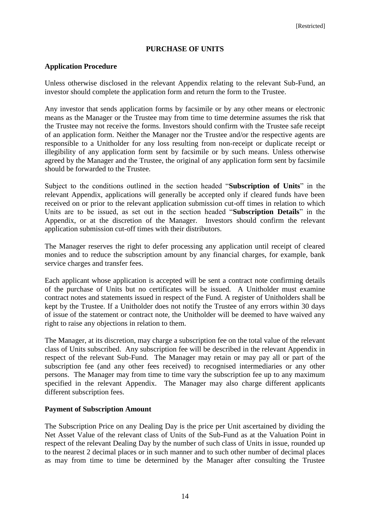## **PURCHASE OF UNITS**

#### <span id="page-16-0"></span>**Application Procedure**

Unless otherwise disclosed in the relevant Appendix relating to the relevant Sub-Fund, an investor should complete the application form and return the form to the Trustee.

Any investor that sends application forms by facsimile or by any other means or electronic means as the Manager or the Trustee may from time to time determine assumes the risk that the Trustee may not receive the forms. Investors should confirm with the Trustee safe receipt of an application form. Neither the Manager nor the Trustee and/or the respective agents are responsible to a Unitholder for any loss resulting from non-receipt or duplicate receipt or illegibility of any application form sent by facsimile or by such means. Unless otherwise agreed by the Manager and the Trustee, the original of any application form sent by facsimile should be forwarded to the Trustee.

Subject to the conditions outlined in the section headed "**Subscription of Units**" in the relevant Appendix, applications will generally be accepted only if cleared funds have been received on or prior to the relevant application submission cut-off times in relation to which Units are to be issued, as set out in the section headed "**Subscription Details**" in the Appendix, or at the discretion of the Manager. Investors should confirm the relevant application submission cut-off times with their distributors.

The Manager reserves the right to defer processing any application until receipt of cleared monies and to reduce the subscription amount by any financial charges, for example, bank service charges and transfer fees.

Each applicant whose application is accepted will be sent a contract note confirming details of the purchase of Units but no certificates will be issued. A Unitholder must examine contract notes and statements issued in respect of the Fund. A register of Unitholders shall be kept by the Trustee. If a Unitholder does not notify the Trustee of any errors within 30 days of issue of the statement or contract note, the Unitholder will be deemed to have waived any right to raise any objections in relation to them.

The Manager, at its discretion, may charge a subscription fee on the total value of the relevant class of Units subscribed. Any subscription fee will be described in the relevant Appendix in respect of the relevant Sub-Fund. The Manager may retain or may pay all or part of the subscription fee (and any other fees received) to recognised intermediaries or any other persons. The Manager may from time to time vary the subscription fee up to any maximum specified in the relevant Appendix. The Manager may also charge different applicants different subscription fees.

#### **Payment of Subscription Amount**

The Subscription Price on any Dealing Day is the price per Unit ascertained by dividing the Net Asset Value of the relevant class of Units of the Sub-Fund as at the Valuation Point in respect of the relevant Dealing Day by the number of such class of Units in issue, rounded up to the nearest 2 decimal places or in such manner and to such other number of decimal places as may from time to time be determined by the Manager after consulting the Trustee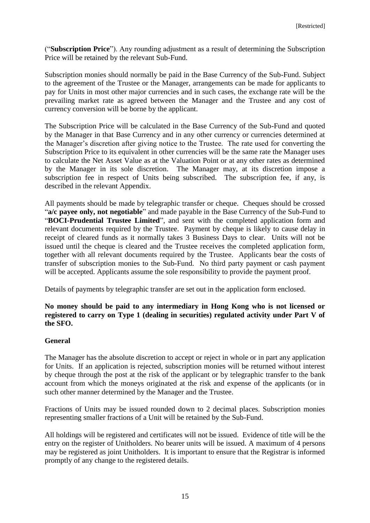("**Subscription Price**"). Any rounding adjustment as a result of determining the Subscription Price will be retained by the relevant Sub-Fund.

Subscription monies should normally be paid in the Base Currency of the Sub-Fund. Subject to the agreement of the Trustee or the Manager, arrangements can be made for applicants to pay for Units in most other major currencies and in such cases, the exchange rate will be the prevailing market rate as agreed between the Manager and the Trustee and any cost of currency conversion will be borne by the applicant.

The Subscription Price will be calculated in the Base Currency of the Sub-Fund and quoted by the Manager in that Base Currency and in any other currency or currencies determined at the Manager's discretion after giving notice to the Trustee. The rate used for converting the Subscription Price to its equivalent in other currencies will be the same rate the Manager uses to calculate the Net Asset Value as at the Valuation Point or at any other rates as determined by the Manager in its sole discretion. The Manager may, at its discretion impose a subscription fee in respect of Units being subscribed. The subscription fee, if any, is described in the relevant Appendix.

All payments should be made by telegraphic transfer or cheque. Cheques should be crossed "**a/c payee only, not negotiable**" and made payable in the Base Currency of the Sub-Fund to "**BOCI-Prudential Trustee Limited**", and sent with the completed application form and relevant documents required by the Trustee. Payment by cheque is likely to cause delay in receipt of cleared funds as it normally takes 3 Business Days to clear. Units will not be issued until the cheque is cleared and the Trustee receives the completed application form, together with all relevant documents required by the Trustee. Applicants bear the costs of transfer of subscription monies to the Sub-Fund. No third party payment or cash payment will be accepted. Applicants assume the sole responsibility to provide the payment proof.

Details of payments by telegraphic transfer are set out in the application form enclosed.

# **No money should be paid to any intermediary in Hong Kong who is not licensed or registered to carry on Type 1 (dealing in securities) regulated activity under Part V of the SFO.**

# **General**

The Manager has the absolute discretion to accept or reject in whole or in part any application for Units. If an application is rejected, subscription monies will be returned without interest by cheque through the post at the risk of the applicant or by telegraphic transfer to the bank account from which the moneys originated at the risk and expense of the applicants (or in such other manner determined by the Manager and the Trustee.

Fractions of Units may be issued rounded down to 2 decimal places. Subscription monies representing smaller fractions of a Unit will be retained by the Sub-Fund.

All holdings will be registered and certificates will not be issued. Evidence of title will be the entry on the register of Unitholders. No bearer units will be issued. A maximum of 4 persons may be registered as joint Unitholders. It is important to ensure that the Registrar is informed promptly of any change to the registered details.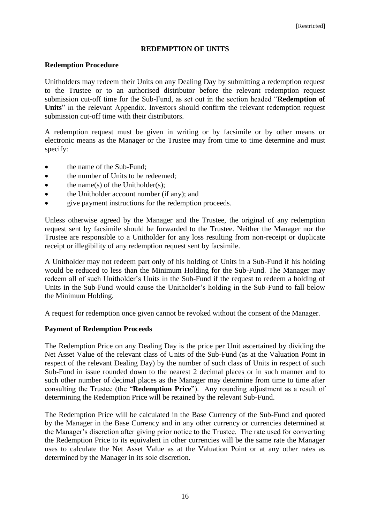#### **REDEMPTION OF UNITS**

#### <span id="page-18-0"></span>**Redemption Procedure**

Unitholders may redeem their Units on any Dealing Day by submitting a redemption request to the Trustee or to an authorised distributor before the relevant redemption request submission cut-off time for the Sub-Fund, as set out in the section headed "**Redemption of**  Units<sup>"</sup> in the relevant Appendix. Investors should confirm the relevant redemption request submission cut-off time with their distributors.

A redemption request must be given in writing or by facsimile or by other means or electronic means as the Manager or the Trustee may from time to time determine and must specify:

- the name of the Sub-Fund:
- the number of Units to be redeemed;
- $\bullet$  the name(s) of the Unitholder(s);
- the Unitholder account number (if any); and
- give payment instructions for the redemption proceeds.

Unless otherwise agreed by the Manager and the Trustee, the original of any redemption request sent by facsimile should be forwarded to the Trustee. Neither the Manager nor the Trustee are responsible to a Unitholder for any loss resulting from non-receipt or duplicate receipt or illegibility of any redemption request sent by facsimile.

A Unitholder may not redeem part only of his holding of Units in a Sub-Fund if his holding would be reduced to less than the Minimum Holding for the Sub-Fund. The Manager may redeem all of such Unitholder's Units in the Sub-Fund if the request to redeem a holding of Units in the Sub-Fund would cause the Unitholder's holding in the Sub-Fund to fall below the Minimum Holding.

A request for redemption once given cannot be revoked without the consent of the Manager.

#### **Payment of Redemption Proceeds**

The Redemption Price on any Dealing Day is the price per Unit ascertained by dividing the Net Asset Value of the relevant class of Units of the Sub-Fund (as at the Valuation Point in respect of the relevant Dealing Day) by the number of such class of Units in respect of such Sub-Fund in issue rounded down to the nearest 2 decimal places or in such manner and to such other number of decimal places as the Manager may determine from time to time after consulting the Trustee (the "**Redemption Price**"). Any rounding adjustment as a result of determining the Redemption Price will be retained by the relevant Sub-Fund.

The Redemption Price will be calculated in the Base Currency of the Sub-Fund and quoted by the Manager in the Base Currency and in any other currency or currencies determined at the Manager's discretion after giving prior notice to the Trustee. The rate used for converting the Redemption Price to its equivalent in other currencies will be the same rate the Manager uses to calculate the Net Asset Value as at the Valuation Point or at any other rates as determined by the Manager in its sole discretion.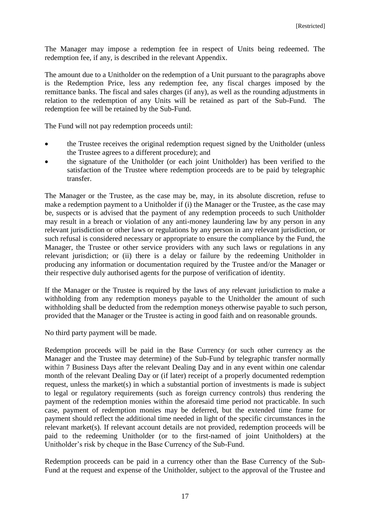The Manager may impose a redemption fee in respect of Units being redeemed. The redemption fee, if any, is described in the relevant Appendix.

The amount due to a Unitholder on the redemption of a Unit pursuant to the paragraphs above is the Redemption Price, less any redemption fee, any fiscal charges imposed by the remittance banks. The fiscal and sales charges (if any), as well as the rounding adjustments in relation to the redemption of any Units will be retained as part of the Sub-Fund. The redemption fee will be retained by the Sub-Fund.

The Fund will not pay redemption proceeds until:

- the Trustee receives the original redemption request signed by the Unitholder (unless the Trustee agrees to a different procedure); and
- the signature of the Unitholder (or each joint Unitholder) has been verified to the satisfaction of the Trustee where redemption proceeds are to be paid by telegraphic transfer.

The Manager or the Trustee, as the case may be, may, in its absolute discretion, refuse to make a redemption payment to a Unitholder if (i) the Manager or the Trustee, as the case may be, suspects or is advised that the payment of any redemption proceeds to such Unitholder may result in a breach or violation of any anti-money laundering law by any person in any relevant jurisdiction or other laws or regulations by any person in any relevant jurisdiction, or such refusal is considered necessary or appropriate to ensure the compliance by the Fund, the Manager, the Trustee or other service providers with any such laws or regulations in any relevant jurisdiction; or (ii) there is a delay or failure by the redeeming Unitholder in producing any information or documentation required by the Trustee and/or the Manager or their respective duly authorised agents for the purpose of verification of identity.

If the Manager or the Trustee is required by the laws of any relevant jurisdiction to make a withholding from any redemption moneys payable to the Unitholder the amount of such withholding shall be deducted from the redemption moneys otherwise payable to such person, provided that the Manager or the Trustee is acting in good faith and on reasonable grounds.

No third party payment will be made.

Redemption proceeds will be paid in the Base Currency (or such other currency as the Manager and the Trustee may determine) of the Sub-Fund by telegraphic transfer normally within 7 Business Days after the relevant Dealing Day and in any event within one calendar month of the relevant Dealing Day or (if later) receipt of a properly documented redemption request, unless the market(s) in which a substantial portion of investments is made is subject to legal or regulatory requirements (such as foreign currency controls) thus rendering the payment of the redemption monies within the aforesaid time period not practicable. In such case, payment of redemption monies may be deferred, but the extended time frame for payment should reflect the additional time needed in light of the specific circumstances in the relevant market(s). If relevant account details are not provided, redemption proceeds will be paid to the redeeming Unitholder (or to the first-named of joint Unitholders) at the Unitholder's risk by cheque in the Base Currency of the Sub-Fund.

Redemption proceeds can be paid in a currency other than the Base Currency of the Sub-Fund at the request and expense of the Unitholder, subject to the approval of the Trustee and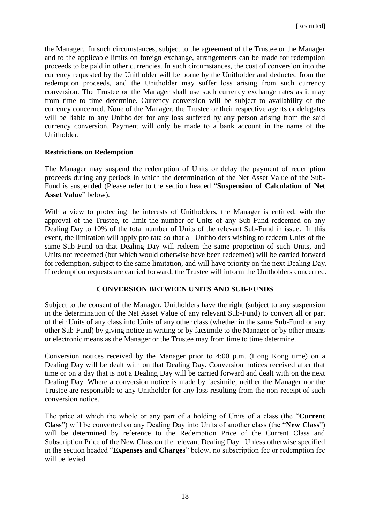the Manager. In such circumstances, subject to the agreement of the Trustee or the Manager and to the applicable limits on foreign exchange, arrangements can be made for redemption proceeds to be paid in other currencies. In such circumstances, the cost of conversion into the currency requested by the Unitholder will be borne by the Unitholder and deducted from the redemption proceeds, and the Unitholder may suffer loss arising from such currency conversion. The Trustee or the Manager shall use such currency exchange rates as it may from time to time determine. Currency conversion will be subject to availability of the currency concerned. None of the Manager, the Trustee or their respective agents or delegates will be liable to any Unitholder for any loss suffered by any person arising from the said currency conversion. Payment will only be made to a bank account in the name of the Unitholder.

#### **Restrictions on Redemption**

The Manager may suspend the redemption of Units or delay the payment of redemption proceeds during any periods in which the determination of the Net Asset Value of the Sub-Fund is suspended (Please refer to the section headed "**Suspension of Calculation of Net Asset Value**" below).

With a view to protecting the interests of Unitholders, the Manager is entitled, with the approval of the Trustee, to limit the number of Units of any Sub-Fund redeemed on any Dealing Day to 10% of the total number of Units of the relevant Sub-Fund in issue. In this event, the limitation will apply pro rata so that all Unitholders wishing to redeem Units of the same Sub-Fund on that Dealing Day will redeem the same proportion of such Units, and Units not redeemed (but which would otherwise have been redeemed) will be carried forward for redemption, subject to the same limitation, and will have priority on the next Dealing Day. If redemption requests are carried forward, the Trustee will inform the Unitholders concerned.

# **CONVERSION BETWEEN UNITS AND SUB-FUNDS**

<span id="page-20-0"></span>Subject to the consent of the Manager, Unitholders have the right (subject to any suspension in the determination of the Net Asset Value of any relevant Sub-Fund) to convert all or part of their Units of any class into Units of any other class (whether in the same Sub-Fund or any other Sub-Fund) by giving notice in writing or by facsimile to the Manager or by other means or electronic means as the Manager or the Trustee may from time to time determine.

Conversion notices received by the Manager prior to 4:00 p.m. (Hong Kong time) on a Dealing Day will be dealt with on that Dealing Day. Conversion notices received after that time or on a day that is not a Dealing Day will be carried forward and dealt with on the next Dealing Day. Where a conversion notice is made by facsimile, neither the Manager nor the Trustee are responsible to any Unitholder for any loss resulting from the non-receipt of such conversion notice.

The price at which the whole or any part of a holding of Units of a class (the "**Current Class**") will be converted on any Dealing Day into Units of another class (the "**New Class**") will be determined by reference to the Redemption Price of the Current Class and Subscription Price of the New Class on the relevant Dealing Day. Unless otherwise specified in the section headed "**Expenses and Charges**" below, no subscription fee or redemption fee will be levied.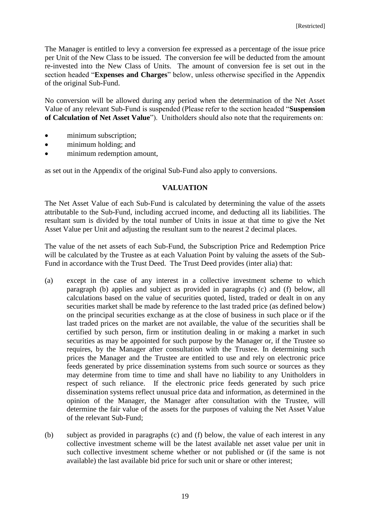The Manager is entitled to levy a conversion fee expressed as a percentage of the issue price per Unit of the New Class to be issued. The conversion fee will be deducted from the amount re-invested into the New Class of Units. The amount of conversion fee is set out in the section headed "**Expenses and Charges**" below, unless otherwise specified in the Appendix of the original Sub-Fund.

No conversion will be allowed during any period when the determination of the Net Asset Value of any relevant Sub-Fund is suspended (Please refer to the section headed "**Suspension of Calculation of Net Asset Value**"). Unitholders should also note that the requirements on:

- minimum subscription;
- minimum holding; and
- minimum redemption amount,

as set out in the Appendix of the original Sub-Fund also apply to conversions.

#### **VALUATION**

<span id="page-21-0"></span>The Net Asset Value of each Sub-Fund is calculated by determining the value of the assets attributable to the Sub-Fund, including accrued income, and deducting all its liabilities. The resultant sum is divided by the total number of Units in issue at that time to give the Net Asset Value per Unit and adjusting the resultant sum to the nearest 2 decimal places.

The value of the net assets of each Sub-Fund, the Subscription Price and Redemption Price will be calculated by the Trustee as at each Valuation Point by valuing the assets of the Sub-Fund in accordance with the Trust Deed. The Trust Deed provides (inter alia) that:

- (a) except in the case of any interest in a collective investment scheme to which paragraph (b) applies and subject as provided in paragraphs (c) and (f) below, all calculations based on the value of securities quoted, listed, traded or dealt in on any securities market shall be made by reference to the last traded price (as defined below) on the principal securities exchange as at the close of business in such place or if the last traded prices on the market are not available, the value of the securities shall be certified by such person, firm or institution dealing in or making a market in such securities as may be appointed for such purpose by the Manager or, if the Trustee so requires, by the Manager after consultation with the Trustee. In determining such prices the Manager and the Trustee are entitled to use and rely on electronic price feeds generated by price dissemination systems from such source or sources as they may determine from time to time and shall have no liability to any Unitholders in respect of such reliance. If the electronic price feeds generated by such price dissemination systems reflect unusual price data and information, as determined in the opinion of the Manager, the Manager after consultation with the Trustee, will determine the fair value of the assets for the purposes of valuing the Net Asset Value of the relevant Sub-Fund;
- (b) subject as provided in paragraphs (c) and (f) below, the value of each interest in any collective investment scheme will be the latest available net asset value per unit in such collective investment scheme whether or not published or (if the same is not available) the last available bid price for such unit or share or other interest;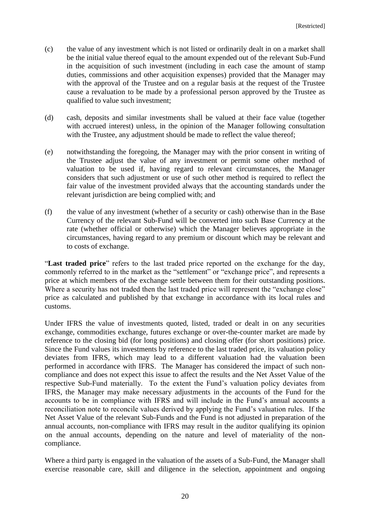- (c) the value of any investment which is not listed or ordinarily dealt in on a market shall be the initial value thereof equal to the amount expended out of the relevant Sub-Fund in the acquisition of such investment (including in each case the amount of stamp duties, commissions and other acquisition expenses) provided that the Manager may with the approval of the Trustee and on a regular basis at the request of the Trustee cause a revaluation to be made by a professional person approved by the Trustee as qualified to value such investment;
- (d) cash, deposits and similar investments shall be valued at their face value (together with accrued interest) unless, in the opinion of the Manager following consultation with the Trustee, any adjustment should be made to reflect the value thereof;
- (e) notwithstanding the foregoing, the Manager may with the prior consent in writing of the Trustee adjust the value of any investment or permit some other method of valuation to be used if, having regard to relevant circumstances, the Manager considers that such adjustment or use of such other method is required to reflect the fair value of the investment provided always that the accounting standards under the relevant jurisdiction are being complied with; and
- (f) the value of any investment (whether of a security or cash) otherwise than in the Base Currency of the relevant Sub-Fund will be converted into such Base Currency at the rate (whether official or otherwise) which the Manager believes appropriate in the circumstances, having regard to any premium or discount which may be relevant and to costs of exchange.

"**Last traded price**" refers to the last traded price reported on the exchange for the day, commonly referred to in the market as the "settlement" or "exchange price", and represents a price at which members of the exchange settle between them for their outstanding positions. Where a security has not traded then the last traded price will represent the "exchange close" price as calculated and published by that exchange in accordance with its local rules and customs.

Under IFRS the value of investments quoted, listed, traded or dealt in on any securities exchange, commodities exchange, futures exchange or over-the-counter market are made by reference to the closing bid (for long positions) and closing offer (for short positions) price. Since the Fund values its investments by reference to the last traded price, its valuation policy deviates from IFRS, which may lead to a different valuation had the valuation been performed in accordance with IFRS. The Manager has considered the impact of such noncompliance and does not expect this issue to affect the results and the Net Asset Value of the respective Sub-Fund materially. To the extent the Fund's valuation policy deviates from IFRS, the Manager may make necessary adjustments in the accounts of the Fund for the accounts to be in compliance with IFRS and will include in the Fund's annual accounts a reconciliation note to reconcile values derived by applying the Fund's valuation rules. If the Net Asset Value of the relevant Sub-Funds and the Fund is not adjusted in preparation of the annual accounts, non-compliance with IFRS may result in the auditor qualifying its opinion on the annual accounts, depending on the nature and level of materiality of the noncompliance.

Where a third party is engaged in the valuation of the assets of a Sub-Fund, the Manager shall exercise reasonable care, skill and diligence in the selection, appointment and ongoing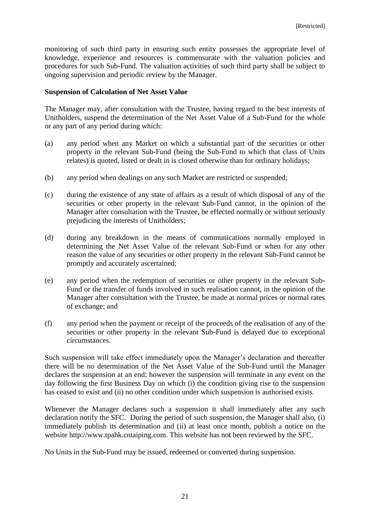monitoring of such third party in ensuring such entity possesses the appropriate level of knowledge, experience and resources is commensurate with the valuation policies and procedures for such Sub-Fund. The valuation activities of such third party shall be subject to ongoing supervision and periodic review by the Manager.

#### **Suspension of Calculation of Net Asset Value**

The Manager may, after consultation with the Trustee, having regard to the best interests of Unitholders, suspend the determination of the Net Asset Value of a Sub-Fund for the whole or any part of any period during which:

- (a) any period when any Market on which a substantial part of the securities or other property in the relevant Sub-Fund (being the Sub-Fund to which that class of Units relates) is quoted, listed or dealt in is closed otherwise than for ordinary holidays;
- (b) any period when dealings on any such Market are restricted or suspended;
- (c) during the existence of any state of affairs as a result of which disposal of any of the securities or other property in the relevant Sub-Fund cannot, in the opinion of the Manager after consultation with the Trustee, be effected normally or without seriously prejudicing the interests of Unitholders;
- (d) during any breakdown in the means of communications normally employed in determining the Net Asset Value of the relevant Sub-Fund or when for any other reason the value of any securities or other property in the relevant Sub-Fund cannot be promptly and accurately ascertained;
- (e) any period when the redemption of securities or other property in the relevant Sub-Fund or the transfer of funds involved in such realisation cannot, in the opinion of the Manager after consultation with the Trustee, be made at normal prices or normal rates of exchange; and
- (f) any period when the payment or receipt of the proceeds of the realisation of any of the securities or other property in the relevant Sub-Fund is delayed due to exceptional circumstances.

Such suspension will take effect immediately upon the Manager's declaration and thereafter there will be no determination of the Net Asset Value of the Sub-Fund until the Manager declares the suspension at an end; however the suspension will terminate in any event on the day following the first Business Day on which (i) the condition giving rise to the suspension has ceased to exist and (ii) no other condition under which suspension is authorised exists.

Whenever the Manager declares such a suspension it shall immediately after any such declaration notify the SFC. During the period of such suspension, the Manager shall also, (i) immediately publish its determination and (ii) at least once month, publish a notice on the website http://www.tpahk.cntaiping.com. This website has not been reviewed by the SFC.

No Units in the Sub-Fund may be issued, redeemed or converted during suspension.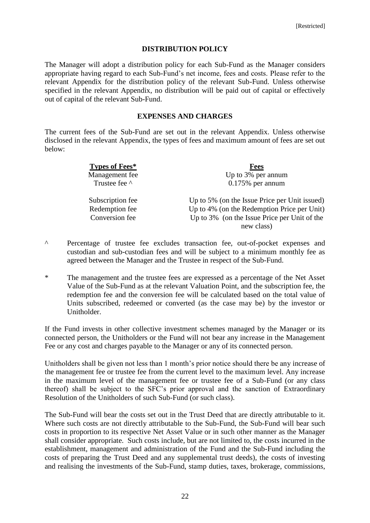#### **DISTRIBUTION POLICY**

<span id="page-24-0"></span>The Manager will adopt a distribution policy for each Sub-Fund as the Manager considers appropriate having regard to each Sub-Fund's net income, fees and costs. Please refer to the relevant Appendix for the distribution policy of the relevant Sub-Fund. Unless otherwise specified in the relevant Appendix, no distribution will be paid out of capital or effectively out of capital of the relevant Sub-Fund.

## **EXPENSES AND CHARGES**

<span id="page-24-1"></span>The current fees of the Sub-Fund are set out in the relevant Appendix. Unless otherwise disclosed in the relevant Appendix, the types of fees and maximum amount of fees are set out below:

| Types of Fees*   | <b>Fees</b>                                   |
|------------------|-----------------------------------------------|
| Management fee   | Up to 3% per annum                            |
| Trustee fee ^    | $0.175%$ per annum                            |
| Subscription fee | Up to 5% (on the Issue Price per Unit issued) |
| Redemption fee   | Up to 4% (on the Redemption Price per Unit)   |
| Conversion fee   | Up to 3% (on the Issue Price per Unit of the  |
|                  | new class)                                    |

- ^ Percentage of trustee fee excludes transaction fee, out-of-pocket expenses and custodian and sub-custodian fees and will be subject to a minimum monthly fee as agreed between the Manager and the Trustee in respect of the Sub-Fund.
- \* The management and the trustee fees are expressed as a percentage of the Net Asset Value of the Sub-Fund as at the relevant Valuation Point, and the subscription fee, the redemption fee and the conversion fee will be calculated based on the total value of Units subscribed, redeemed or converted (as the case may be) by the investor or Unitholder.

If the Fund invests in other collective investment schemes managed by the Manager or its connected person, the Unitholders or the Fund will not bear any increase in the Management Fee or any cost and charges payable to the Manager or any of its connected person.

Unitholders shall be given not less than 1 month's prior notice should there be any increase of the management fee or trustee fee from the current level to the maximum level. Any increase in the maximum level of the management fee or trustee fee of a Sub-Fund (or any class thereof) shall be subject to the SFC's prior approval and the sanction of Extraordinary Resolution of the Unitholders of such Sub-Fund (or such class).

The Sub-Fund will bear the costs set out in the Trust Deed that are directly attributable to it. Where such costs are not directly attributable to the Sub-Fund, the Sub-Fund will bear such costs in proportion to its respective Net Asset Value or in such other manner as the Manager shall consider appropriate. Such costs include, but are not limited to, the costs incurred in the establishment, management and administration of the Fund and the Sub-Fund including the costs of preparing the Trust Deed and any supplemental trust deeds), the costs of investing and realising the investments of the Sub-Fund, stamp duties, taxes, brokerage, commissions,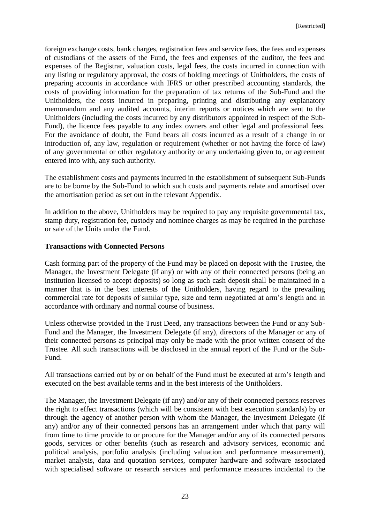foreign exchange costs, bank charges, registration fees and service fees, the fees and expenses of custodians of the assets of the Fund, the fees and expenses of the auditor, the fees and expenses of the Registrar, valuation costs, legal fees, the costs incurred in connection with any listing or regulatory approval, the costs of holding meetings of Unitholders, the costs of preparing accounts in accordance with IFRS or other prescribed accounting standards, the costs of providing information for the preparation of tax returns of the Sub-Fund and the Unitholders, the costs incurred in preparing, printing and distributing any explanatory memorandum and any audited accounts, interim reports or notices which are sent to the Unitholders (including the costs incurred by any distributors appointed in respect of the Sub-Fund), the licence fees payable to any index owners and other legal and professional fees. For the avoidance of doubt, the Fund bears all costs incurred as a result of a change in or introduction of, any law, regulation or requirement (whether or not having the force of law) of any governmental or other regulatory authority or any undertaking given to, or agreement entered into with, any such authority.

The establishment costs and payments incurred in the establishment of subsequent Sub-Funds are to be borne by the Sub-Fund to which such costs and payments relate and amortised over the amortisation period as set out in the relevant Appendix.

In addition to the above, Unitholders may be required to pay any requisite governmental tax, stamp duty, registration fee, custody and nominee charges as may be required in the purchase or sale of the Units under the Fund.

#### **Transactions with Connected Persons**

Cash forming part of the property of the Fund may be placed on deposit with the Trustee, the Manager, the Investment Delegate (if any) or with any of their connected persons (being an institution licensed to accept deposits) so long as such cash deposit shall be maintained in a manner that is in the best interests of the Unitholders, having regard to the prevailing commercial rate for deposits of similar type, size and term negotiated at arm's length and in accordance with ordinary and normal course of business.

Unless otherwise provided in the Trust Deed, any transactions between the Fund or any Sub-Fund and the Manager, the Investment Delegate (if any), directors of the Manager or any of their connected persons as principal may only be made with the prior written consent of the Trustee. All such transactions will be disclosed in the annual report of the Fund or the Sub-Fund.

All transactions carried out by or on behalf of the Fund must be executed at arm's length and executed on the best available terms and in the best interests of the Unitholders.

The Manager, the Investment Delegate (if any) and/or any of their connected persons reserves the right to effect transactions (which will be consistent with best execution standards) by or through the agency of another person with whom the Manager, the Investment Delegate (if any) and/or any of their connected persons has an arrangement under which that party will from time to time provide to or procure for the Manager and/or any of its connected persons goods, services or other benefits (such as research and advisory services, economic and political analysis, portfolio analysis (including valuation and performance measurement), market analysis, data and quotation services, computer hardware and software associated with specialised software or research services and performance measures incidental to the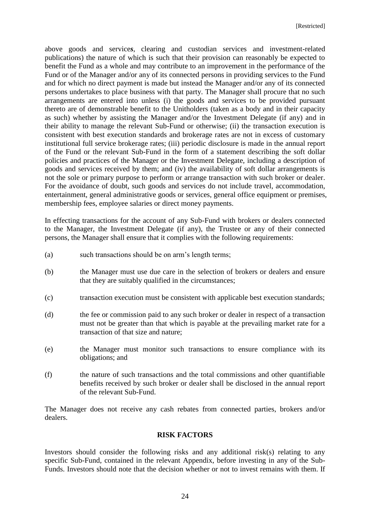above goods and service*s*, clearing and custodian services and investment-related publications) the nature of which is such that their provision can reasonably be expected to benefit the Fund as a whole and may contribute to an improvement in the performance of the Fund or of the Manager and/or any of its connected persons in providing services to the Fund and for which no direct payment is made but instead the Manager and/or any of its connected persons undertakes to place business with that party. The Manager shall procure that no such arrangements are entered into unless (i) the goods and services to be provided pursuant thereto are of demonstrable benefit to the Unitholders (taken as a body and in their capacity as such) whether by assisting the Manager and/or the Investment Delegate (if any) and in their ability to manage the relevant Sub-Fund or otherwise; (ii) the transaction execution is consistent with best execution standards and brokerage rates are not in excess of customary institutional full service brokerage rates; (iii) periodic disclosure is made in the annual report of the Fund or the relevant Sub-Fund in the form of a statement describing the soft dollar policies and practices of the Manager or the Investment Delegate, including a description of goods and services received by them; and (iv) the availability of soft dollar arrangements is not the sole or primary purpose to perform or arrange transaction with such broker or dealer. For the avoidance of doubt, such goods and services do not include travel, accommodation, entertainment, general administrative goods or services, general office equipment or premises, membership fees, employee salaries or direct money payments.

In effecting transactions for the account of any Sub-Fund with brokers or dealers connected to the Manager, the Investment Delegate (if any), the Trustee or any of their connected persons, the Manager shall ensure that it complies with the following requirements:

- (a) such transactions should be on arm's length terms;
- (b) the Manager must use due care in the selection of brokers or dealers and ensure that they are suitably qualified in the circumstances;
- (c) transaction execution must be consistent with applicable best execution standards;
- (d) the fee or commission paid to any such broker or dealer in respect of a transaction must not be greater than that which is payable at the prevailing market rate for a transaction of that size and nature;
- (e) the Manager must monitor such transactions to ensure compliance with its obligations; and
- (f) the nature of such transactions and the total commissions and other quantifiable benefits received by such broker or dealer shall be disclosed in the annual report of the relevant Sub-Fund.

The Manager does not receive any cash rebates from connected parties, brokers and/or dealers.

#### **RISK FACTORS**

<span id="page-26-0"></span>Investors should consider the following risks and any additional risk(s) relating to any specific Sub-Fund, contained in the relevant Appendix, before investing in any of the Sub-Funds. Investors should note that the decision whether or not to invest remains with them. If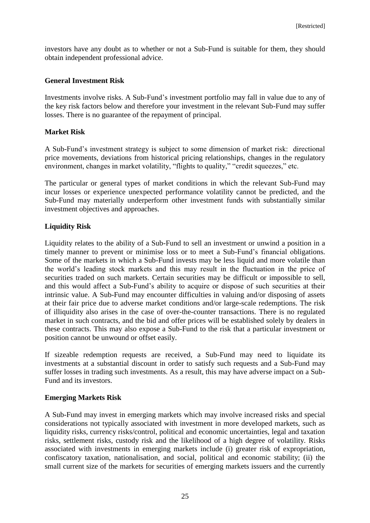investors have any doubt as to whether or not a Sub-Fund is suitable for them, they should obtain independent professional advice.

# **General Investment Risk**

Investments involve risks. A Sub-Fund's investment portfolio may fall in value due to any of the key risk factors below and therefore your investment in the relevant Sub-Fund may suffer losses. There is no guarantee of the repayment of principal.

## **Market Risk**

A Sub-Fund's investment strategy is subject to some dimension of market risk: directional price movements, deviations from historical pricing relationships, changes in the regulatory environment, changes in market volatility, "flights to quality," "credit squeezes," etc.

The particular or general types of market conditions in which the relevant Sub-Fund may incur losses or experience unexpected performance volatility cannot be predicted, and the Sub-Fund may materially underperform other investment funds with substantially similar investment objectives and approaches.

# **Liquidity Risk**

Liquidity relates to the ability of a Sub-Fund to sell an investment or unwind a position in a timely manner to prevent or minimise loss or to meet a Sub-Fund's financial obligations. Some of the markets in which a Sub-Fund invests may be less liquid and more volatile than the world's leading stock markets and this may result in the fluctuation in the price of securities traded on such markets. Certain securities may be difficult or impossible to sell, and this would affect a Sub-Fund's ability to acquire or dispose of such securities at their intrinsic value. A Sub-Fund may encounter difficulties in valuing and/or disposing of assets at their fair price due to adverse market conditions and/or large-scale redemptions. The risk of illiquidity also arises in the case of over-the-counter transactions. There is no regulated market in such contracts, and the bid and offer prices will be established solely by dealers in these contracts. This may also expose a Sub-Fund to the risk that a particular investment or position cannot be unwound or offset easily.

If sizeable redemption requests are received, a Sub-Fund may need to liquidate its investments at a substantial discount in order to satisfy such requests and a Sub-Fund may suffer losses in trading such investments. As a result, this may have adverse impact on a Sub-Fund and its investors.

# **Emerging Markets Risk**

A Sub-Fund may invest in emerging markets which may involve increased risks and special considerations not typically associated with investment in more developed markets, such as liquidity risks, currency risks/control, political and economic uncertainties, legal and taxation risks, settlement risks, custody risk and the likelihood of a high degree of volatility. Risks associated with investments in emerging markets include (i) greater risk of expropriation, confiscatory taxation, nationalisation, and social, political and economic stability; (ii) the small current size of the markets for securities of emerging markets issuers and the currently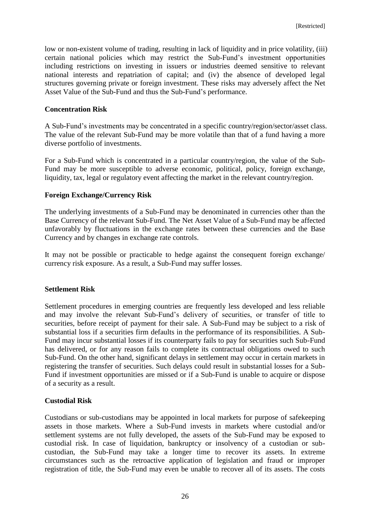low or non-existent volume of trading, resulting in lack of liquidity and in price volatility, (iii) certain national policies which may restrict the Sub-Fund's investment opportunities including restrictions on investing in issuers or industries deemed sensitive to relevant national interests and repatriation of capital; and (iv) the absence of developed legal structures governing private or foreign investment. These risks may adversely affect the Net Asset Value of the Sub-Fund and thus the Sub-Fund's performance.

#### **Concentration Risk**

A Sub-Fund's investments may be concentrated in a specific country/region/sector/asset class. The value of the relevant Sub-Fund may be more volatile than that of a fund having a more diverse portfolio of investments.

For a Sub-Fund which is concentrated in a particular country/region, the value of the Sub-Fund may be more susceptible to adverse economic, political, policy, foreign exchange, liquidity, tax, legal or regulatory event affecting the market in the relevant country/region.

## **Foreign Exchange/Currency Risk**

The underlying investments of a Sub-Fund may be denominated in currencies other than the Base Currency of the relevant Sub-Fund. The Net Asset Value of a Sub-Fund may be affected unfavorably by fluctuations in the exchange rates between these currencies and the Base Currency and by changes in exchange rate controls.

It may not be possible or practicable to hedge against the consequent foreign exchange/ currency risk exposure. As a result, a Sub-Fund may suffer losses.

#### **Settlement Risk**

Settlement procedures in emerging countries are frequently less developed and less reliable and may involve the relevant Sub-Fund's delivery of securities, or transfer of title to securities, before receipt of payment for their sale. A Sub-Fund may be subject to a risk of substantial loss if a securities firm defaults in the performance of its responsibilities. A Sub-Fund may incur substantial losses if its counterparty fails to pay for securities such Sub-Fund has delivered, or for any reason fails to complete its contractual obligations owed to such Sub-Fund. On the other hand, significant delays in settlement may occur in certain markets in registering the transfer of securities. Such delays could result in substantial losses for a Sub-Fund if investment opportunities are missed or if a Sub-Fund is unable to acquire or dispose of a security as a result.

#### **Custodial Risk**

Custodians or sub-custodians may be appointed in local markets for purpose of safekeeping assets in those markets. Where a Sub-Fund invests in markets where custodial and/or settlement systems are not fully developed, the assets of the Sub-Fund may be exposed to custodial risk. In case of liquidation, bankruptcy or insolvency of a custodian or subcustodian, the Sub-Fund may take a longer time to recover its assets. In extreme circumstances such as the retroactive application of legislation and fraud or improper registration of title, the Sub-Fund may even be unable to recover all of its assets. The costs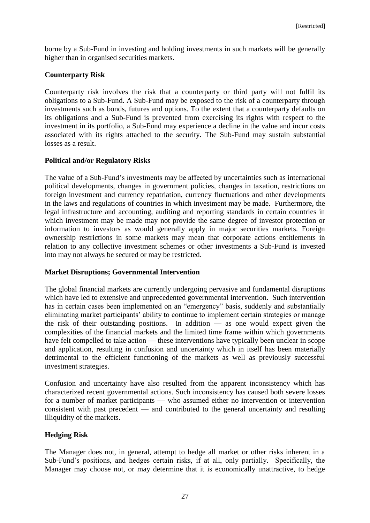borne by a Sub-Fund in investing and holding investments in such markets will be generally higher than in organised securities markets.

# **Counterparty Risk**

Counterparty risk involves the risk that a counterparty or third party will not fulfil its obligations to a Sub-Fund. A Sub-Fund may be exposed to the risk of a counterparty through investments such as bonds, futures and options. To the extent that a counterparty defaults on its obligations and a Sub-Fund is prevented from exercising its rights with respect to the investment in its portfolio, a Sub-Fund may experience a decline in the value and incur costs associated with its rights attached to the security. The Sub-Fund may sustain substantial losses as a result.

## **Political and/or Regulatory Risks**

The value of a Sub-Fund's investments may be affected by uncertainties such as international political developments, changes in government policies, changes in taxation, restrictions on foreign investment and currency repatriation, currency fluctuations and other developments in the laws and regulations of countries in which investment may be made. Furthermore, the legal infrastructure and accounting, auditing and reporting standards in certain countries in which investment may be made may not provide the same degree of investor protection or information to investors as would generally apply in major securities markets. Foreign ownership restrictions in some markets may mean that corporate actions entitlements in relation to any collective investment schemes or other investments a Sub-Fund is invested into may not always be secured or may be restricted.

# **Market Disruptions; Governmental Intervention**

The global financial markets are currently undergoing pervasive and fundamental disruptions which have led to extensive and unprecedented governmental intervention. Such intervention has in certain cases been implemented on an "emergency" basis, suddenly and substantially eliminating market participants' ability to continue to implement certain strategies or manage the risk of their outstanding positions. In addition — as one would expect given the complexities of the financial markets and the limited time frame within which governments have felt compelled to take action — these interventions have typically been unclear in scope and application, resulting in confusion and uncertainty which in itself has been materially detrimental to the efficient functioning of the markets as well as previously successful investment strategies.

Confusion and uncertainty have also resulted from the apparent inconsistency which has characterized recent governmental actions. Such inconsistency has caused both severe losses for a number of market participants — who assumed either no intervention or intervention consistent with past precedent — and contributed to the general uncertainty and resulting illiquidity of the markets.

# **Hedging Risk**

The Manager does not, in general, attempt to hedge all market or other risks inherent in a Sub-Fund's positions, and hedges certain risks, if at all, only partially. Specifically, the Manager may choose not, or may determine that it is economically unattractive, to hedge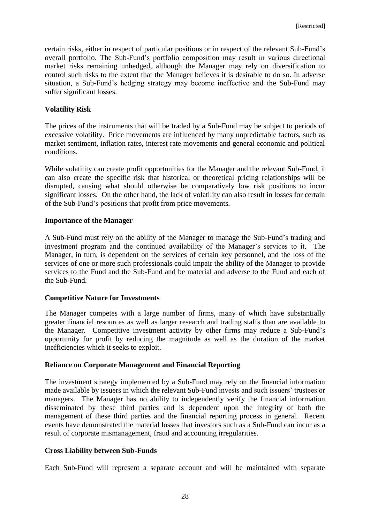certain risks, either in respect of particular positions or in respect of the relevant Sub-Fund's overall portfolio. The Sub-Fund's portfolio composition may result in various directional market risks remaining unhedged, although the Manager may rely on diversification to control such risks to the extent that the Manager believes it is desirable to do so. In adverse situation, a Sub-Fund's hedging strategy may become ineffective and the Sub-Fund may suffer significant losses.

#### **Volatility Risk**

The prices of the instruments that will be traded by a Sub-Fund may be subject to periods of excessive volatility. Price movements are influenced by many unpredictable factors, such as market sentiment, inflation rates, interest rate movements and general economic and political conditions.

While volatility can create profit opportunities for the Manager and the relevant Sub-Fund, it can also create the specific risk that historical or theoretical pricing relationships will be disrupted, causing what should otherwise be comparatively low risk positions to incur significant losses. On the other hand, the lack of volatility can also result in losses for certain of the Sub-Fund's positions that profit from price movements.

## **Importance of the Manager**

A Sub-Fund must rely on the ability of the Manager to manage the Sub-Fund's trading and investment program and the continued availability of the Manager's services to it. The Manager, in turn, is dependent on the services of certain key personnel, and the loss of the services of one or more such professionals could impair the ability of the Manager to provide services to the Fund and the Sub-Fund and be material and adverse to the Fund and each of the Sub-Fund.

#### **Competitive Nature for Investments**

The Manager competes with a large number of firms, many of which have substantially greater financial resources as well as larger research and trading staffs than are available to the Manager. Competitive investment activity by other firms may reduce a Sub-Fund's opportunity for profit by reducing the magnitude as well as the duration of the market inefficiencies which it seeks to exploit.

# **Reliance on Corporate Management and Financial Reporting**

The investment strategy implemented by a Sub-Fund may rely on the financial information made available by issuers in which the relevant Sub-Fund invests and such issuers' trustees or managers. The Manager has no ability to independently verify the financial information disseminated by these third parties and is dependent upon the integrity of both the management of these third parties and the financial reporting process in general. Recent events have demonstrated the material losses that investors such as a Sub-Fund can incur as a result of corporate mismanagement, fraud and accounting irregularities.

# **Cross Liability between Sub-Funds**

Each Sub-Fund will represent a separate account and will be maintained with separate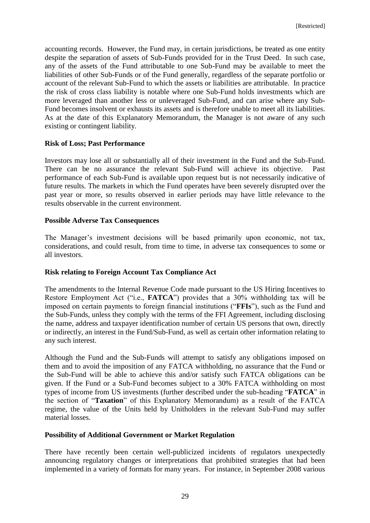accounting records. However, the Fund may, in certain jurisdictions, be treated as one entity despite the separation of assets of Sub-Funds provided for in the Trust Deed. In such case, any of the assets of the Fund attributable to one Sub-Fund may be available to meet the liabilities of other Sub-Funds or of the Fund generally, regardless of the separate portfolio or account of the relevant Sub-Fund to which the assets or liabilities are attributable. In practice the risk of cross class liability is notable where one Sub-Fund holds investments which are more leveraged than another less or unleveraged Sub-Fund, and can arise where any Sub-Fund becomes insolvent or exhausts its assets and is therefore unable to meet all its liabilities. As at the date of this Explanatory Memorandum, the Manager is not aware of any such existing or contingent liability.

#### **Risk of Loss; Past Performance**

Investors may lose all or substantially all of their investment in the Fund and the Sub-Fund. There can be no assurance the relevant Sub-Fund will achieve its objective. Past performance of each Sub-Fund is available upon request but is not necessarily indicative of future results. The markets in which the Fund operates have been severely disrupted over the past year or more, so results observed in earlier periods may have little relevance to the results observable in the current environment.

## **Possible Adverse Tax Consequences**

The Manager's investment decisions will be based primarily upon economic, not tax, considerations, and could result, from time to time, in adverse tax consequences to some or all investors.

# **Risk relating to Foreign Account Tax Compliance Act**

The amendments to the Internal Revenue Code made pursuant to the US Hiring Incentives to Restore Employment Act ("i.e., **FATCA**") provides that a 30% withholding tax will be imposed on certain payments to foreign financial institutions ("**FFIs**"), such as the Fund and the Sub-Funds, unless they comply with the terms of the FFI Agreement, including disclosing the name, address and taxpayer identification number of certain US persons that own, directly or indirectly, an interest in the Fund/Sub-Fund, as well as certain other information relating to any such interest.

Although the Fund and the Sub-Funds will attempt to satisfy any obligations imposed on them and to avoid the imposition of any FATCA withholding, no assurance that the Fund or the Sub-Fund will be able to achieve this and/or satisfy such FATCA obligations can be given. If the Fund or a Sub-Fund becomes subject to a 30% FATCA withholding on most types of income from US investments (further described under the sub-heading "**FATCA**" in the section of "**Taxation**" of this Explanatory Memorandum) as a result of the FATCA regime, the value of the Units held by Unitholders in the relevant Sub-Fund may suffer material losses.

#### **Possibility of Additional Government or Market Regulation**

There have recently been certain well-publicized incidents of regulators unexpectedly announcing regulatory changes or interpretations that prohibited strategies that had been implemented in a variety of formats for many years. For instance, in September 2008 various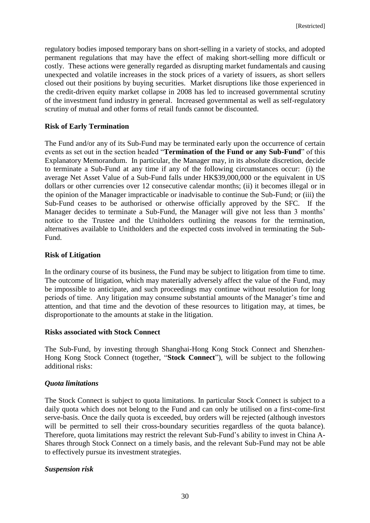regulatory bodies imposed temporary bans on short-selling in a variety of stocks, and adopted permanent regulations that may have the effect of making short-selling more difficult or costly. These actions were generally regarded as disrupting market fundamentals and causing unexpected and volatile increases in the stock prices of a variety of issuers, as short sellers closed out their positions by buying securities. Market disruptions like those experienced in the credit-driven equity market collapse in 2008 has led to increased governmental scrutiny of the investment fund industry in general. Increased governmental as well as self-regulatory scrutiny of mutual and other forms of retail funds cannot be discounted.

## **Risk of Early Termination**

The Fund and/or any of its Sub-Fund may be terminated early upon the occurrence of certain events as set out in the section headed "**Termination of the Fund or any Sub-Fund**" of this Explanatory Memorandum. In particular, the Manager may, in its absolute discretion, decide to terminate a Sub-Fund at any time if any of the following circumstances occur: (i) the average Net Asset Value of a Sub-Fund falls under HK\$39,000,000 or the equivalent in US dollars or other currencies over 12 consecutive calendar months; (ii) it becomes illegal or in the opinion of the Manager impracticable or inadvisable to continue the Sub-Fund; or (iii) the Sub-Fund ceases to be authorised or otherwise officially approved by the SFC. If the Manager decides to terminate a Sub-Fund, the Manager will give not less than 3 months' notice to the Trustee and the Unitholders outlining the reasons for the termination, alternatives available to Unitholders and the expected costs involved in terminating the Sub-Fund.

#### **Risk of Litigation**

In the ordinary course of its business, the Fund may be subject to litigation from time to time. The outcome of litigation, which may materially adversely affect the value of the Fund, may be impossible to anticipate, and such proceedings may continue without resolution for long periods of time. Any litigation may consume substantial amounts of the Manager's time and attention, and that time and the devotion of these resources to litigation may, at times, be disproportionate to the amounts at stake in the litigation.

#### **Risks associated with Stock Connect**

The Sub-Fund, by investing through Shanghai-Hong Kong Stock Connect and Shenzhen-Hong Kong Stock Connect (together, "**Stock Connect**"), will be subject to the following additional risks:

#### *Quota limitations*

The Stock Connect is subject to quota limitations. In particular Stock Connect is subject to a daily quota which does not belong to the Fund and can only be utilised on a first-come-first serve-basis. Once the daily quota is exceeded, buy orders will be rejected (although investors will be permitted to sell their cross-boundary securities regardless of the quota balance). Therefore, quota limitations may restrict the relevant Sub-Fund's ability to invest in China A-Shares through Stock Connect on a timely basis, and the relevant Sub-Fund may not be able to effectively pursue its investment strategies.

#### *Suspension risk*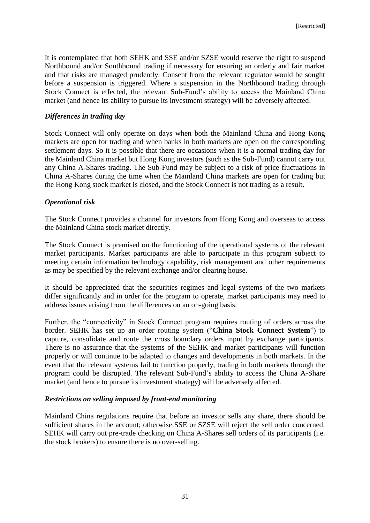It is contemplated that both SEHK and SSE and/or SZSE would reserve the right to suspend Northbound and/or Southbound trading if necessary for ensuring an orderly and fair market and that risks are managed prudently. Consent from the relevant regulator would be sought before a suspension is triggered. Where a suspension in the Northbound trading through Stock Connect is effected, the relevant Sub-Fund's ability to access the Mainland China market (and hence its ability to pursue its investment strategy) will be adversely affected.

#### *Differences in trading day*

Stock Connect will only operate on days when both the Mainland China and Hong Kong markets are open for trading and when banks in both markets are open on the corresponding settlement days. So it is possible that there are occasions when it is a normal trading day for the Mainland China market but Hong Kong investors (such as the Sub-Fund) cannot carry out any China A-Shares trading. The Sub-Fund may be subject to a risk of price fluctuations in China A-Shares during the time when the Mainland China markets are open for trading but the Hong Kong stock market is closed, and the Stock Connect is not trading as a result.

## *Operational risk*

The Stock Connect provides a channel for investors from Hong Kong and overseas to access the Mainland China stock market directly.

The Stock Connect is premised on the functioning of the operational systems of the relevant market participants. Market participants are able to participate in this program subject to meeting certain information technology capability, risk management and other requirements as may be specified by the relevant exchange and/or clearing house.

It should be appreciated that the securities regimes and legal systems of the two markets differ significantly and in order for the program to operate, market participants may need to address issues arising from the differences on an on-going basis.

Further, the "connectivity" in Stock Connect program requires routing of orders across the border. SEHK has set up an order routing system ("**China Stock Connect System**") to capture, consolidate and route the cross boundary orders input by exchange participants. There is no assurance that the systems of the SEHK and market participants will function properly or will continue to be adapted to changes and developments in both markets. In the event that the relevant systems fail to function properly, trading in both markets through the program could be disrupted. The relevant Sub-Fund's ability to access the China A-Share market (and hence to pursue its investment strategy) will be adversely affected.

#### *Restrictions on selling imposed by front-end monitoring*

Mainland China regulations require that before an investor sells any share, there should be sufficient shares in the account; otherwise SSE or SZSE will reject the sell order concerned. SEHK will carry out pre-trade checking on China A-Shares sell orders of its participants (i.e. the stock brokers) to ensure there is no over-selling.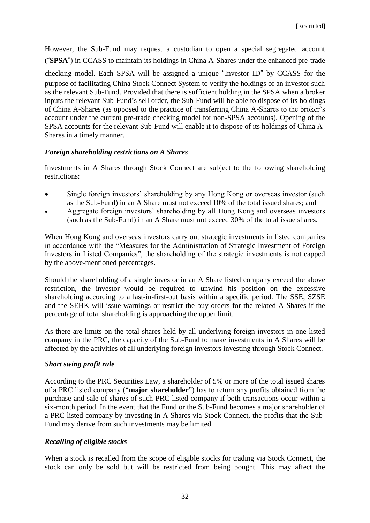However, the Sub-Fund may request a custodian to open a special segregated account ("**SPSA**") in CCASS to maintain its holdings in China A-Shares under the enhanced pre-trade checking model. Each SPSA will be assigned a unique "Investor ID" by CCASS for the purpose of facilitating China Stock Connect System to verify the holdings of an investor such as the relevant Sub-Fund. Provided that there is sufficient holding in the SPSA when a broker inputs the relevant Sub-Fund's sell order, the Sub-Fund will be able to dispose of its holdings of China A-Shares (as opposed to the practice of transferring China A-Shares to the broker's account under the current pre-trade checking model for non-SPSA accounts). Opening of the SPSA accounts for the relevant Sub-Fund will enable it to dispose of its holdings of China A-Shares in a timely manner.

# *Foreign shareholding restrictions on A Shares*

Investments in A Shares through Stock Connect are subject to the following shareholding restrictions:

- Single foreign investors' shareholding by any Hong Kong or overseas investor (such as the Sub-Fund) in an A Share must not exceed 10% of the total issued shares; and
- Aggregate foreign investors' shareholding by all Hong Kong and overseas investors (such as the Sub-Fund) in an A Share must not exceed 30% of the total issue shares.

When Hong Kong and overseas investors carry out strategic investments in listed companies in accordance with the "Measures for the Administration of Strategic Investment of Foreign Investors in Listed Companies", the shareholding of the strategic investments is not capped by the above-mentioned percentages.

Should the shareholding of a single investor in an A Share listed company exceed the above restriction, the investor would be required to unwind his position on the excessive shareholding according to a last-in-first-out basis within a specific period. The SSE, SZSE and the SEHK will issue warnings or restrict the buy orders for the related A Shares if the percentage of total shareholding is approaching the upper limit.

As there are limits on the total shares held by all underlying foreign investors in one listed company in the PRC, the capacity of the Sub-Fund to make investments in A Shares will be affected by the activities of all underlying foreign investors investing through Stock Connect.

# *Short swing profit rule*

According to the PRC Securities Law, a shareholder of 5% or more of the total issued shares of a PRC listed company ("**major shareholder**") has to return any profits obtained from the purchase and sale of shares of such PRC listed company if both transactions occur within a six-month period. In the event that the Fund or the Sub-Fund becomes a major shareholder of a PRC listed company by investing in A Shares via Stock Connect, the profits that the Sub-Fund may derive from such investments may be limited.

# *Recalling of eligible stocks*

When a stock is recalled from the scope of eligible stocks for trading via Stock Connect, the stock can only be sold but will be restricted from being bought. This may affect the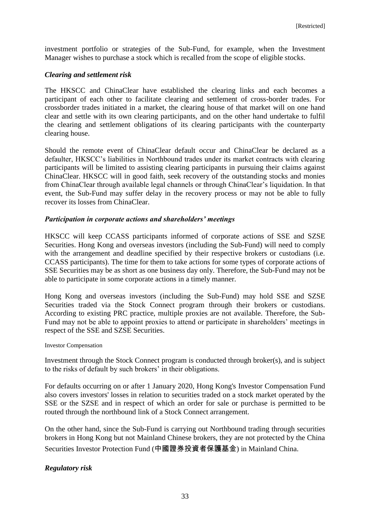investment portfolio or strategies of the Sub-Fund, for example, when the Investment Manager wishes to purchase a stock which is recalled from the scope of eligible stocks.

## *Clearing and settlement risk*

The HKSCC and ChinaClear have established the clearing links and each becomes a participant of each other to facilitate clearing and settlement of cross-border trades. For crossborder trades initiated in a market, the clearing house of that market will on one hand clear and settle with its own clearing participants, and on the other hand undertake to fulfil the clearing and settlement obligations of its clearing participants with the counterparty clearing house.

Should the remote event of ChinaClear default occur and ChinaClear be declared as a defaulter, HKSCC's liabilities in Northbound trades under its market contracts with clearing participants will be limited to assisting clearing participants in pursuing their claims against ChinaClear. HKSCC will in good faith, seek recovery of the outstanding stocks and monies from ChinaClear through available legal channels or through ChinaClear's liquidation. In that event, the Sub-Fund may suffer delay in the recovery process or may not be able to fully recover its losses from ChinaClear.

## *Participation in corporate actions and shareholders' meetings*

HKSCC will keep CCASS participants informed of corporate actions of SSE and SZSE Securities. Hong Kong and overseas investors (including the Sub-Fund) will need to comply with the arrangement and deadline specified by their respective brokers or custodians (i.e. CCASS participants). The time for them to take actions for some types of corporate actions of SSE Securities may be as short as one business day only. Therefore, the Sub-Fund may not be able to participate in some corporate actions in a timely manner.

Hong Kong and overseas investors (including the Sub-Fund) may hold SSE and SZSE Securities traded via the Stock Connect program through their brokers or custodians. According to existing PRC practice, multiple proxies are not available. Therefore, the Sub-Fund may not be able to appoint proxies to attend or participate in shareholders' meetings in respect of the SSE and SZSE Securities.

#### Investor Compensation

Investment through the Stock Connect program is conducted through broker(s), and is subject to the risks of default by such brokers' in their obligations.

For defaults occurring on or after 1 January 2020, Hong Kong's Investor Compensation Fund also covers investors' losses in relation to securities traded on a stock market operated by the SSE or the SZSE and in respect of which an order for sale or purchase is permitted to be routed through the northbound link of a Stock Connect arrangement.

On the other hand, since the Sub-Fund is carrying out Northbound trading through securities brokers in Hong Kong but not Mainland Chinese brokers, they are not protected by the China Securities Investor Protection Fund (中國證券投資者保護基金) in Mainland China.

# *Regulatory risk*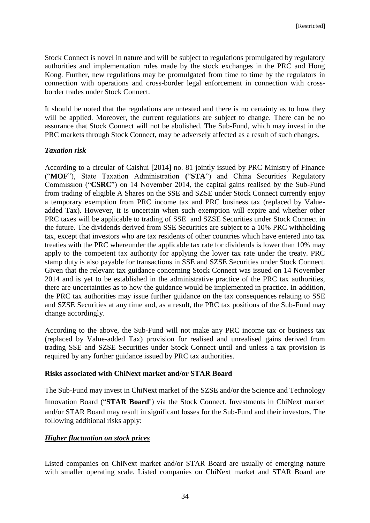Stock Connect is novel in nature and will be subject to regulations promulgated by regulatory authorities and implementation rules made by the stock exchanges in the PRC and Hong Kong. Further, new regulations may be promulgated from time to time by the regulators in connection with operations and cross-border legal enforcement in connection with crossborder trades under Stock Connect.

It should be noted that the regulations are untested and there is no certainty as to how they will be applied. Moreover, the current regulations are subject to change. There can be no assurance that Stock Connect will not be abolished. The Sub-Fund, which may invest in the PRC markets through Stock Connect, may be adversely affected as a result of such changes.

## *Taxation risk*

According to a circular of Caishui [2014] no. 81 jointly issued by PRC Ministry of Finance ("**MOF**"), State Taxation Administration **(**"**STA**") and China Securities Regulatory Commission ("**CSRC**") on 14 November 2014, the capital gains realised by the Sub-Fund from trading of eligible A Shares on the SSE and SZSE under Stock Connect currently enjoy a temporary exemption from PRC income tax and PRC business tax (replaced by Valueadded Tax). However, it is uncertain when such exemption will expire and whether other PRC taxes will be applicable to trading of SSE and SZSE Securities under Stock Connect in the future. The dividends derived from SSE Securities are subject to a 10% PRC withholding tax, except that investors who are tax residents of other countries which have entered into tax treaties with the PRC whereunder the applicable tax rate for dividends is lower than 10% may apply to the competent tax authority for applying the lower tax rate under the treaty. PRC stamp duty is also payable for transactions in SSE and SZSE Securities under Stock Connect. Given that the relevant tax guidance concerning Stock Connect was issued on 14 November 2014 and is yet to be established in the administrative practice of the PRC tax authorities, there are uncertainties as to how the guidance would be implemented in practice. In addition, the PRC tax authorities may issue further guidance on the tax consequences relating to SSE and SZSE Securities at any time and, as a result, the PRC tax positions of the Sub-Fund may change accordingly.

According to the above, the Sub-Fund will not make any PRC income tax or business tax (replaced by Value-added Tax) provision for realised and unrealised gains derived from trading SSE and SZSE Securities under Stock Connect until and unless a tax provision is required by any further guidance issued by PRC tax authorities.

### **Risks associated with ChiNext market and/or STAR Board**

The Sub-Fund may invest in ChiNext market of the SZSE and/or the Science and Technology Innovation Board ("**STAR Board**") via the Stock Connect. Investments in ChiNext market and/or STAR Board may result in significant losses for the Sub-Fund and their investors. The following additional risks apply:

# *Higher fluctuation on stock prices*

Listed companies on ChiNext market and/or STAR Board are usually of emerging nature with smaller operating scale. Listed companies on ChiNext market and STAR Board are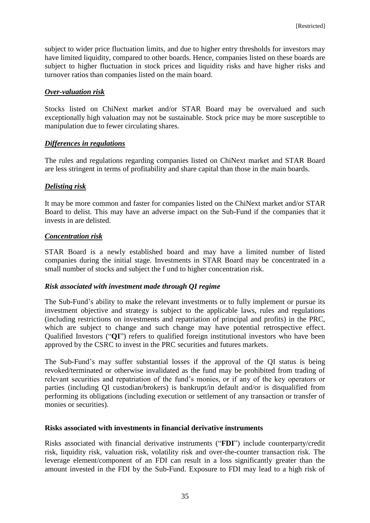subject to wider price fluctuation limits, and due to higher entry thresholds for investors may have limited liquidity, compared to other boards. Hence, companies listed on these boards are subject to higher fluctuation in stock prices and liquidity risks and have higher risks and turnover ratios than companies listed on the main board.

## *Over-valuation risk*

Stocks listed on ChiNext market and/or STAR Board may be overvalued and such exceptionally high valuation may not be sustainable. Stock price may be more susceptible to manipulation due to fewer circulating shares.

## *Differences in regulations*

The rules and regulations regarding companies listed on ChiNext market and STAR Board are less stringent in terms of profitability and share capital than those in the main boards.

## *Delisting risk*

It may be more common and faster for companies listed on the ChiNext market and/or STAR Board to delist. This may have an adverse impact on the Sub-Fund if the companies that it invests in are delisted.

## *Concentration risk*

STAR Board is a newly established board and may have a limited number of listed companies during the initial stage. Investments in STAR Board may be concentrated in a small number of stocks and subject the f und to higher concentration risk.

### *Risk associated with investment made through QI regime*

The Sub-Fund's ability to make the relevant investments or to fully implement or pursue its investment objective and strategy is subject to the applicable laws, rules and regulations (including restrictions on investments and repatriation of principal and profits) in the PRC, which are subject to change and such change may have potential retrospective effect. Qualified Investors ("**QI**") refers to qualified foreign institutional investors who have been approved by the CSRC to invest in the PRC securities and futures markets.

The Sub-Fund's may suffer substantial losses if the approval of the QI status is being revoked/terminated or otherwise invalidated as the fund may be prohibited from trading of relevant securities and repatriation of the fund's monies, or if any of the key operators or parties (including QI custodian/brokers) is bankrupt/in default and/or is disqualified from performing its obligations (including execution or settlement of any transaction or transfer of monies or securities).

### **Risks associated with investments in financial derivative instruments**

Risks associated with financial derivative instruments ("**FDI**") include counterparty/credit risk, liquidity risk, valuation risk, volatility risk and over-the-counter transaction risk. The leverage element/component of an FDI can result in a loss significantly greater than the amount invested in the FDI by the Sub-Fund. Exposure to FDI may lead to a high risk of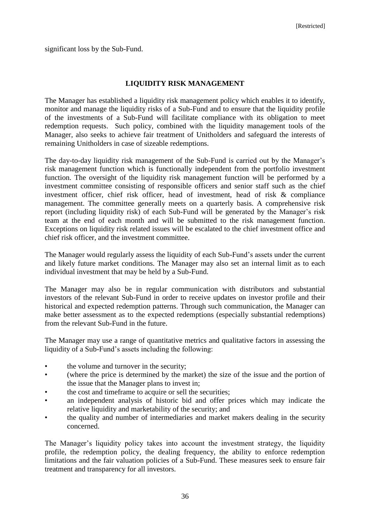significant loss by the Sub-Fund.

## **LIQUIDITY RISK MANAGEMENT**

The Manager has established a liquidity risk management policy which enables it to identify, monitor and manage the liquidity risks of a Sub-Fund and to ensure that the liquidity profile of the investments of a Sub-Fund will facilitate compliance with its obligation to meet redemption requests. Such policy, combined with the liquidity management tools of the Manager, also seeks to achieve fair treatment of Unitholders and safeguard the interests of remaining Unitholders in case of sizeable redemptions.

The day-to-day liquidity risk management of the Sub-Fund is carried out by the Manager's risk management function which is functionally independent from the portfolio investment function. The oversight of the liquidity risk management function will be performed by a investment committee consisting of responsible officers and senior staff such as the chief investment officer, chief risk officer, head of investment, head of risk & compliance management. The committee generally meets on a quarterly basis. A comprehensive risk report (including liquidity risk) of each Sub-Fund will be generated by the Manager's risk team at the end of each month and will be submitted to the risk management function. Exceptions on liquidity risk related issues will be escalated to the chief investment office and chief risk officer, and the investment committee.

The Manager would regularly assess the liquidity of each Sub-Fund's assets under the current and likely future market conditions. The Manager may also set an internal limit as to each individual investment that may be held by a Sub-Fund.

The Manager may also be in regular communication with distributors and substantial investors of the relevant Sub-Fund in order to receive updates on investor profile and their historical and expected redemption patterns. Through such communication, the Manager can make better assessment as to the expected redemptions (especially substantial redemptions) from the relevant Sub-Fund in the future.

The Manager may use a range of quantitative metrics and qualitative factors in assessing the liquidity of a Sub-Fund's assets including the following:

- the volume and turnover in the security;
- (where the price is determined by the market) the size of the issue and the portion of the issue that the Manager plans to invest in;
- the cost and timeframe to acquire or sell the securities:
- an independent analysis of historic bid and offer prices which may indicate the relative liquidity and marketability of the security; and
- the quality and number of intermediaries and market makers dealing in the security concerned.

The Manager's liquidity policy takes into account the investment strategy, the liquidity profile, the redemption policy, the dealing frequency, the ability to enforce redemption limitations and the fair valuation policies of a Sub-Fund. These measures seek to ensure fair treatment and transparency for all investors.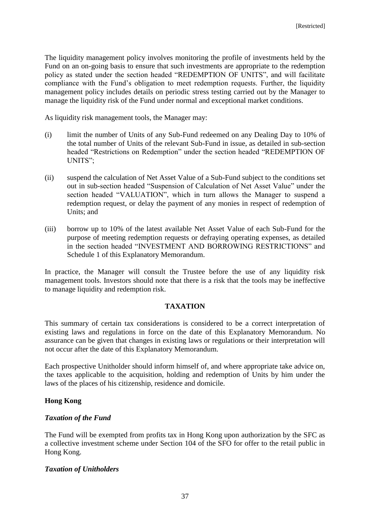The liquidity management policy involves monitoring the profile of investments held by the Fund on an on-going basis to ensure that such investments are appropriate to the redemption policy as stated under the section headed "REDEMPTION OF UNITS", and will facilitate compliance with the Fund's obligation to meet redemption requests. Further, the liquidity management policy includes details on periodic stress testing carried out by the Manager to manage the liquidity risk of the Fund under normal and exceptional market conditions.

As liquidity risk management tools, the Manager may:

- (i) limit the number of Units of any Sub-Fund redeemed on any Dealing Day to 10% of the total number of Units of the relevant Sub-Fund in issue, as detailed in sub-section headed "Restrictions on Redemption" under the section headed "REDEMPTION OF UNITS";
- (ii) suspend the calculation of Net Asset Value of a Sub-Fund subject to the conditions set out in sub-section headed "Suspension of Calculation of Net Asset Value" under the section headed "VALUATION", which in turn allows the Manager to suspend a redemption request, or delay the payment of any monies in respect of redemption of Units; and
- (iii) borrow up to 10% of the latest available Net Asset Value of each Sub-Fund for the purpose of meeting redemption requests or defraying operating expenses, as detailed in the section headed "INVESTMENT AND BORROWING RESTRICTIONS" and Schedule 1 of this Explanatory Memorandum.

In practice, the Manager will consult the Trustee before the use of any liquidity risk management tools. Investors should note that there is a risk that the tools may be ineffective to manage liquidity and redemption risk.

# **TAXATION**

This summary of certain tax considerations is considered to be a correct interpretation of existing laws and regulations in force on the date of this Explanatory Memorandum. No assurance can be given that changes in existing laws or regulations or their interpretation will not occur after the date of this Explanatory Memorandum.

Each prospective Unitholder should inform himself of, and where appropriate take advice on, the taxes applicable to the acquisition, holding and redemption of Units by him under the laws of the places of his citizenship, residence and domicile.

### **Hong Kong**

### *Taxation of the Fund*

The Fund will be exempted from profits tax in Hong Kong upon authorization by the SFC as a collective investment scheme under Section 104 of the SFO for offer to the retail public in Hong Kong.

### *Taxation of Unitholders*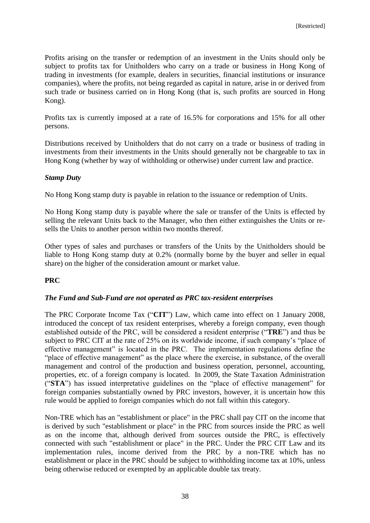Profits arising on the transfer or redemption of an investment in the Units should only be subject to profits tax for Unitholders who carry on a trade or business in Hong Kong of trading in investments (for example, dealers in securities, financial institutions or insurance companies), where the profits, not being regarded as capital in nature, arise in or derived from such trade or business carried on in Hong Kong (that is, such profits are sourced in Hong Kong).

Profits tax is currently imposed at a rate of 16.5% for corporations and 15% for all other persons.

Distributions received by Unitholders that do not carry on a trade or business of trading in investments from their investments in the Units should generally not be chargeable to tax in Hong Kong (whether by way of withholding or otherwise) under current law and practice.

## *Stamp Duty*

No Hong Kong stamp duty is payable in relation to the issuance or redemption of Units.

No Hong Kong stamp duty is payable where the sale or transfer of the Units is effected by selling the relevant Units back to the Manager, who then either extinguishes the Units or resells the Units to another person within two months thereof.

Other types of sales and purchases or transfers of the Units by the Unitholders should be liable to Hong Kong stamp duty at 0.2% (normally borne by the buyer and seller in equal share) on the higher of the consideration amount or market value.

# **PRC**

### *The Fund and Sub-Fund are not operated as PRC tax-resident enterprises*

The PRC Corporate Income Tax ("**CIT**") Law, which came into effect on 1 January 2008, introduced the concept of tax resident enterprises, whereby a foreign company, even though established outside of the PRC, will be considered a resident enterprise ("**TRE**") and thus be subject to PRC CIT at the rate of 25% on its worldwide income, if such company's "place of effective management" is located in the PRC. The implementation regulations define the "place of effective management" as the place where the exercise, in substance, of the overall management and control of the production and business operation, personnel, accounting, properties, etc. of a foreign company is located. In 2009, the State Taxation Administration ("**STA**") has issued interpretative guidelines on the "place of effective management" for foreign companies substantially owned by PRC investors, however, it is uncertain how this rule would be applied to foreign companies which do not fall within this category.

Non-TRE which has an "establishment or place" in the PRC shall pay CIT on the income that is derived by such "establishment or place" in the PRC from sources inside the PRC as well as on the income that, although derived from sources outside the PRC, is effectively connected with such "establishment or place" in the PRC. Under the PRC CIT Law and its implementation rules, income derived from the PRC by a non-TRE which has no establishment or place in the PRC should be subject to withholding income tax at 10%, unless being otherwise reduced or exempted by an applicable double tax treaty.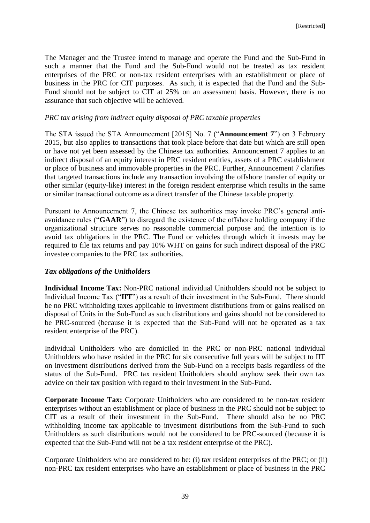The Manager and the Trustee intend to manage and operate the Fund and the Sub-Fund in such a manner that the Fund and the Sub-Fund would not be treated as tax resident enterprises of the PRC or non-tax resident enterprises with an establishment or place of business in the PRC for CIT purposes. As such, it is expected that the Fund and the Sub-Fund should not be subject to CIT at 25% on an assessment basis. However, there is no assurance that such objective will be achieved.

## *PRC tax arising from indirect equity disposal of PRC taxable properties*

The STA issued the STA Announcement [2015] No. 7 ("**Announcement 7**") on 3 February 2015, but also applies to transactions that took place before that date but which are still open or have not yet been assessed by the Chinese tax authorities. Announcement 7 applies to an indirect disposal of an equity interest in PRC resident entities, assets of a PRC establishment or place of business and immovable properties in the PRC. Further, Announcement 7 clarifies that targeted transactions include any transaction involving the offshore transfer of equity or other similar (equity-like) interest in the foreign resident enterprise which results in the same or similar transactional outcome as a direct transfer of the Chinese taxable property.

Pursuant to Announcement 7, the Chinese tax authorities may invoke PRC's general antiavoidance rules ("**GAAR**") to disregard the existence of the offshore holding company if the organizational structure serves no reasonable commercial purpose and the intention is to avoid tax obligations in the PRC. The Fund or vehicles through which it invests may be required to file tax returns and pay 10% WHT on gains for such indirect disposal of the PRC investee companies to the PRC tax authorities.

### *Tax obligations of the Unitholders*

**Individual Income Tax:** Non-PRC national individual Unitholders should not be subject to Individual Income Tax ("**IIT**") as a result of their investment in the Sub-Fund. There should be no PRC withholding taxes applicable to investment distributions from or gains realised on disposal of Units in the Sub-Fund as such distributions and gains should not be considered to be PRC-sourced (because it is expected that the Sub-Fund will not be operated as a tax resident enterprise of the PRC).

Individual Unitholders who are domiciled in the PRC or non-PRC national individual Unitholders who have resided in the PRC for six consecutive full years will be subject to IIT on investment distributions derived from the Sub-Fund on a receipts basis regardless of the status of the Sub-Fund. PRC tax resident Unitholders should anyhow seek their own tax advice on their tax position with regard to their investment in the Sub-Fund.

**Corporate Income Tax:** Corporate Unitholders who are considered to be non-tax resident enterprises without an establishment or place of business in the PRC should not be subject to CIT as a result of their investment in the Sub-Fund. There should also be no PRC withholding income tax applicable to investment distributions from the Sub-Fund to such Unitholders as such distributions would not be considered to be PRC-sourced (because it is expected that the Sub-Fund will not be a tax resident enterprise of the PRC).

Corporate Unitholders who are considered to be: (i) tax resident enterprises of the PRC; or (ii) non-PRC tax resident enterprises who have an establishment or place of business in the PRC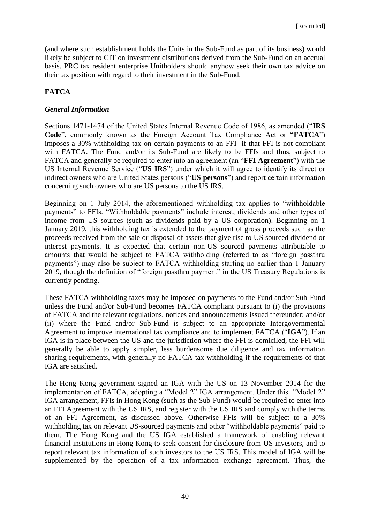(and where such establishment holds the Units in the Sub-Fund as part of its business) would likely be subject to CIT on investment distributions derived from the Sub-Fund on an accrual basis. PRC tax resident enterprise Unitholders should anyhow seek their own tax advice on their tax position with regard to their investment in the Sub-Fund.

# **FATCA**

## *General Information*

Sections 1471-1474 of the United States Internal Revenue Code of 1986, as amended ("**IRS Code**", commonly known as the Foreign Account Tax Compliance Act or "**FATCA**") imposes a 30% withholding tax on certain payments to an FFI if that FFI is not compliant with FATCA. The Fund and/or its Sub-Fund are likely to be FFIs and thus, subject to FATCA and generally be required to enter into an agreement (an "**FFI Agreement**") with the US Internal Revenue Service ("**US IRS**") under which it will agree to identify its direct or indirect owners who are United States persons ("**US persons**") and report certain information concerning such owners who are US persons to the US IRS.

Beginning on 1 July 2014, the aforementioned withholding tax applies to "withholdable payments" to FFIs. "Withholdable payments" include interest, dividends and other types of income from US sources (such as dividends paid by a US corporation). Beginning on 1 January 2019, this withholding tax is extended to the payment of gross proceeds such as the proceeds received from the sale or disposal of assets that give rise to US sourced dividend or interest payments. It is expected that certain non-US sourced payments attributable to amounts that would be subject to FATCA withholding (referred to as "foreign passthru payments") may also be subject to FATCA withholding starting no earlier than 1 January 2019, though the definition of "foreign passthru payment" in the US Treasury Regulations is currently pending.

These FATCA withholding taxes may be imposed on payments to the Fund and/or Sub-Fund unless the Fund and/or Sub-Fund becomes FATCA compliant pursuant to (i) the provisions of FATCA and the relevant regulations, notices and announcements issued thereunder; and/or (ii) where the Fund and/or Sub-Fund is subject to an appropriate Intergovernmental Agreement to improve international tax compliance and to implement FATCA ("**IGA**"). If an IGA is in place between the US and the jurisdiction where the FFI is domiciled, the FFI will generally be able to apply simpler, less burdensome due diligence and tax information sharing requirements, with generally no FATCA tax withholding if the requirements of that IGA are satisfied.

The Hong Kong government signed an IGA with the US on 13 November 2014 for the implementation of FATCA, adopting a "Model 2" IGA arrangement. Under this "Model 2" IGA arrangement, FFIs in Hong Kong (such as the Sub-Fund) would be required to enter into an FFI Agreement with the US IRS, and register with the US IRS and comply with the terms of an FFI Agreement, as discussed above. Otherwise FFIs will be subject to a 30% withholding tax on relevant US-sourced payments and other "withholdable payments" paid to them. The Hong Kong and the US IGA established a framework of enabling relevant financial institutions in Hong Kong to seek consent for disclosure from US investors, and to report relevant tax information of such investors to the US IRS. This model of IGA will be supplemented by the operation of a tax information exchange agreement. Thus, the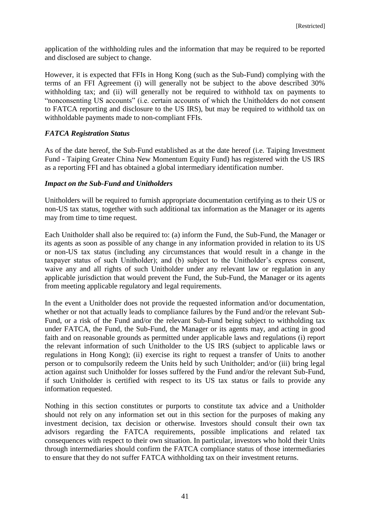application of the withholding rules and the information that may be required to be reported and disclosed are subject to change.

However, it is expected that FFIs in Hong Kong (such as the Sub-Fund) complying with the terms of an FFI Agreement (i) will generally not be subject to the above described 30% withholding tax; and (ii) will generally not be required to withhold tax on payments to "nonconsenting US accounts" (i.e. certain accounts of which the Unitholders do not consent to FATCA reporting and disclosure to the US IRS), but may be required to withhold tax on withholdable payments made to non-compliant FFIs.

# *FATCA Registration Status*

As of the date hereof, the Sub-Fund established as at the date hereof (i.e. Taiping Investment Fund - Taiping Greater China New Momentum Equity Fund) has registered with the US IRS as a reporting FFI and has obtained a global intermediary identification number.

## *Impact on the Sub-Fund and Unitholders*

Unitholders will be required to furnish appropriate documentation certifying as to their US or non-US tax status, together with such additional tax information as the Manager or its agents may from time to time request.

Each Unitholder shall also be required to: (a) inform the Fund, the Sub-Fund, the Manager or its agents as soon as possible of any change in any information provided in relation to its US or non-US tax status (including any circumstances that would result in a change in the taxpayer status of such Unitholder); and (b) subject to the Unitholder's express consent, waive any and all rights of such Unitholder under any relevant law or regulation in any applicable jurisdiction that would prevent the Fund, the Sub-Fund, the Manager or its agents from meeting applicable regulatory and legal requirements.

In the event a Unitholder does not provide the requested information and/or documentation, whether or not that actually leads to compliance failures by the Fund and/or the relevant Sub-Fund, or a risk of the Fund and/or the relevant Sub-Fund being subject to withholding tax under FATCA, the Fund, the Sub-Fund, the Manager or its agents may, and acting in good faith and on reasonable grounds as permitted under applicable laws and regulations (i) report the relevant information of such Unitholder to the US IRS (subject to applicable laws or regulations in Hong Kong); (ii) exercise its right to request a transfer of Units to another person or to compulsorily redeem the Units held by such Unitholder; and/or (iii) bring legal action against such Unitholder for losses suffered by the Fund and/or the relevant Sub-Fund, if such Unitholder is certified with respect to its US tax status or fails to provide any information requested.

Nothing in this section constitutes or purports to constitute tax advice and a Unitholder should not rely on any information set out in this section for the purposes of making any investment decision, tax decision or otherwise. Investors should consult their own tax advisors regarding the FATCA requirements, possible implications and related tax consequences with respect to their own situation. In particular, investors who hold their Units through intermediaries should confirm the FATCA compliance status of those intermediaries to ensure that they do not suffer FATCA withholding tax on their investment returns.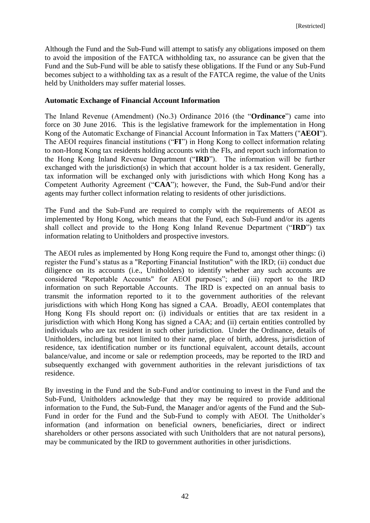Although the Fund and the Sub-Fund will attempt to satisfy any obligations imposed on them to avoid the imposition of the FATCA withholding tax, no assurance can be given that the Fund and the Sub-Fund will be able to satisfy these obligations. If the Fund or any Sub-Fund becomes subject to a withholding tax as a result of the FATCA regime, the value of the Units held by Unitholders may suffer material losses.

### **Automatic Exchange of Financial Account Information**

The Inland Revenue (Amendment) (No.3) Ordinance 2016 (the "**Ordinance**") came into force on 30 June 2016. This is the legislative framework for the implementation in Hong Kong of the Automatic Exchange of Financial Account Information in Tax Matters ("**AEOI**"). The AEOI requires financial institutions ("**FI**") in Hong Kong to collect information relating to non-Hong Kong tax residents holding accounts with the FIs, and report such information to the Hong Kong Inland Revenue Department ("**IRD**"). The information will be further exchanged with the jurisdiction(s) in which that account holder is a tax resident. Generally, tax information will be exchanged only with jurisdictions with which Hong Kong has a Competent Authority Agreement ("**CAA**"); however, the Fund, the Sub-Fund and/or their agents may further collect information relating to residents of other jurisdictions.

The Fund and the Sub-Fund are required to comply with the requirements of AEOI as implemented by Hong Kong, which means that the Fund, each Sub-Fund and/or its agents shall collect and provide to the Hong Kong Inland Revenue Department ("**IRD**") tax information relating to Unitholders and prospective investors.

The AEOI rules as implemented by Hong Kong require the Fund to, amongst other things: (i) register the Fund's status as a "Reporting Financial Institution" with the IRD; (ii) conduct due diligence on its accounts (i.e., Unitholders) to identify whether any such accounts are considered "Reportable Accounts" for AEOI purposes"; and (iii) report to the IRD information on such Reportable Accounts. The IRD is expected on an annual basis to transmit the information reported to it to the government authorities of the relevant jurisdictions with which Hong Kong has signed a CAA. Broadly, AEOI contemplates that Hong Kong FIs should report on: (i) individuals or entities that are tax resident in a jurisdiction with which Hong Kong has signed a CAA; and (ii) certain entities controlled by individuals who are tax resident in such other jurisdiction. Under the Ordinance, details of Unitholders, including but not limited to their name, place of birth, address, jurisdiction of residence, tax identification number or its functional equivalent, account details, account balance/value, and income or sale or redemption proceeds, may be reported to the IRD and subsequently exchanged with government authorities in the relevant jurisdictions of tax residence.

By investing in the Fund and the Sub-Fund and/or continuing to invest in the Fund and the Sub-Fund, Unitholders acknowledge that they may be required to provide additional information to the Fund, the Sub-Fund, the Manager and/or agents of the Fund and the Sub-Fund in order for the Fund and the Sub-Fund to comply with AEOI. The Unitholder's information (and information on beneficial owners, beneficiaries, direct or indirect shareholders or other persons associated with such Unitholders that are not natural persons), may be communicated by the IRD to government authorities in other jurisdictions.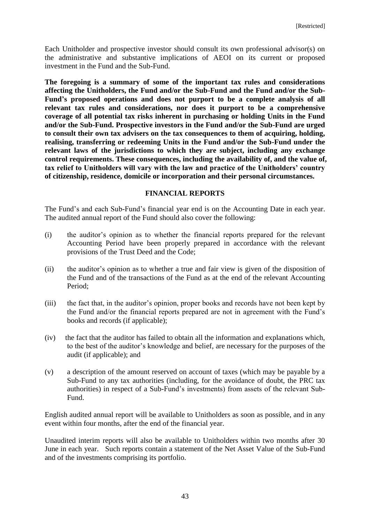Each Unitholder and prospective investor should consult its own professional advisor(s) on the administrative and substantive implications of AEOI on its current or proposed investment in the Fund and the Sub-Fund.

**The foregoing is a summary of some of the important tax rules and considerations affecting the Unitholders, the Fund and/or the Sub-Fund and the Fund and/or the Sub-Fund's proposed operations and does not purport to be a complete analysis of all relevant tax rules and considerations, nor does it purport to be a comprehensive coverage of all potential tax risks inherent in purchasing or holding Units in the Fund and/or the Sub-Fund. Prospective investors in the Fund and/or the Sub-Fund are urged to consult their own tax advisers on the tax consequences to them of acquiring, holding, realising, transferring or redeeming Units in the Fund and/or the Sub-Fund under the relevant laws of the jurisdictions to which they are subject, including any exchange control requirements. These consequences, including the availability of, and the value of, tax relief to Unitholders will vary with the law and practice of the Unitholders' country of citizenship, residence, domicile or incorporation and their personal circumstances.**

## **FINANCIAL REPORTS**

The Fund's and each Sub-Fund's financial year end is on the Accounting Date in each year. The audited annual report of the Fund should also cover the following:

- (i) the auditor's opinion as to whether the financial reports prepared for the relevant Accounting Period have been properly prepared in accordance with the relevant provisions of the Trust Deed and the Code;
- (ii) the auditor's opinion as to whether a true and fair view is given of the disposition of the Fund and of the transactions of the Fund as at the end of the relevant Accounting Period;
- (iii) the fact that, in the auditor's opinion, proper books and records have not been kept by the Fund and/or the financial reports prepared are not in agreement with the Fund's books and records (if applicable);
- (iv) the fact that the auditor has failed to obtain all the information and explanations which, to the best of the auditor's knowledge and belief, are necessary for the purposes of the audit (if applicable); and
- (v) a description of the amount reserved on account of taxes (which may be payable by a Sub-Fund to any tax authorities (including, for the avoidance of doubt, the PRC tax authorities) in respect of a Sub-Fund's investments) from assets of the relevant Sub-Fund.

English audited annual report will be available to Unitholders as soon as possible, and in any event within four months, after the end of the financial year.

Unaudited interim reports will also be available to Unitholders within two months after 30 June in each year. Such reports contain a statement of the Net Asset Value of the Sub-Fund and of the investments comprising its portfolio.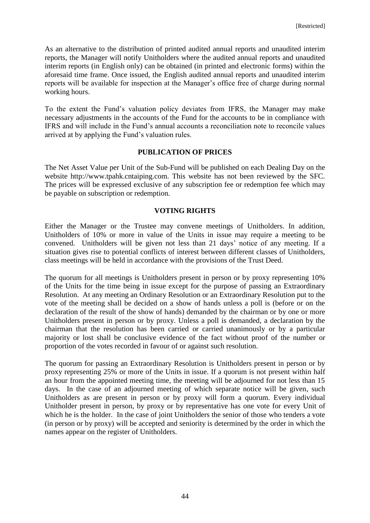As an alternative to the distribution of printed audited annual reports and unaudited interim reports, the Manager will notify Unitholders where the audited annual reports and unaudited interim reports (in English only) can be obtained (in printed and electronic forms) within the aforesaid time frame. Once issued, the English audited annual reports and unaudited interim reports will be available for inspection at the Manager's office free of charge during normal working hours.

To the extent the Fund's valuation policy deviates from IFRS, the Manager may make necessary adjustments in the accounts of the Fund for the accounts to be in compliance with IFRS and will include in the Fund's annual accounts a reconciliation note to reconcile values arrived at by applying the Fund's valuation rules.

### **PUBLICATION OF PRICES**

The Net Asset Value per Unit of the Sub-Fund will be published on each Dealing Day on the website http://www.tpahk.cntaiping.com. This website has not been reviewed by the SFC. The prices will be expressed exclusive of any subscription fee or redemption fee which may be payable on subscription or redemption.

## **VOTING RIGHTS**

Either the Manager or the Trustee may convene meetings of Unitholders. In addition, Unitholders of 10% or more in value of the Units in issue may require a meeting to be convened. Unitholders will be given not less than 21 days' notice of any meeting. If a situation gives rise to potential conflicts of interest between different classes of Unitholders, class meetings will be held in accordance with the provisions of the Trust Deed.

The quorum for all meetings is Unitholders present in person or by proxy representing 10% of the Units for the time being in issue except for the purpose of passing an Extraordinary Resolution. At any meeting an Ordinary Resolution or an Extraordinary Resolution put to the vote of the meeting shall be decided on a show of hands unless a poll is (before or on the declaration of the result of the show of hands) demanded by the chairman or by one or more Unitholders present in person or by proxy. Unless a poll is demanded, a declaration by the chairman that the resolution has been carried or carried unanimously or by a particular majority or lost shall be conclusive evidence of the fact without proof of the number or proportion of the votes recorded in favour of or against such resolution.

The quorum for passing an Extraordinary Resolution is Unitholders present in person or by proxy representing 25% or more of the Units in issue. If a quorum is not present within half an hour from the appointed meeting time, the meeting will be adjourned for not less than 15 days. In the case of an adjourned meeting of which separate notice will be given, such Unitholders as are present in person or by proxy will form a quorum. Every individual Unitholder present in person, by proxy or by representative has one vote for every Unit of which he is the holder. In the case of joint Unitholders the senior of those who tenders a vote (in person or by proxy) will be accepted and seniority is determined by the order in which the names appear on the register of Unitholders.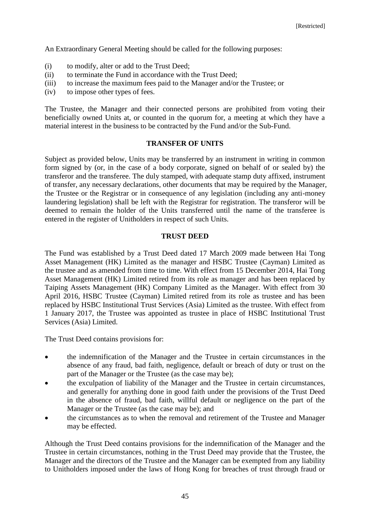An Extraordinary General Meeting should be called for the following purposes:

- (i) to modify, alter or add to the Trust Deed;
- (ii) to terminate the Fund in accordance with the Trust Deed;
- (iii) to increase the maximum fees paid to the Manager and/or the Trustee; or
- (iv) to impose other types of fees.

The Trustee, the Manager and their connected persons are prohibited from voting their beneficially owned Units at, or counted in the quorum for, a meeting at which they have a material interest in the business to be contracted by the Fund and/or the Sub-Fund.

#### **TRANSFER OF UNITS**

Subject as provided below, Units may be transferred by an instrument in writing in common form signed by (or, in the case of a body corporate, signed on behalf of or sealed by) the transferor and the transferee. The duly stamped, with adequate stamp duty affixed, instrument of transfer, any necessary declarations, other documents that may be required by the Manager, the Trustee or the Registrar or in consequence of any legislation (including any anti-money laundering legislation) shall be left with the Registrar for registration. The transferor will be deemed to remain the holder of the Units transferred until the name of the transferee is entered in the register of Unitholders in respect of such Units.

#### **TRUST DEED**

The Fund was established by a Trust Deed dated 17 March 2009 made between Hai Tong Asset Management (HK) Limited as the manager and HSBC Trustee (Cayman) Limited as the trustee and as amended from time to time. With effect from 15 December 2014, Hai Tong Asset Management (HK) Limited retired from its role as manager and has been replaced by Taiping Assets Management (HK) Company Limited as the Manager. With effect from 30 April 2016, HSBC Trustee (Cayman) Limited retired from its role as trustee and has been replaced by HSBC Institutional Trust Services (Asia) Limited as the trustee. With effect from 1 January 2017, the Trustee was appointed as trustee in place of HSBC Institutional Trust Services (Asia) Limited.

The Trust Deed contains provisions for:

- the indemnification of the Manager and the Trustee in certain circumstances in the absence of any fraud, bad faith, negligence, default or breach of duty or trust on the part of the Manager or the Trustee (as the case may be);
- the exculpation of liability of the Manager and the Trustee in certain circumstances, and generally for anything done in good faith under the provisions of the Trust Deed in the absence of fraud, bad faith, willful default or negligence on the part of the Manager or the Trustee (as the case may be); and
- the circumstances as to when the removal and retirement of the Trustee and Manager may be effected.

Although the Trust Deed contains provisions for the indemnification of the Manager and the Trustee in certain circumstances, nothing in the Trust Deed may provide that the Trustee, the Manager and the directors of the Trustee and the Manager can be exempted from any liability to Unitholders imposed under the laws of Hong Kong for breaches of trust through fraud or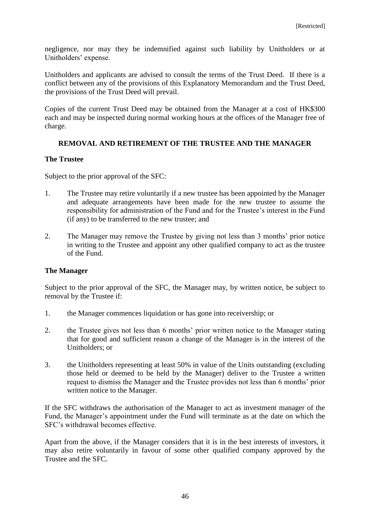negligence, nor may they be indemnified against such liability by Unitholders or at Unitholders' expense.

Unitholders and applicants are advised to consult the terms of the Trust Deed. If there is a conflict between any of the provisions of this Explanatory Memorandum and the Trust Deed, the provisions of the Trust Deed will prevail.

Copies of the current Trust Deed may be obtained from the Manager at a cost of HK\$300 each and may be inspected during normal working hours at the offices of the Manager free of charge.

# **REMOVAL AND RETIREMENT OF THE TRUSTEE AND THE MANAGER**

## **The Trustee**

Subject to the prior approval of the SFC:

- 1. The Trustee may retire voluntarily if a new trustee has been appointed by the Manager and adequate arrangements have been made for the new trustee to assume the responsibility for administration of the Fund and for the Trustee's interest in the Fund (if any) to be transferred to the new trustee; and
- 2. The Manager may remove the Trustee by giving not less than 3 months' prior notice in writing to the Trustee and appoint any other qualified company to act as the trustee of the Fund.

# **The Manager**

Subject to the prior approval of the SFC, the Manager may, by written notice, be subject to removal by the Trustee if:

- 1. the Manager commences liquidation or has gone into receivership; or
- 2. the Trustee gives not less than 6 months' prior written notice to the Manager stating that for good and sufficient reason a change of the Manager is in the interest of the Unitholders; or
- 3. the Unitholders representing at least 50% in value of the Units outstanding (excluding those held or deemed to be held by the Manager) deliver to the Trustee a written request to dismiss the Manager and the Trustee provides not less than 6 months' prior written notice to the Manager.

If the SFC withdraws the authorisation of the Manager to act as investment manager of the Fund, the Manager's appointment under the Fund will terminate as at the date on which the SFC's withdrawal becomes effective.

Apart from the above, if the Manager considers that it is in the best interests of investors, it may also retire voluntarily in favour of some other qualified company approved by the Trustee and the SFC.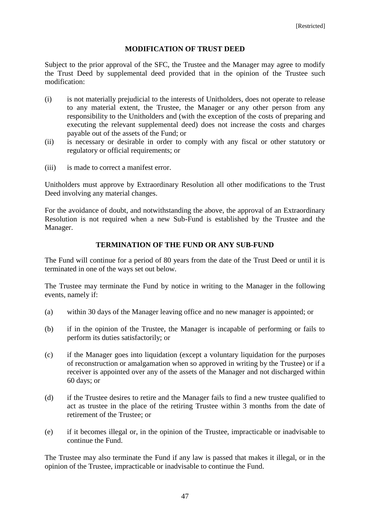### **MODIFICATION OF TRUST DEED**

Subject to the prior approval of the SFC, the Trustee and the Manager may agree to modify the Trust Deed by supplemental deed provided that in the opinion of the Trustee such modification:

- (i) is not materially prejudicial to the interests of Unitholders, does not operate to release to any material extent, the Trustee, the Manager or any other person from any responsibility to the Unitholders and (with the exception of the costs of preparing and executing the relevant supplemental deed) does not increase the costs and charges payable out of the assets of the Fund; or
- (ii) is necessary or desirable in order to comply with any fiscal or other statutory or regulatory or official requirements; or
- (iii) is made to correct a manifest error.

Unitholders must approve by Extraordinary Resolution all other modifications to the Trust Deed involving any material changes.

For the avoidance of doubt, and notwithstanding the above, the approval of an Extraordinary Resolution is not required when a new Sub-Fund is established by the Trustee and the Manager.

#### **TERMINATION OF THE FUND OR ANY SUB-FUND**

The Fund will continue for a period of 80 years from the date of the Trust Deed or until it is terminated in one of the ways set out below.

The Trustee may terminate the Fund by notice in writing to the Manager in the following events, namely if:

- (a) within 30 days of the Manager leaving office and no new manager is appointed; or
- (b) if in the opinion of the Trustee, the Manager is incapable of performing or fails to perform its duties satisfactorily; or
- (c) if the Manager goes into liquidation (except a voluntary liquidation for the purposes of reconstruction or amalgamation when so approved in writing by the Trustee) or if a receiver is appointed over any of the assets of the Manager and not discharged within 60 days; or
- (d) if the Trustee desires to retire and the Manager fails to find a new trustee qualified to act as trustee in the place of the retiring Trustee within 3 months from the date of retirement of the Trustee; or
- (e) if it becomes illegal or, in the opinion of the Trustee, impracticable or inadvisable to continue the Fund.

The Trustee may also terminate the Fund if any law is passed that makes it illegal, or in the opinion of the Trustee, impracticable or inadvisable to continue the Fund.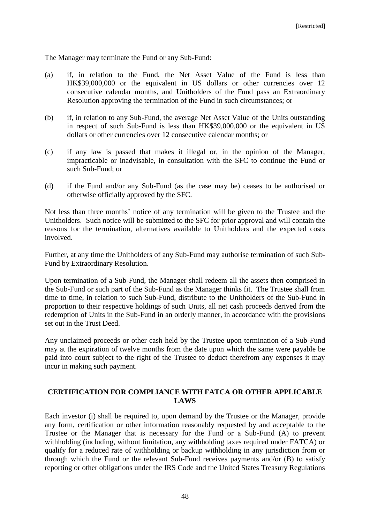The Manager may terminate the Fund or any Sub-Fund:

- (a) if, in relation to the Fund, the Net Asset Value of the Fund is less than HK\$39,000,000 or the equivalent in US dollars or other currencies over 12 consecutive calendar months, and Unitholders of the Fund pass an Extraordinary Resolution approving the termination of the Fund in such circumstances; or
- (b) if, in relation to any Sub-Fund, the average Net Asset Value of the Units outstanding in respect of such Sub-Fund is less than HK\$39,000,000 or the equivalent in US dollars or other currencies over 12 consecutive calendar months; or
- (c) if any law is passed that makes it illegal or, in the opinion of the Manager, impracticable or inadvisable, in consultation with the SFC to continue the Fund or such Sub-Fund; or
- (d) if the Fund and/or any Sub-Fund (as the case may be) ceases to be authorised or otherwise officially approved by the SFC.

Not less than three months' notice of any termination will be given to the Trustee and the Unitholders. Such notice will be submitted to the SFC for prior approval and will contain the reasons for the termination, alternatives available to Unitholders and the expected costs involved.

Further, at any time the Unitholders of any Sub-Fund may authorise termination of such Sub-Fund by Extraordinary Resolution.

Upon termination of a Sub-Fund, the Manager shall redeem all the assets then comprised in the Sub-Fund or such part of the Sub-Fund as the Manager thinks fit. The Trustee shall from time to time, in relation to such Sub-Fund, distribute to the Unitholders of the Sub-Fund in proportion to their respective holdings of such Units, all net cash proceeds derived from the redemption of Units in the Sub-Fund in an orderly manner, in accordance with the provisions set out in the Trust Deed.

Any unclaimed proceeds or other cash held by the Trustee upon termination of a Sub-Fund may at the expiration of twelve months from the date upon which the same were payable be paid into court subject to the right of the Trustee to deduct therefrom any expenses it may incur in making such payment.

## **CERTIFICATION FOR COMPLIANCE WITH FATCA OR OTHER APPLICABLE LAWS**

Each investor (i) shall be required to, upon demand by the Trustee or the Manager, provide any form, certification or other information reasonably requested by and acceptable to the Trustee or the Manager that is necessary for the Fund or a Sub-Fund (A) to prevent withholding (including, without limitation, any withholding taxes required under FATCA) or qualify for a reduced rate of withholding or backup withholding in any jurisdiction from or through which the Fund or the relevant Sub-Fund receives payments and/or (B) to satisfy reporting or other obligations under the IRS Code and the United States Treasury Regulations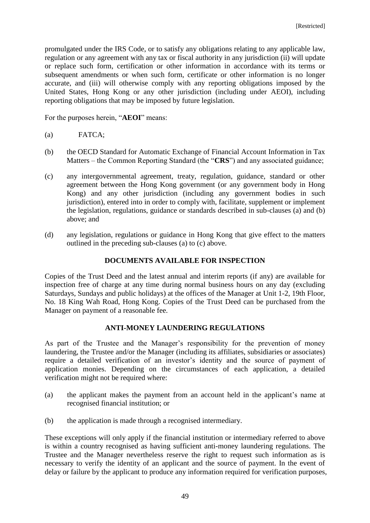promulgated under the IRS Code, or to satisfy any obligations relating to any applicable law, regulation or any agreement with any tax or fiscal authority in any jurisdiction (ii) will update or replace such form, certification or other information in accordance with its terms or subsequent amendments or when such form, certificate or other information is no longer accurate, and (iii) will otherwise comply with any reporting obligations imposed by the United States, Hong Kong or any other jurisdiction (including under AEOI), including reporting obligations that may be imposed by future legislation.

For the purposes herein, "**AEOI**" means:

- (a) FATCA;
- (b) the OECD Standard for Automatic Exchange of Financial Account Information in Tax Matters – the Common Reporting Standard (the "**CRS**") and any associated guidance;
- (c) any intergovernmental agreement, treaty, regulation, guidance, standard or other agreement between the Hong Kong government (or any government body in Hong Kong) and any other jurisdiction (including any government bodies in such jurisdiction), entered into in order to comply with, facilitate, supplement or implement the legislation, regulations, guidance or standards described in sub-clauses (a) and (b) above; and
- (d) any legislation, regulations or guidance in Hong Kong that give effect to the matters outlined in the preceding sub-clauses (a) to (c) above.

### **DOCUMENTS AVAILABLE FOR INSPECTION**

Copies of the Trust Deed and the latest annual and interim reports (if any) are available for inspection free of charge at any time during normal business hours on any day (excluding Saturdays, Sundays and public holidays) at the offices of the Manager at Unit 1-2, 19th Floor, No. 18 King Wah Road, Hong Kong. Copies of the Trust Deed can be purchased from the Manager on payment of a reasonable fee.

# **ANTI-MONEY LAUNDERING REGULATIONS**

As part of the Trustee and the Manager's responsibility for the prevention of money laundering, the Trustee and/or the Manager (including its affiliates, subsidiaries or associates) require a detailed verification of an investor's identity and the source of payment of application monies. Depending on the circumstances of each application, a detailed verification might not be required where:

- (a) the applicant makes the payment from an account held in the applicant's name at recognised financial institution; or
- (b) the application is made through a recognised intermediary.

These exceptions will only apply if the financial institution or intermediary referred to above is within a country recognised as having sufficient anti-money laundering regulations. The Trustee and the Manager nevertheless reserve the right to request such information as is necessary to verify the identity of an applicant and the source of payment. In the event of delay or failure by the applicant to produce any information required for verification purposes,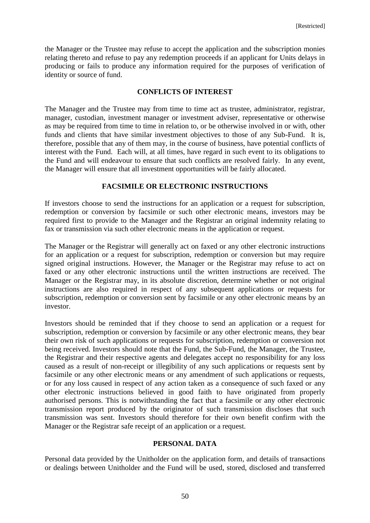the Manager or the Trustee may refuse to accept the application and the subscription monies relating thereto and refuse to pay any redemption proceeds if an applicant for Units delays in producing or fails to produce any information required for the purposes of verification of identity or source of fund.

### **CONFLICTS OF INTEREST**

The Manager and the Trustee may from time to time act as trustee, administrator, registrar, manager, custodian, investment manager or investment adviser, representative or otherwise as may be required from time to time in relation to, or be otherwise involved in or with, other funds and clients that have similar investment objectives to those of any Sub-Fund. It is, therefore, possible that any of them may, in the course of business, have potential conflicts of interest with the Fund. Each will, at all times, have regard in such event to its obligations to the Fund and will endeavour to ensure that such conflicts are resolved fairly. In any event, the Manager will ensure that all investment opportunities will be fairly allocated.

## **FACSIMILE OR ELECTRONIC INSTRUCTIONS**

If investors choose to send the instructions for an application or a request for subscription, redemption or conversion by facsimile or such other electronic means, investors may be required first to provide to the Manager and the Registrar an original indemnity relating to fax or transmission via such other electronic means in the application or request.

The Manager or the Registrar will generally act on faxed or any other electronic instructions for an application or a request for subscription, redemption or conversion but may require signed original instructions. However, the Manager or the Registrar may refuse to act on faxed or any other electronic instructions until the written instructions are received. The Manager or the Registrar may, in its absolute discretion, determine whether or not original instructions are also required in respect of any subsequent applications or requests for subscription, redemption or conversion sent by facsimile or any other electronic means by an investor.

Investors should be reminded that if they choose to send an application or a request for subscription, redemption or conversion by facsimile or any other electronic means, they bear their own risk of such applications or requests for subscription, redemption or conversion not being received. Investors should note that the Fund, the Sub-Fund, the Manager, the Trustee, the Registrar and their respective agents and delegates accept no responsibility for any loss caused as a result of non-receipt or illegibility of any such applications or requests sent by facsimile or any other electronic means or any amendment of such applications or requests, or for any loss caused in respect of any action taken as a consequence of such faxed or any other electronic instructions believed in good faith to have originated from properly authorised persons. This is notwithstanding the fact that a facsimile or any other electronic transmission report produced by the originator of such transmission discloses that such transmission was sent. Investors should therefore for their own benefit confirm with the Manager or the Registrar safe receipt of an application or a request.

### **PERSONAL DATA**

Personal data provided by the Unitholder on the application form, and details of transactions or dealings between Unitholder and the Fund will be used, stored, disclosed and transferred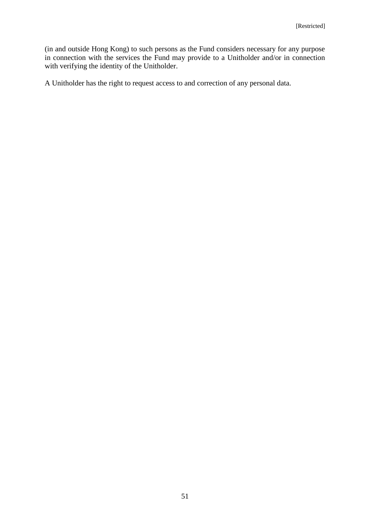(in and outside Hong Kong) to such persons as the Fund considers necessary for any purpose in connection with the services the Fund may provide to a Unitholder and/or in connection with verifying the identity of the Unitholder.

A Unitholder has the right to request access to and correction of any personal data.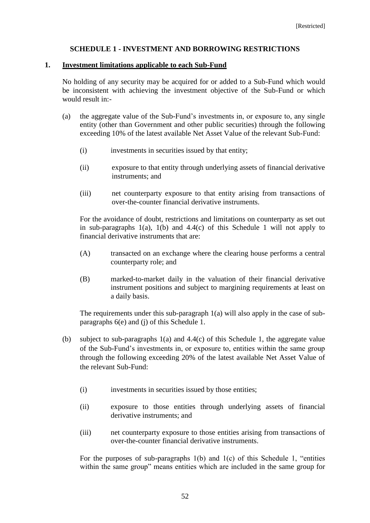## **SCHEDULE 1 - INVESTMENT AND BORROWING RESTRICTIONS**

#### **1. Investment limitations applicable to each Sub-Fund**

No holding of any security may be acquired for or added to a Sub-Fund which would be inconsistent with achieving the investment objective of the Sub-Fund or which would result in:-

- (a) the aggregate value of the Sub-Fund's investments in, or exposure to, any single entity (other than Government and other public securities) through the following exceeding 10% of the latest available Net Asset Value of the relevant Sub-Fund:
	- (i) investments in securities issued by that entity;
	- (ii) exposure to that entity through underlying assets of financial derivative instruments; and
	- (iii) net counterparty exposure to that entity arising from transactions of over-the-counter financial derivative instruments.

For the avoidance of doubt, restrictions and limitations on counterparty as set out in sub-paragraphs  $1(a)$ ,  $1(b)$  and  $4.4(c)$  of this Schedule 1 will not apply to financial derivative instruments that are:

- (A) transacted on an exchange where the clearing house performs a central counterparty role; and
- (B) marked-to-market daily in the valuation of their financial derivative instrument positions and subject to margining requirements at least on a daily basis.

The requirements under this sub-paragraph 1(a) will also apply in the case of subparagraphs 6(e) and (j) of this Schedule 1.

- (b) subject to sub-paragraphs 1(a) and 4.4(c) of this Schedule 1, the aggregate value of the Sub-Fund's investments in, or exposure to, entities within the same group through the following exceeding 20% of the latest available Net Asset Value of the relevant Sub-Fund:
	- (i) investments in securities issued by those entities;
	- (ii) exposure to those entities through underlying assets of financial derivative instruments; and
	- (iii) net counterparty exposure to those entities arising from transactions of over-the-counter financial derivative instruments.

For the purposes of sub-paragraphs  $1(b)$  and  $1(c)$  of this Schedule 1, "entities within the same group" means entities which are included in the same group for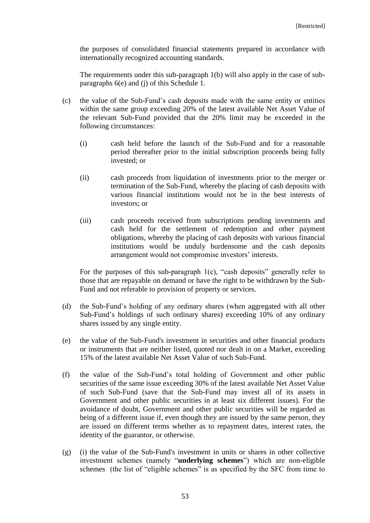the purposes of consolidated financial statements prepared in accordance with internationally recognized accounting standards.

The requirements under this sub-paragraph 1(b) will also apply in the case of subparagraphs 6(e) and (j) of this Schedule 1.

- (c) the value of the Sub-Fund's cash deposits made with the same entity or entities within the same group exceeding 20% of the latest available Net Asset Value of the relevant Sub-Fund provided that the 20% limit may be exceeded in the following circumstances:
	- (i) cash held before the launch of the Sub-Fund and for a reasonable period thereafter prior to the initial subscription proceeds being fully invested; or
	- (ii) cash proceeds from liquidation of investments prior to the merger or termination of the Sub-Fund, whereby the placing of cash deposits with various financial institutions would not be in the best interests of investors; or
	- (iii) cash proceeds received from subscriptions pending investments and cash held for the settlement of redemption and other payment obligations, whereby the placing of cash deposits with various financial institutions would be unduly burdensome and the cash deposits arrangement would not compromise investors' interests.

For the purposes of this sub-paragraph 1(c), "cash deposits" generally refer to those that are repayable on demand or have the right to be withdrawn by the Sub-Fund and not referable to provision of property or services.

- (d) the Sub-Fund's holding of any ordinary shares (when aggregated with all other Sub-Fund's holdings of such ordinary shares) exceeding 10% of any ordinary shares issued by any single entity.
- (e) the value of the Sub-Fund's investment in securities and other financial products or instruments that are neither listed, quoted nor dealt in on a Market, exceeding 15% of the latest available Net Asset Value of such Sub-Fund.
- (f) the value of the Sub-Fund's total holding of Government and other public securities of the same issue exceeding 30% of the latest available Net Asset Value of such Sub-Fund (save that the Sub-Fund may invest all of its assets in Government and other public securities in at least six different issues). For the avoidance of doubt, Government and other public securities will be regarded as being of a different issue if, even though they are issued by the same person, they are issued on different terms whether as to repayment dates, interest rates, the identity of the guarantor, or otherwise.
- (g) (i) the value of the Sub-Fund's investment in units or shares in other collective investment schemes (namely "**underlying schemes**") which are non-eligible schemes (the list of "eligible schemes" is as specified by the SFC from time to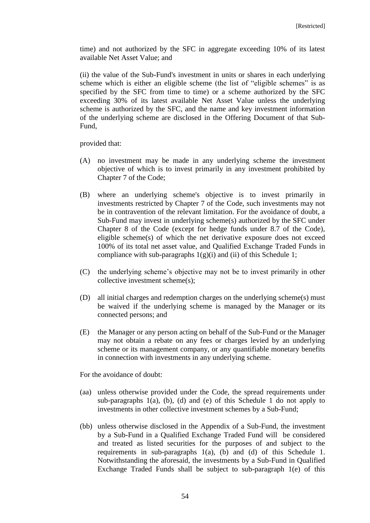time) and not authorized by the SFC in aggregate exceeding 10% of its latest available Net Asset Value; and

(ii) the value of the Sub-Fund's investment in units or shares in each underlying scheme which is either an eligible scheme (the list of "eligible schemes" is as specified by the SFC from time to time) or a scheme authorized by the SFC exceeding 30% of its latest available Net Asset Value unless the underlying scheme is authorized by the SFC, and the name and key investment information of the underlying scheme are disclosed in the Offering Document of that Sub-Fund,

provided that:

- (A) no investment may be made in any underlying scheme the investment objective of which is to invest primarily in any investment prohibited by Chapter 7 of the Code;
- (B) where an underlying scheme's objective is to invest primarily in investments restricted by Chapter 7 of the Code, such investments may not be in contravention of the relevant limitation. For the avoidance of doubt, a Sub-Fund may invest in underlying scheme(s) authorized by the SFC under Chapter 8 of the Code (except for hedge funds under 8.7 of the Code), eligible scheme(s) of which the net derivative exposure does not exceed 100% of its total net asset value, and Qualified Exchange Traded Funds in compliance with sub-paragraphs  $1(g)(i)$  and (ii) of this Schedule 1;
- (C) the underlying scheme's objective may not be to invest primarily in other collective investment scheme(s);
- (D) all initial charges and redemption charges on the underlying scheme(s) must be waived if the underlying scheme is managed by the Manager or its connected persons; and
- (E) the Manager or any person acting on behalf of the Sub-Fund or the Manager may not obtain a rebate on any fees or charges levied by an underlying scheme or its management company, or any quantifiable monetary benefits in connection with investments in any underlying scheme.

For the avoidance of doubt:

- (aa) unless otherwise provided under the Code, the spread requirements under sub-paragraphs  $1(a)$ ,  $(b)$ ,  $(d)$  and  $(e)$  of this Schedule 1 do not apply to investments in other collective investment schemes by a Sub-Fund;
- (bb) unless otherwise disclosed in the Appendix of a Sub-Fund, the investment by a Sub-Fund in a Qualified Exchange Traded Fund will be considered and treated as listed securities for the purposes of and subject to the requirements in sub-paragraphs 1(a), (b) and (d) of this Schedule 1. Notwithstanding the aforesaid, the investments by a Sub-Fund in Qualified Exchange Traded Funds shall be subject to sub-paragraph 1(e) of this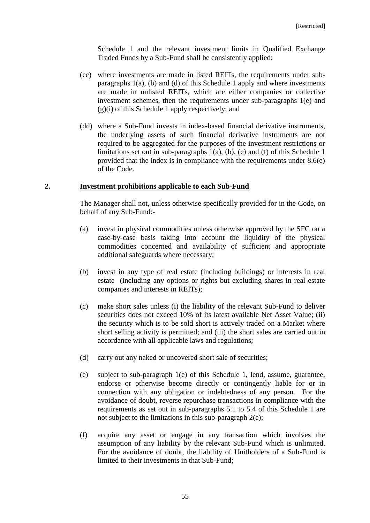Schedule 1 and the relevant investment limits in Qualified Exchange Traded Funds by a Sub-Fund shall be consistently applied;

- (cc) where investments are made in listed REITs, the requirements under subparagraphs 1(a), (b) and (d) of this Schedule 1 apply and where investments are made in unlisted REITs, which are either companies or collective investment schemes, then the requirements under sub-paragraphs 1(e) and  $(g)(i)$  of this Schedule 1 apply respectively; and
- (dd) where a Sub-Fund invests in index-based financial derivative instruments, the underlying assets of such financial derivative instruments are not required to be aggregated for the purposes of the investment restrictions or limitations set out in sub-paragraphs  $1(a)$ ,  $(b)$ ,  $(c)$  and  $(f)$  of this Schedule 1 provided that the index is in compliance with the requirements under 8.6(e) of the Code.

#### **2. Investment prohibitions applicable to each Sub-Fund**

The Manager shall not, unless otherwise specifically provided for in the Code, on behalf of any Sub-Fund:-

- (a) invest in physical commodities unless otherwise approved by the SFC on a case-by-case basis taking into account the liquidity of the physical commodities concerned and availability of sufficient and appropriate additional safeguards where necessary;
- (b) invest in any type of real estate (including buildings) or interests in real estate (including any options or rights but excluding shares in real estate companies and interests in REITs);
- (c) make short sales unless (i) the liability of the relevant Sub-Fund to deliver securities does not exceed 10% of its latest available Net Asset Value; (ii) the security which is to be sold short is actively traded on a Market where short selling activity is permitted; and (iii) the short sales are carried out in accordance with all applicable laws and regulations;
- (d) carry out any naked or uncovered short sale of securities;
- (e) subject to sub-paragraph 1(e) of this Schedule 1, lend, assume, guarantee, endorse or otherwise become directly or contingently liable for or in connection with any obligation or indebtedness of any person. For the avoidance of doubt, reverse repurchase transactions in compliance with the requirements as set out in sub-paragraphs 5.1 to 5.4 of this Schedule 1 are not subject to the limitations in this sub-paragraph 2(e);
- (f) acquire any asset or engage in any transaction which involves the assumption of any liability by the relevant Sub-Fund which is unlimited. For the avoidance of doubt, the liability of Unitholders of a Sub-Fund is limited to their investments in that Sub-Fund;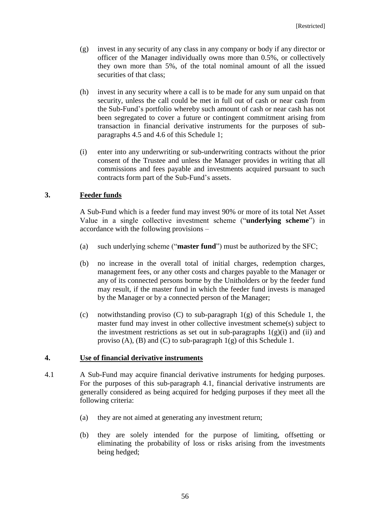- (g) invest in any security of any class in any company or body if any director or officer of the Manager individually owns more than 0.5%, or collectively they own more than 5%, of the total nominal amount of all the issued securities of that class;
- (h) invest in any security where a call is to be made for any sum unpaid on that security, unless the call could be met in full out of cash or near cash from the Sub-Fund's portfolio whereby such amount of cash or near cash has not been segregated to cover a future or contingent commitment arising from transaction in financial derivative instruments for the purposes of subparagraphs 4.5 and 4.6 of this Schedule 1;
- (i) enter into any underwriting or sub-underwriting contracts without the prior consent of the Trustee and unless the Manager provides in writing that all commissions and fees payable and investments acquired pursuant to such contracts form part of the Sub-Fund's assets.

# **3. Feeder funds**

A Sub-Fund which is a feeder fund may invest 90% or more of its total Net Asset Value in a single collective investment scheme ("**underlying scheme**") in accordance with the following provisions –

- (a) such underlying scheme ("**master fund**") must be authorized by the SFC;
- (b) no increase in the overall total of initial charges, redemption charges, management fees, or any other costs and charges payable to the Manager or any of its connected persons borne by the Unitholders or by the feeder fund may result, if the master fund in which the feeder fund invests is managed by the Manager or by a connected person of the Manager;
- (c) notwithstanding proviso (C) to sub-paragraph  $1(g)$  of this Schedule 1, the master fund may invest in other collective investment scheme(s) subject to the investment restrictions as set out in sub-paragraphs  $1(g)(i)$  and (ii) and proviso (A), (B) and (C) to sub-paragraph  $1(g)$  of this Schedule 1.

# **4. Use of financial derivative instruments**

- 4.1 A Sub-Fund may acquire financial derivative instruments for hedging purposes. For the purposes of this sub-paragraph 4.1, financial derivative instruments are generally considered as being acquired for hedging purposes if they meet all the following criteria:
	- (a) they are not aimed at generating any investment return;
	- (b) they are solely intended for the purpose of limiting, offsetting or eliminating the probability of loss or risks arising from the investments being hedged;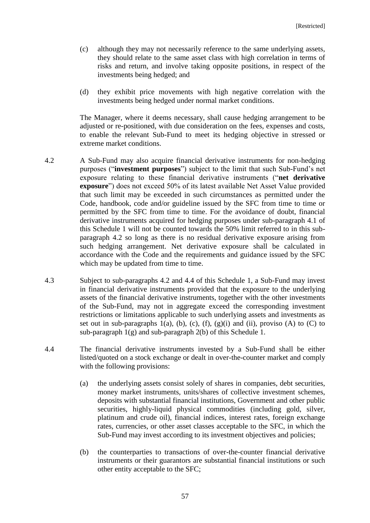- (c) although they may not necessarily reference to the same underlying assets, they should relate to the same asset class with high correlation in terms of risks and return, and involve taking opposite positions, in respect of the investments being hedged; and
- (d) they exhibit price movements with high negative correlation with the investments being hedged under normal market conditions.

The Manager, where it deems necessary, shall cause hedging arrangement to be adjusted or re-positioned, with due consideration on the fees, expenses and costs, to enable the relevant Sub-Fund to meet its hedging objective in stressed or extreme market conditions.

- 4.2 A Sub-Fund may also acquire financial derivative instruments for non-hedging purposes ("**investment purposes**") subject to the limit that such Sub-Fund's net exposure relating to these financial derivative instruments ("**net derivative exposure**") does not exceed 50% of its latest available Net Asset Value provided that such limit may be exceeded in such circumstances as permitted under the Code, handbook, code and/or guideline issued by the SFC from time to time or permitted by the SFC from time to time. For the avoidance of doubt, financial derivative instruments acquired for hedging purposes under sub-paragraph 4.1 of this Schedule 1 will not be counted towards the 50% limit referred to in this subparagraph 4.2 so long as there is no residual derivative exposure arising from such hedging arrangement. Net derivative exposure shall be calculated in accordance with the Code and the requirements and guidance issued by the SFC which may be updated from time to time.
- 4.3 Subject to sub-paragraphs 4.2 and 4.4 of this Schedule 1, a Sub-Fund may invest in financial derivative instruments provided that the exposure to the underlying assets of the financial derivative instruments, together with the other investments of the Sub-Fund, may not in aggregate exceed the corresponding investment restrictions or limitations applicable to such underlying assets and investments as set out in sub-paragraphs  $1(a)$ ,  $(b)$ ,  $(c)$ ,  $(f)$ ,  $(g)(i)$  and  $(ii)$ , proviso  $(A)$  to  $(C)$  to sub-paragraph  $1(g)$  and sub-paragraph  $2(b)$  of this Schedule 1.
- 4.4 The financial derivative instruments invested by a Sub-Fund shall be either listed/quoted on a stock exchange or dealt in over-the-counter market and comply with the following provisions:
	- (a) the underlying assets consist solely of shares in companies, debt securities, money market instruments, units/shares of collective investment schemes, deposits with substantial financial institutions, Government and other public securities, highly-liquid physical commodities (including gold, silver, platinum and crude oil), financial indices, interest rates, foreign exchange rates, currencies, or other asset classes acceptable to the SFC, in which the Sub-Fund may invest according to its investment objectives and policies;
	- (b) the counterparties to transactions of over-the-counter financial derivative instruments or their guarantors are substantial financial institutions or such other entity acceptable to the SFC;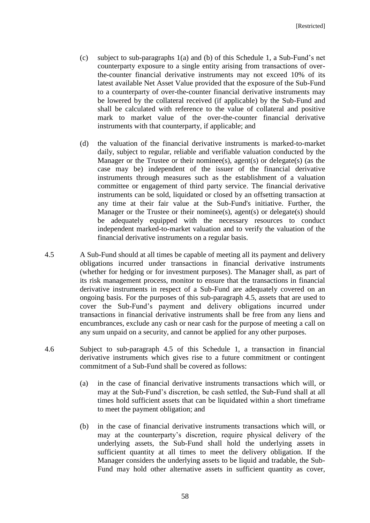- (c) subject to sub-paragraphs 1(a) and (b) of this Schedule 1, a Sub-Fund's net counterparty exposure to a single entity arising from transactions of overthe-counter financial derivative instruments may not exceed 10% of its latest available Net Asset Value provided that the exposure of the Sub-Fund to a counterparty of over-the-counter financial derivative instruments may be lowered by the collateral received (if applicable) by the Sub-Fund and shall be calculated with reference to the value of collateral and positive mark to market value of the over-the-counter financial derivative instruments with that counterparty, if applicable; and
- (d) the valuation of the financial derivative instruments is marked-to-market daily, subject to regular, reliable and verifiable valuation conducted by the Manager or the Trustee or their nominee(s), agent(s) or delegate(s) (as the case may be) independent of the issuer of the financial derivative instruments through measures such as the establishment of a valuation committee or engagement of third party service. The financial derivative instruments can be sold, liquidated or closed by an offsetting transaction at any time at their fair value at the Sub-Fund's initiative. Further, the Manager or the Trustee or their nominee(s), agent(s) or delegate(s) should be adequately equipped with the necessary resources to conduct independent marked-to-market valuation and to verify the valuation of the financial derivative instruments on a regular basis.
- 4.5 A Sub-Fund should at all times be capable of meeting all its payment and delivery obligations incurred under transactions in financial derivative instruments (whether for hedging or for investment purposes). The Manager shall, as part of its risk management process, monitor to ensure that the transactions in financial derivative instruments in respect of a Sub-Fund are adequately covered on an ongoing basis. For the purposes of this sub-paragraph 4.5, assets that are used to cover the Sub-Fund's payment and delivery obligations incurred under transactions in financial derivative instruments shall be free from any liens and encumbrances, exclude any cash or near cash for the purpose of meeting a call on any sum unpaid on a security, and cannot be applied for any other purposes.
- 4.6 Subject to sub-paragraph 4.5 of this Schedule 1, a transaction in financial derivative instruments which gives rise to a future commitment or contingent commitment of a Sub-Fund shall be covered as follows:
	- (a) in the case of financial derivative instruments transactions which will, or may at the Sub-Fund's discretion, be cash settled, the Sub-Fund shall at all times hold sufficient assets that can be liquidated within a short timeframe to meet the payment obligation; and
	- (b) in the case of financial derivative instruments transactions which will, or may at the counterparty's discretion, require physical delivery of the underlying assets, the Sub-Fund shall hold the underlying assets in sufficient quantity at all times to meet the delivery obligation. If the Manager considers the underlying assets to be liquid and tradable, the Sub-Fund may hold other alternative assets in sufficient quantity as cover,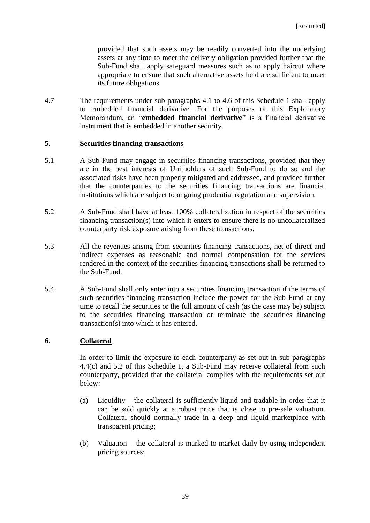provided that such assets may be readily converted into the underlying assets at any time to meet the delivery obligation provided further that the Sub-Fund shall apply safeguard measures such as to apply haircut where appropriate to ensure that such alternative assets held are sufficient to meet its future obligations.

4.7 The requirements under sub-paragraphs 4.1 to 4.6 of this Schedule 1 shall apply to embedded financial derivative. For the purposes of this Explanatory Memorandum, an "**embedded financial derivative**" is a financial derivative instrument that is embedded in another security.

## **5. Securities financing transactions**

- 5.1 A Sub-Fund may engage in securities financing transactions, provided that they are in the best interests of Unitholders of such Sub-Fund to do so and the associated risks have been properly mitigated and addressed, and provided further that the counterparties to the securities financing transactions are financial institutions which are subject to ongoing prudential regulation and supervision.
- 5.2 A Sub-Fund shall have at least 100% collateralization in respect of the securities financing transaction(s) into which it enters to ensure there is no uncollateralized counterparty risk exposure arising from these transactions.
- 5.3 All the revenues arising from securities financing transactions, net of direct and indirect expenses as reasonable and normal compensation for the services rendered in the context of the securities financing transactions shall be returned to the Sub-Fund.
- 5.4 A Sub-Fund shall only enter into a securities financing transaction if the terms of such securities financing transaction include the power for the Sub-Fund at any time to recall the securities or the full amount of cash (as the case may be) subject to the securities financing transaction or terminate the securities financing transaction(s) into which it has entered.

# **6. Collateral**

In order to limit the exposure to each counterparty as set out in sub-paragraphs 4.4(c) and 5.2 of this Schedule 1, a Sub-Fund may receive collateral from such counterparty, provided that the collateral complies with the requirements set out below:

- (a) Liquidity the collateral is sufficiently liquid and tradable in order that it can be sold quickly at a robust price that is close to pre-sale valuation. Collateral should normally trade in a deep and liquid marketplace with transparent pricing;
- (b) Valuation the collateral is marked-to-market daily by using independent pricing sources;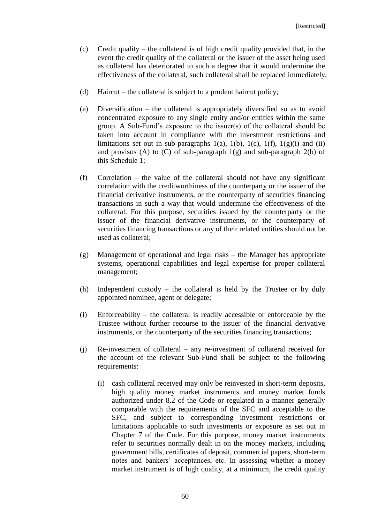- (c) Credit quality the collateral is of high credit quality provided that, in the event the credit quality of the collateral or the issuer of the asset being used as collateral has deteriorated to such a degree that it would undermine the effectiveness of the collateral, such collateral shall be replaced immediately;
- (d) Haircut the collateral is subject to a prudent haircut policy;
- (e) Diversification the collateral is appropriately diversified so as to avoid concentrated exposure to any single entity and/or entities within the same group. A Sub-Fund's exposure to the issuer(s) of the collateral should be taken into account in compliance with the investment restrictions and limitations set out in sub-paragraphs 1(a), 1(b), 1(c), 1(f), 1(g)(i) and (ii) and provisos (A) to (C) of sub-paragraph  $1(g)$  and sub-paragraph  $2(b)$  of this Schedule 1;
- (f) Correlation the value of the collateral should not have any significant correlation with the creditworthiness of the counterparty or the issuer of the financial derivative instruments, or the counterparty of securities financing transactions in such a way that would undermine the effectiveness of the collateral. For this purpose, securities issued by the counterparty or the issuer of the financial derivative instruments, or the counterparty of securities financing transactions or any of their related entities should not be used as collateral;
- (g) Management of operational and legal risks the Manager has appropriate systems, operational capabilities and legal expertise for proper collateral management;
- (h) Independent custody the collateral is held by the Trustee or by duly appointed nominee, agent or delegate;
- (i) Enforceability the collateral is readily accessible or enforceable by the Trustee without further recourse to the issuer of the financial derivative instruments, or the counterparty of the securities financing transactions;
- (j) Re-investment of collateral any re-investment of collateral received for the account of the relevant Sub-Fund shall be subject to the following requirements:
	- (i) cash collateral received may only be reinvested in short-term deposits, high quality money market instruments and money market funds authorized under 8.2 of the Code or regulated in a manner generally comparable with the requirements of the SFC and acceptable to the SFC, and subject to corresponding investment restrictions or limitations applicable to such investments or exposure as set out in Chapter 7 of the Code. For this purpose, money market instruments refer to securities normally dealt in on the money markets, including government bills, certificates of deposit, commercial papers, short-term notes and bankers' acceptances, etc. In assessing whether a money market instrument is of high quality, at a minimum, the credit quality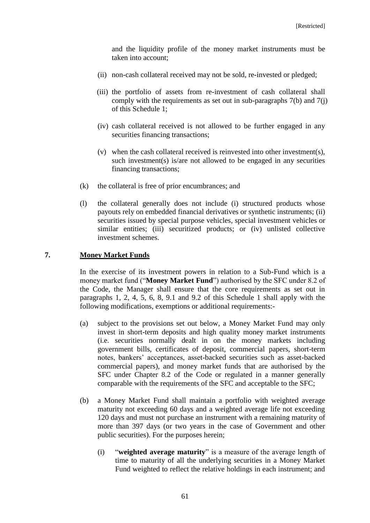and the liquidity profile of the money market instruments must be taken into account;

- (ii) non-cash collateral received may not be sold, re-invested or pledged;
- (iii) the portfolio of assets from re-investment of cash collateral shall comply with the requirements as set out in sub-paragraphs 7(b) and 7(j) of this Schedule 1;
- (iv) cash collateral received is not allowed to be further engaged in any securities financing transactions;
- (v) when the cash collateral received is reinvested into other investment(s), such investment(s) is/are not allowed to be engaged in any securities financing transactions;
- (k) the collateral is free of prior encumbrances; and
- (l) the collateral generally does not include (i) structured products whose payouts rely on embedded financial derivatives or synthetic instruments; (ii) securities issued by special purpose vehicles, special investment vehicles or similar entities; (iii) securitized products; or (iv) unlisted collective investment schemes.

### **7. Money Market Funds**

In the exercise of its investment powers in relation to a Sub-Fund which is a money market fund ("**Money Market Fund**") authorised by the SFC under 8.2 of the Code, the Manager shall ensure that the core requirements as set out in paragraphs 1, 2, 4, 5, 6, 8, 9.1 and 9.2 of this Schedule 1 shall apply with the following modifications, exemptions or additional requirements:-

- (a) subject to the provisions set out below, a Money Market Fund may only invest in short-term deposits and high quality money market instruments (i.e. securities normally dealt in on the money markets including government bills, certificates of deposit, commercial papers, short-term notes, bankers' acceptances, asset-backed securities such as asset-backed commercial papers), and money market funds that are authorised by the SFC under Chapter 8.2 of the Code or regulated in a manner generally comparable with the requirements of the SFC and acceptable to the SFC;
- (b) a Money Market Fund shall maintain a portfolio with weighted average maturity not exceeding 60 days and a weighted average life not exceeding 120 days and must not purchase an instrument with a remaining maturity of more than 397 days (or two years in the case of Government and other public securities). For the purposes herein;
	- (i) "**weighted average maturity**" is a measure of the average length of time to maturity of all the underlying securities in a Money Market Fund weighted to reflect the relative holdings in each instrument; and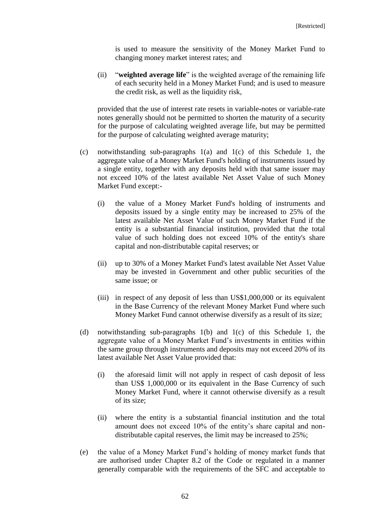is used to measure the sensitivity of the Money Market Fund to changing money market interest rates; and

(ii) "**weighted average life**" is the weighted average of the remaining life of each security held in a Money Market Fund; and is used to measure the credit risk, as well as the liquidity risk,

provided that the use of interest rate resets in variable-notes or variable-rate notes generally should not be permitted to shorten the maturity of a security for the purpose of calculating weighted average life, but may be permitted for the purpose of calculating weighted average maturity;

- (c) notwithstanding sub-paragraphs 1(a) and 1(c) of this Schedule 1, the aggregate value of a Money Market Fund's holding of instruments issued by a single entity, together with any deposits held with that same issuer may not exceed 10% of the latest available Net Asset Value of such Money Market Fund except:-
	- (i) the value of a Money Market Fund's holding of instruments and deposits issued by a single entity may be increased to 25% of the latest available Net Asset Value of such Money Market Fund if the entity is a substantial financial institution, provided that the total value of such holding does not exceed 10% of the entity's share capital and non-distributable capital reserves; or
	- (ii) up to 30% of a Money Market Fund's latest available Net Asset Value may be invested in Government and other public securities of the same issue; or
	- (iii) in respect of any deposit of less than US\$1,000,000 or its equivalent in the Base Currency of the relevant Money Market Fund where such Money Market Fund cannot otherwise diversify as a result of its size;
- (d) notwithstanding sub-paragraphs 1(b) and 1(c) of this Schedule 1, the aggregate value of a Money Market Fund's investments in entities within the same group through instruments and deposits may not exceed 20% of its latest available Net Asset Value provided that:
	- (i) the aforesaid limit will not apply in respect of cash deposit of less than US\$ 1,000,000 or its equivalent in the Base Currency of such Money Market Fund, where it cannot otherwise diversify as a result of its size;
	- (ii) where the entity is a substantial financial institution and the total amount does not exceed 10% of the entity's share capital and nondistributable capital reserves, the limit may be increased to 25%;
- (e) the value of a Money Market Fund's holding of money market funds that are authorised under Chapter 8.2 of the Code or regulated in a manner generally comparable with the requirements of the SFC and acceptable to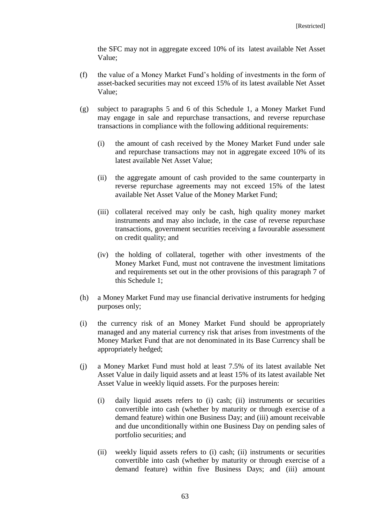the SFC may not in aggregate exceed 10% of its latest available Net Asset Value;

- (f) the value of a Money Market Fund's holding of investments in the form of asset-backed securities may not exceed 15% of its latest available Net Asset Value;
- (g) subject to paragraphs 5 and 6 of this Schedule 1, a Money Market Fund may engage in sale and repurchase transactions, and reverse repurchase transactions in compliance with the following additional requirements:
	- (i) the amount of cash received by the Money Market Fund under sale and repurchase transactions may not in aggregate exceed 10% of its latest available Net Asset Value;
	- (ii) the aggregate amount of cash provided to the same counterparty in reverse repurchase agreements may not exceed 15% of the latest available Net Asset Value of the Money Market Fund;
	- (iii) collateral received may only be cash, high quality money market instruments and may also include, in the case of reverse repurchase transactions, government securities receiving a favourable assessment on credit quality; and
	- (iv) the holding of collateral, together with other investments of the Money Market Fund, must not contravene the investment limitations and requirements set out in the other provisions of this paragraph 7 of this Schedule 1;
- (h) a Money Market Fund may use financial derivative instruments for hedging purposes only;
- (i) the currency risk of an Money Market Fund should be appropriately managed and any material currency risk that arises from investments of the Money Market Fund that are not denominated in its Base Currency shall be appropriately hedged;
- (j) a Money Market Fund must hold at least 7.5% of its latest available Net Asset Value in daily liquid assets and at least 15% of its latest available Net Asset Value in weekly liquid assets. For the purposes herein:
	- (i) daily liquid assets refers to (i) cash; (ii) instruments or securities convertible into cash (whether by maturity or through exercise of a demand feature) within one Business Day; and (iii) amount receivable and due unconditionally within one Business Day on pending sales of portfolio securities; and
	- (ii) weekly liquid assets refers to (i) cash; (ii) instruments or securities convertible into cash (whether by maturity or through exercise of a demand feature) within five Business Days; and (iii) amount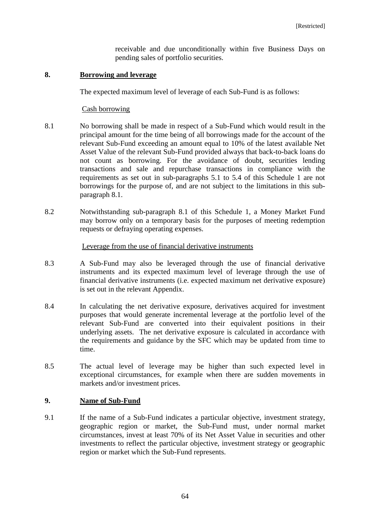receivable and due unconditionally within five Business Days on pending sales of portfolio securities.

### **8. Borrowing and leverage**

The expected maximum level of leverage of each Sub-Fund is as follows:

### Cash borrowing

- 8.1 No borrowing shall be made in respect of a Sub-Fund which would result in the principal amount for the time being of all borrowings made for the account of the relevant Sub-Fund exceeding an amount equal to 10% of the latest available Net Asset Value of the relevant Sub-Fund provided always that back-to-back loans do not count as borrowing. For the avoidance of doubt, securities lending transactions and sale and repurchase transactions in compliance with the requirements as set out in sub-paragraphs 5.1 to 5.4 of this Schedule 1 are not borrowings for the purpose of, and are not subject to the limitations in this subparagraph 8.1.
- 8.2 Notwithstanding sub-paragraph 8.1 of this Schedule 1, a Money Market Fund may borrow only on a temporary basis for the purposes of meeting redemption requests or defraying operating expenses.

## Leverage from the use of financial derivative instruments

- 8.3 A Sub-Fund may also be leveraged through the use of financial derivative instruments and its expected maximum level of leverage through the use of financial derivative instruments (i.e. expected maximum net derivative exposure) is set out in the relevant Appendix.
- 8.4 In calculating the net derivative exposure, derivatives acquired for investment purposes that would generate incremental leverage at the portfolio level of the relevant Sub-Fund are converted into their equivalent positions in their underlying assets. The net derivative exposure is calculated in accordance with the requirements and guidance by the SFC which may be updated from time to time.
- 8.5 The actual level of leverage may be higher than such expected level in exceptional circumstances, for example when there are sudden movements in markets and/or investment prices.

### **9. Name of Sub-Fund**

9.1 If the name of a Sub-Fund indicates a particular objective, investment strategy, geographic region or market, the Sub-Fund must, under normal market circumstances, invest at least 70% of its Net Asset Value in securities and other investments to reflect the particular objective, investment strategy or geographic region or market which the Sub-Fund represents.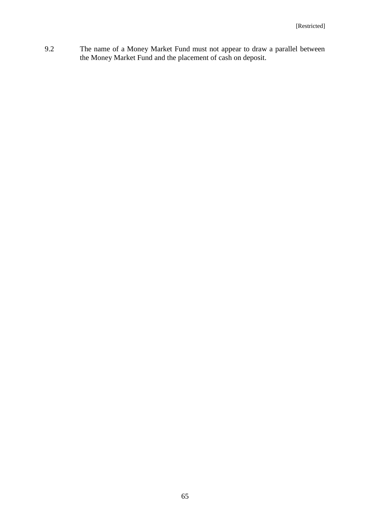9.2 The name of a Money Market Fund must not appear to draw a parallel between the Money Market Fund and the placement of cash on deposit.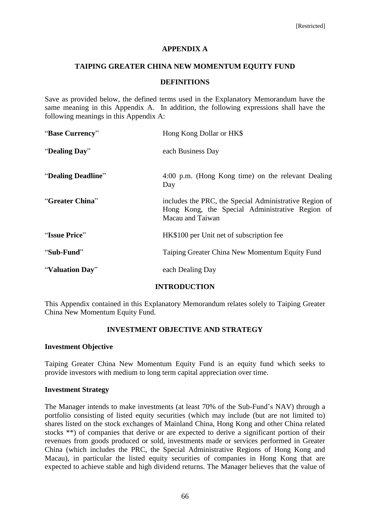## **APPENDIX A**

### **TAIPING GREATER CHINA NEW MOMENTUM EQUITY FUND**

### **DEFINITIONS**

Save as provided below, the defined terms used in the Explanatory Memorandum have the same meaning in this Appendix A. In addition, the following expressions shall have the following meanings in this Appendix A:

| "Base Currency"    | Hong Kong Dollar or HK\$                                                                                                      |
|--------------------|-------------------------------------------------------------------------------------------------------------------------------|
| "Dealing Day"      | each Business Day                                                                                                             |
| "Dealing Deadline" | 4:00 p.m. (Hong Kong time) on the relevant Dealing<br>Day                                                                     |
| "Greater China"    | includes the PRC, the Special Administrative Region of<br>Hong Kong, the Special Administrative Region of<br>Macau and Taiwan |
| "Issue Price"      | HK\$100 per Unit net of subscription fee                                                                                      |
| "Sub-Fund"         | Taiping Greater China New Momentum Equity Fund                                                                                |
| "Valuation Day"    | each Dealing Day                                                                                                              |

# **INTRODUCTION**

This Appendix contained in this Explanatory Memorandum relates solely to Taiping Greater China New Momentum Equity Fund.

# **INVESTMENT OBJECTIVE AND STRATEGY**

### **Investment Objective**

Taiping Greater China New Momentum Equity Fund is an equity fund which seeks to provide investors with medium to long term capital appreciation over time.

### **Investment Strategy**

The Manager intends to make investments (at least 70% of the Sub-Fund's NAV) through a portfolio consisting of listed equity securities (which may include (but are not limited to) shares listed on the stock exchanges of Mainland China, Hong Kong and other China related stocks \*\*) of companies that derive or are expected to derive a significant portion of their revenues from goods produced or sold, investments made or services performed in Greater China (which includes the PRC, the Special Administrative Regions of Hong Kong and Macau), in particular the listed equity securities of companies in Hong Kong that are expected to achieve stable and high dividend returns. The Manager believes that the value of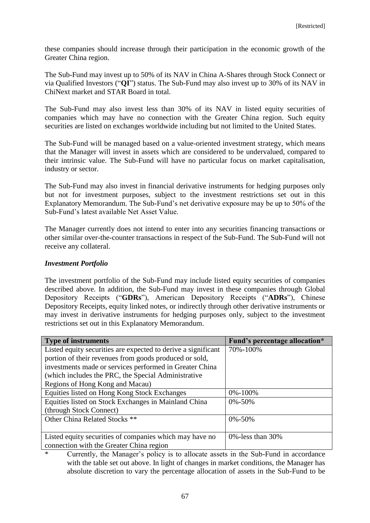these companies should increase through their participation in the economic growth of the Greater China region.

The Sub-Fund may invest up to 50% of its NAV in China A-Shares through Stock Connect or via Qualified Investors ("**QI**") status. The Sub-Fund may also invest up to 30% of its NAV in ChiNext market and STAR Board in total.

The Sub-Fund may also invest less than 30% of its NAV in listed equity securities of companies which may have no connection with the Greater China region. Such equity securities are listed on exchanges worldwide including but not limited to the United States.

The Sub-Fund will be managed based on a value-oriented investment strategy, which means that the Manager will invest in assets which are considered to be undervalued, compared to their intrinsic value. The Sub-Fund will have no particular focus on market capitalisation, industry or sector.

The Sub-Fund may also invest in financial derivative instruments for hedging purposes only but not for investment purposes, subject to the investment restrictions set out in this Explanatory Memorandum. The Sub-Fund's net derivative exposure may be up to 50% of the Sub-Fund's latest available Net Asset Value.

The Manager currently does not intend to enter into any securities financing transactions or other similar over-the-counter transactions in respect of the Sub-Fund. The Sub-Fund will not receive any collateral.

## *Investment Portfolio*

The investment portfolio of the Sub-Fund may include listed equity securities of companies described above. In addition, the Sub-Fund may invest in these companies through Global Depository Receipts ("**GDRs**"), American Depository Receipts ("**ADRs**"), Chinese Depository Receipts, equity linked notes, or indirectly through other derivative instruments or may invest in derivative instruments for hedging purposes only, subject to the investment restrictions set out in this Explanatory Memorandum.

| <b>Type of instruments</b>                                    | Fund's percentage allocation* |
|---------------------------------------------------------------|-------------------------------|
| Listed equity securities are expected to derive a significant | 70%-100%                      |
| portion of their revenues from goods produced or sold,        |                               |
| investments made or services performed in Greater China       |                               |
| (which includes the PRC, the Special Administrative           |                               |
| Regions of Hong Kong and Macau)                               |                               |
| Equities listed on Hong Kong Stock Exchanges                  | 0%-100%                       |
| Equities listed on Stock Exchanges in Mainland China          | $0\% - 50\%$                  |
| (through Stock Connect)                                       |                               |
| Other China Related Stocks <sup>**</sup>                      | $0\% - 50\%$                  |
|                                                               |                               |
| Listed equity securities of companies which may have no       | $0\%$ -less than 30%          |
| connection with the Greater China region                      |                               |

\* Currently, the Manager's policy is to allocate assets in the Sub-Fund in accordance with the table set out above. In light of changes in market conditions, the Manager has absolute discretion to vary the percentage allocation of assets in the Sub-Fund to be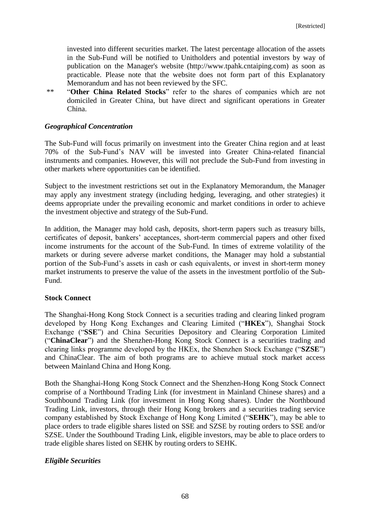invested into different securities market. The latest percentage allocation of the assets in the Sub-Fund will be notified to Unitholders and potential investors by way of publication on the Manager's website (http://www.tpahk.cntaiping.com) as soon as practicable. Please note that the website does not form part of this Explanatory Memorandum and has not been reviewed by the SFC.

\*\* "**Other China Related Stocks**" refer to the shares of companies which are not domiciled in Greater China, but have direct and significant operations in Greater China.

## *Geographical Concentration*

The Sub-Fund will focus primarily on investment into the Greater China region and at least 70% of the Sub-Fund's NAV will be invested into Greater China-related financial instruments and companies. However, this will not preclude the Sub-Fund from investing in other markets where opportunities can be identified.

Subject to the investment restrictions set out in the Explanatory Memorandum, the Manager may apply any investment strategy (including hedging, leveraging, and other strategies) it deems appropriate under the prevailing economic and market conditions in order to achieve the investment objective and strategy of the Sub-Fund.

In addition, the Manager may hold cash, deposits, short-term papers such as treasury bills, certificates of deposit, bankers' acceptances, short-term commercial papers and other fixed income instruments for the account of the Sub-Fund. In times of extreme volatility of the markets or during severe adverse market conditions, the Manager may hold a substantial portion of the Sub-Fund's assets in cash or cash equivalents, or invest in short-term money market instruments to preserve the value of the assets in the investment portfolio of the Sub-Fund.

### **Stock Connect**

The Shanghai-Hong Kong Stock Connect is a securities trading and clearing linked program developed by Hong Kong Exchanges and Clearing Limited ("**HKEx**"), Shanghai Stock Exchange ("**SSE**") and China Securities Depository and Clearing Corporation Limited ("**ChinaClear**") and the Shenzhen-Hong Kong Stock Connect is a securities trading and clearing links programme developed by the HKEx, the Shenzhen Stock Exchange ("**SZSE**") and ChinaClear. The aim of both programs are to achieve mutual stock market access between Mainland China and Hong Kong.

Both the Shanghai-Hong Kong Stock Connect and the Shenzhen-Hong Kong Stock Connect comprise of a Northbound Trading Link (for investment in Mainland Chinese shares) and a Southbound Trading Link (for investment in Hong Kong shares). Under the Northbound Trading Link, investors, through their Hong Kong brokers and a securities trading service company established by Stock Exchange of Hong Kong Limited ("**SEHK**"), may be able to place orders to trade eligible shares listed on SSE and SZSE by routing orders to SSE and/or SZSE. Under the Southbound Trading Link, eligible investors, may be able to place orders to trade eligible shares listed on SEHK by routing orders to SEHK.

### *Eligible Securities*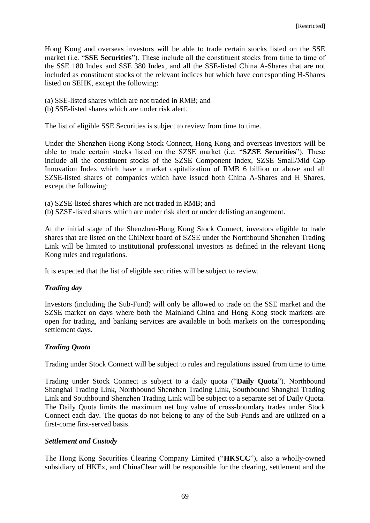Hong Kong and overseas investors will be able to trade certain stocks listed on the SSE market (i.e. "**SSE Securities**"). These include all the constituent stocks from time to time of the SSE 180 Index and SSE 380 Index, and all the SSE-listed China A-Shares that are not included as constituent stocks of the relevant indices but which have corresponding H-Shares listed on SEHK, except the following:

- (a) SSE-listed shares which are not traded in RMB; and
- (b) SSE-listed shares which are under risk alert.

The list of eligible SSE Securities is subject to review from time to time.

Under the Shenzhen-Hong Kong Stock Connect, Hong Kong and overseas investors will be able to trade certain stocks listed on the SZSE market (i.e. "**SZSE Securities**"). These include all the constituent stocks of the SZSE Component Index, SZSE Small/Mid Cap Innovation Index which have a market capitalization of RMB 6 billion or above and all SZSE-listed shares of companies which have issued both China A-Shares and H Shares, except the following:

- (a) SZSE-listed shares which are not traded in RMB; and
- (b) SZSE-listed shares which are under risk alert or under delisting arrangement.

At the initial stage of the Shenzhen-Hong Kong Stock Connect, investors eligible to trade shares that are listed on the ChiNext board of SZSE under the Northbound Shenzhen Trading Link will be limited to institutional professional investors as defined in the relevant Hong Kong rules and regulations.

It is expected that the list of eligible securities will be subject to review.

# *Trading day*

Investors (including the Sub-Fund) will only be allowed to trade on the SSE market and the SZSE market on days where both the Mainland China and Hong Kong stock markets are open for trading, and banking services are available in both markets on the corresponding settlement days.

# *Trading Quota*

Trading under Stock Connect will be subject to rules and regulations issued from time to time.

Trading under Stock Connect is subject to a daily quota ("**Daily Quota**"). Northbound Shanghai Trading Link, Northbound Shenzhen Trading Link, Southbound Shanghai Trading Link and Southbound Shenzhen Trading Link will be subject to a separate set of Daily Quota. The Daily Quota limits the maximum net buy value of cross-boundary trades under Stock Connect each day. The quotas do not belong to any of the Sub-Funds and are utilized on a first-come first-served basis.

# *Settlement and Custody*

The Hong Kong Securities Clearing Company Limited ("**HKSCC**"), also a wholly-owned subsidiary of HKEx, and ChinaClear will be responsible for the clearing, settlement and the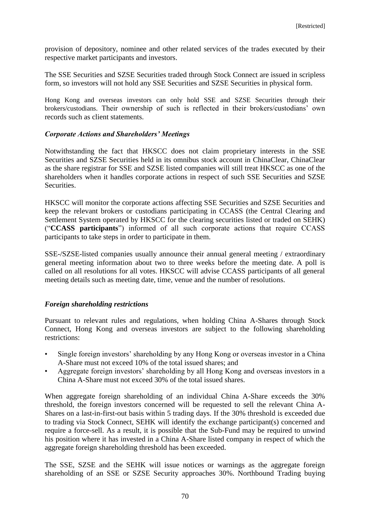provision of depository, nominee and other related services of the trades executed by their respective market participants and investors.

The SSE Securities and SZSE Securities traded through Stock Connect are issued in scripless form, so investors will not hold any SSE Securities and SZSE Securities in physical form.

Hong Kong and overseas investors can only hold SSE and SZSE Securities through their brokers/custodians. Their ownership of such is reflected in their brokers/custodians' own records such as client statements.

### *Corporate Actions and Shareholders' Meetings*

Notwithstanding the fact that HKSCC does not claim proprietary interests in the SSE Securities and SZSE Securities held in its omnibus stock account in ChinaClear, ChinaClear as the share registrar for SSE and SZSE listed companies will still treat HKSCC as one of the shareholders when it handles corporate actions in respect of such SSE Securities and SZSE **Securities** 

HKSCC will monitor the corporate actions affecting SSE Securities and SZSE Securities and keep the relevant brokers or custodians participating in CCASS (the Central Clearing and Settlement System operated by HKSCC for the clearing securities listed or traded on SEHK) ("**CCASS participants**") informed of all such corporate actions that require CCASS participants to take steps in order to participate in them.

SSE-/SZSE-listed companies usually announce their annual general meeting / extraordinary general meeting information about two to three weeks before the meeting date. A poll is called on all resolutions for all votes. HKSCC will advise CCASS participants of all general meeting details such as meeting date, time, venue and the number of resolutions.

# *Foreign shareholding restrictions*

Pursuant to relevant rules and regulations, when holding China A-Shares through Stock Connect, Hong Kong and overseas investors are subject to the following shareholding restrictions:

- Single foreign investors' shareholding by any Hong Kong or overseas investor in a China A-Share must not exceed 10% of the total issued shares; and
- Aggregate foreign investors' shareholding by all Hong Kong and overseas investors in a China A-Share must not exceed 30% of the total issued shares.

When aggregate foreign shareholding of an individual China A-Share exceeds the 30% threshold, the foreign investors concerned will be requested to sell the relevant China A-Shares on a last-in-first-out basis within 5 trading days. If the 30% threshold is exceeded due to trading via Stock Connect, SEHK will identify the exchange participant(s) concerned and require a force-sell. As a result, it is possible that the Sub-Fund may be required to unwind his position where it has invested in a China A-Share listed company in respect of which the aggregate foreign shareholding threshold has been exceeded.

The SSE, SZSE and the SEHK will issue notices or warnings as the aggregate foreign shareholding of an SSE or SZSE Security approaches 30%. Northbound Trading buying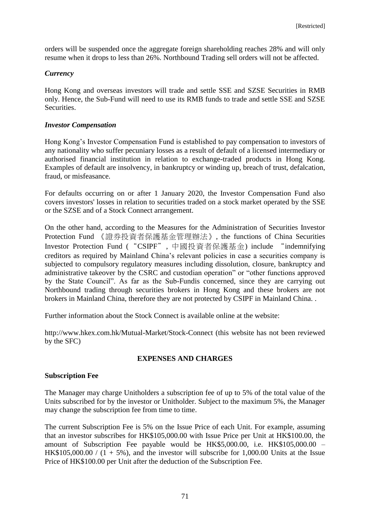orders will be suspended once the aggregate foreign shareholding reaches 28% and will only resume when it drops to less than 26%. Northbound Trading sell orders will not be affected.

## *Currency*

Hong Kong and overseas investors will trade and settle SSE and SZSE Securities in RMB only. Hence, the Sub-Fund will need to use its RMB funds to trade and settle SSE and SZSE Securities.

### *Investor Compensation*

Hong Kong's Investor Compensation Fund is established to pay compensation to investors of any nationality who suffer pecuniary losses as a result of default of a licensed intermediary or authorised financial institution in relation to exchange-traded products in Hong Kong. Examples of default are insolvency, in bankruptcy or winding up, breach of trust, defalcation, fraud, or misfeasance.

For defaults occurring on or after 1 January 2020, the Investor Compensation Fund also covers investors' losses in relation to securities traded on a stock market operated by the SSE or the SZSE and of a Stock Connect arrangement.

On the other hand, according to the Measures for the Administration of Securities Investor Protection Fund 《證券投資者保護基金管理辦法》, the functions of China Securities Investor Protection Fund ("CSIPF", 中國投資者保護基金) include "indemnifying creditors as required by Mainland China's relevant policies in case a securities company is subjected to compulsory regulatory measures including dissolution, closure, bankruptcy and administrative takeover by the CSRC and custodian operation" or "other functions approved by the State Council". As far as the Sub-Fundis concerned, since they are carrying out Northbound trading through securities brokers in Hong Kong and these brokers are not brokers in Mainland China, therefore they are not protected by CSIPF in Mainland China. .

Further information about the Stock Connect is available online at the website:

http://www.hkex.com.hk/Mutual-Market/Stock-Connect (this website has not been reviewed by the SFC)

# **EXPENSES AND CHARGES**

#### **Subscription Fee**

The Manager may charge Unitholders a subscription fee of up to 5% of the total value of the Units subscribed for by the investor or Unitholder. Subject to the maximum 5%, the Manager may change the subscription fee from time to time.

The current Subscription Fee is 5% on the Issue Price of each Unit. For example, assuming that an investor subscribes for HK\$105,000.00 with Issue Price per Unit at HK\$100.00, the amount of Subscription Fee payable would be HK\$5,000.00, i.e. HK\$105,000.00 – HK\$105,000.00 /  $(1 + 5\%)$ , and the investor will subscribe for 1,000.00 Units at the Issue Price of HK\$100.00 per Unit after the deduction of the Subscription Fee.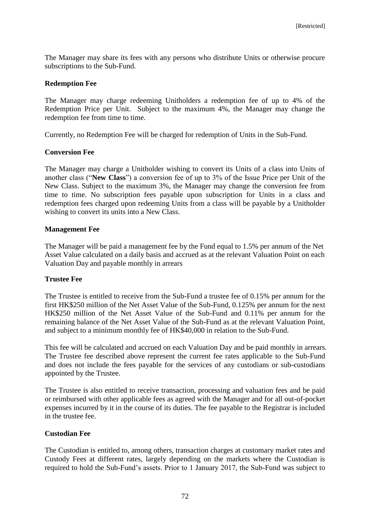The Manager may share its fees with any persons who distribute Units or otherwise procure subscriptions to the Sub-Fund.

### **Redemption Fee**

The Manager may charge redeeming Unitholders a redemption fee of up to 4% of the Redemption Price per Unit. Subject to the maximum 4%, the Manager may change the redemption fee from time to time.

Currently, no Redemption Fee will be charged for redemption of Units in the Sub-Fund.

### **Conversion Fee**

The Manager may charge a Unitholder wishing to convert its Units of a class into Units of another class ("**New Class**") a conversion fee of up to 3% of the Issue Price per Unit of the New Class. Subject to the maximum 3%, the Manager may change the conversion fee from time to time. No subscription fees payable upon subscription for Units in a class and redemption fees charged upon redeeming Units from a class will be payable by a Unitholder wishing to convert its units into a New Class.

### **Management Fee**

The Manager will be paid a management fee by the Fund equal to 1.5% per annum of the Net Asset Value calculated on a daily basis and accrued as at the relevant Valuation Point on each Valuation Day and payable monthly in arrears

# **Trustee Fee**

The Trustee is entitled to receive from the Sub-Fund a trustee fee of 0.15% per annum for the first HK\$250 million of the Net Asset Value of the Sub-Fund, 0.125% per annum for the next HK\$250 million of the Net Asset Value of the Sub-Fund and 0.11% per annum for the remaining balance of the Net Asset Value of the Sub-Fund as at the relevant Valuation Point, and subject to a minimum monthly fee of HK\$40,000 in relation to the Sub-Fund.

This fee will be calculated and accrued on each Valuation Day and be paid monthly in arrears. The Trustee fee described above represent the current fee rates applicable to the Sub-Fund and does not include the fees payable for the services of any custodians or sub-custodians appointed by the Trustee.

The Trustee is also entitled to receive transaction, processing and valuation fees and be paid or reimbursed with other applicable fees as agreed with the Manager and for all out-of-pocket expenses incurred by it in the course of its duties. The fee payable to the Registrar is included in the trustee fee.

#### **Custodian Fee**

The Custodian is entitled to, among others, transaction charges at customary market rates and Custody Fees at different rates, largely depending on the markets where the Custodian is required to hold the Sub-Fund's assets. Prior to 1 January 2017, the Sub-Fund was subject to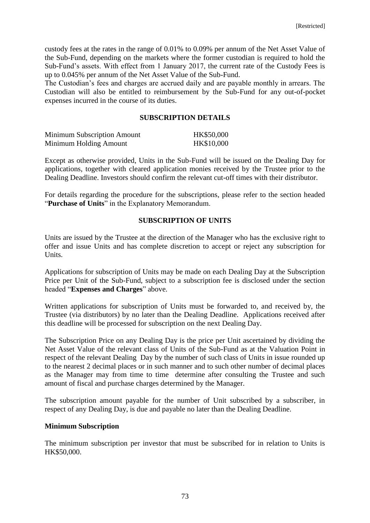custody fees at the rates in the range of 0.01% to 0.09% per annum of the Net Asset Value of the Sub-Fund, depending on the markets where the former custodian is required to hold the Sub-Fund's assets. With effect from 1 January 2017, the current rate of the Custody Fees is up to 0.045% per annum of the Net Asset Value of the Sub-Fund.

The Custodian's fees and charges are accrued daily and are payable monthly in arrears. The Custodian will also be entitled to reimbursement by the Sub-Fund for any out-of-pocket expenses incurred in the course of its duties.

### **SUBSCRIPTION DETAILS**

| <b>Minimum Subscription Amount</b> | HK\$50,000 |
|------------------------------------|------------|
| Minimum Holding Amount             | HK\$10,000 |

Except as otherwise provided, Units in the Sub-Fund will be issued on the Dealing Day for applications, together with cleared application monies received by the Trustee prior to the Dealing Deadline. Investors should confirm the relevant cut-off times with their distributor.

For details regarding the procedure for the subscriptions, please refer to the section headed "**Purchase of Units**" in the Explanatory Memorandum.

### **SUBSCRIPTION OF UNITS**

Units are issued by the Trustee at the direction of the Manager who has the exclusive right to offer and issue Units and has complete discretion to accept or reject any subscription for Units.

Applications for subscription of Units may be made on each Dealing Day at the Subscription Price per Unit of the Sub-Fund, subject to a subscription fee is disclosed under the section headed "**Expenses and Charges**" above.

Written applications for subscription of Units must be forwarded to, and received by, the Trustee (via distributors) by no later than the Dealing Deadline. Applications received after this deadline will be processed for subscription on the next Dealing Day.

The Subscription Price on any Dealing Day is the price per Unit ascertained by dividing the Net Asset Value of the relevant class of Units of the Sub-Fund as at the Valuation Point in respect of the relevant Dealing Day by the number of such class of Units in issue rounded up to the nearest 2 decimal places or in such manner and to such other number of decimal places as the Manager may from time to time determine after consulting the Trustee and such amount of fiscal and purchase charges determined by the Manager.

The subscription amount payable for the number of Unit subscribed by a subscriber, in respect of any Dealing Day, is due and payable no later than the Dealing Deadline.

#### **Minimum Subscription**

The minimum subscription per investor that must be subscribed for in relation to Units is HK\$50,000.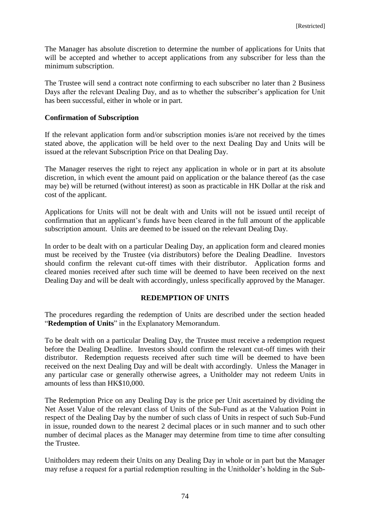The Manager has absolute discretion to determine the number of applications for Units that will be accepted and whether to accept applications from any subscriber for less than the minimum subscription.

The Trustee will send a contract note confirming to each subscriber no later than 2 Business Days after the relevant Dealing Day, and as to whether the subscriber's application for Unit has been successful, either in whole or in part.

#### **Confirmation of Subscription**

If the relevant application form and/or subscription monies is/are not received by the times stated above, the application will be held over to the next Dealing Day and Units will be issued at the relevant Subscription Price on that Dealing Day.

The Manager reserves the right to reject any application in whole or in part at its absolute discretion, in which event the amount paid on application or the balance thereof (as the case may be) will be returned (without interest) as soon as practicable in HK Dollar at the risk and cost of the applicant.

Applications for Units will not be dealt with and Units will not be issued until receipt of confirmation that an applicant's funds have been cleared in the full amount of the applicable subscription amount. Units are deemed to be issued on the relevant Dealing Day.

In order to be dealt with on a particular Dealing Day, an application form and cleared monies must be received by the Trustee (via distributors) before the Dealing Deadline. Investors should confirm the relevant cut-off times with their distributor. Application forms and cleared monies received after such time will be deemed to have been received on the next Dealing Day and will be dealt with accordingly, unless specifically approved by the Manager.

#### **REDEMPTION OF UNITS**

The procedures regarding the redemption of Units are described under the section headed "**Redemption of Units**" in the Explanatory Memorandum.

To be dealt with on a particular Dealing Day, the Trustee must receive a redemption request before the Dealing Deadline. Investors should confirm the relevant cut-off times with their distributor. Redemption requests received after such time will be deemed to have been received on the next Dealing Day and will be dealt with accordingly. Unless the Manager in any particular case or generally otherwise agrees, a Unitholder may not redeem Units in amounts of less than HK\$10,000.

The Redemption Price on any Dealing Day is the price per Unit ascertained by dividing the Net Asset Value of the relevant class of Units of the Sub-Fund as at the Valuation Point in respect of the Dealing Day by the number of such class of Units in respect of such Sub-Fund in issue, rounded down to the nearest 2 decimal places or in such manner and to such other number of decimal places as the Manager may determine from time to time after consulting the Trustee.

Unitholders may redeem their Units on any Dealing Day in whole or in part but the Manager may refuse a request for a partial redemption resulting in the Unitholder's holding in the Sub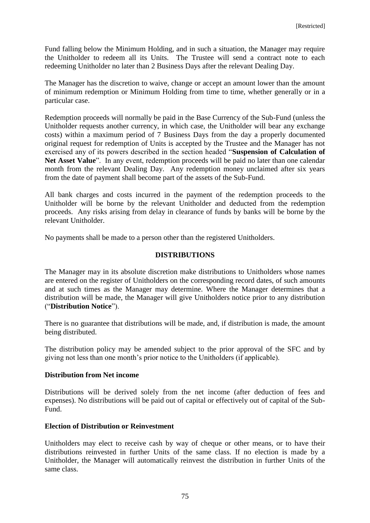Fund falling below the Minimum Holding, and in such a situation, the Manager may require the Unitholder to redeem all its Units. The Trustee will send a contract note to each redeeming Unitholder no later than 2 Business Days after the relevant Dealing Day.

The Manager has the discretion to waive, change or accept an amount lower than the amount of minimum redemption or Minimum Holding from time to time, whether generally or in a particular case.

Redemption proceeds will normally be paid in the Base Currency of the Sub-Fund (unless the Unitholder requests another currency, in which case, the Unitholder will bear any exchange costs) within a maximum period of 7 Business Days from the day a properly documented original request for redemption of Units is accepted by the Trustee and the Manager has not exercised any of its powers described in the section headed "**Suspension of Calculation of**  Net Asset Value<sup>"</sup>. In any event, redemption proceeds will be paid no later than one calendar month from the relevant Dealing Day. Any redemption money unclaimed after six years from the date of payment shall become part of the assets of the Sub-Fund.

All bank charges and costs incurred in the payment of the redemption proceeds to the Unitholder will be borne by the relevant Unitholder and deducted from the redemption proceeds. Any risks arising from delay in clearance of funds by banks will be borne by the relevant Unitholder.

No payments shall be made to a person other than the registered Unitholders.

#### **DISTRIBUTIONS**

The Manager may in its absolute discretion make distributions to Unitholders whose names are entered on the register of Unitholders on the corresponding record dates, of such amounts and at such times as the Manager may determine. Where the Manager determines that a distribution will be made, the Manager will give Unitholders notice prior to any distribution ("**Distribution Notice**").

There is no guarantee that distributions will be made, and, if distribution is made, the amount being distributed.

The distribution policy may be amended subject to the prior approval of the SFC and by giving not less than one month's prior notice to the Unitholders (if applicable).

#### **Distribution from Net income**

Distributions will be derived solely from the net income (after deduction of fees and expenses). No distributions will be paid out of capital or effectively out of capital of the Sub-Fund.

# **Election of Distribution or Reinvestment**

Unitholders may elect to receive cash by way of cheque or other means, or to have their distributions reinvested in further Units of the same class. If no election is made by a Unitholder, the Manager will automatically reinvest the distribution in further Units of the same class.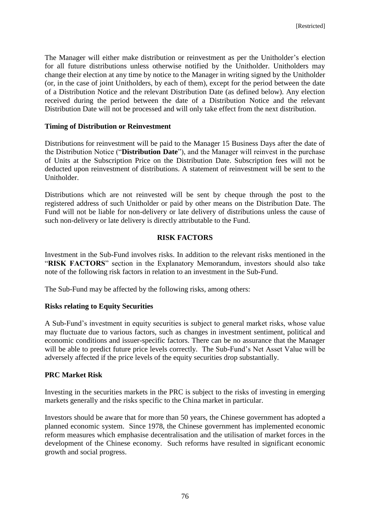The Manager will either make distribution or reinvestment as per the Unitholder's election for all future distributions unless otherwise notified by the Unitholder. Unitholders may change their election at any time by notice to the Manager in writing signed by the Unitholder (or, in the case of joint Unitholders, by each of them), except for the period between the date of a Distribution Notice and the relevant Distribution Date (as defined below). Any election received during the period between the date of a Distribution Notice and the relevant Distribution Date will not be processed and will only take effect from the next distribution.

#### **Timing of Distribution or Reinvestment**

Distributions for reinvestment will be paid to the Manager 15 Business Days after the date of the Distribution Notice ("**Distribution Date**"), and the Manager will reinvest in the purchase of Units at the Subscription Price on the Distribution Date. Subscription fees will not be deducted upon reinvestment of distributions. A statement of reinvestment will be sent to the Unitholder.

Distributions which are not reinvested will be sent by cheque through the post to the registered address of such Unitholder or paid by other means on the Distribution Date. The Fund will not be liable for non-delivery or late delivery of distributions unless the cause of such non-delivery or late delivery is directly attributable to the Fund.

# **RISK FACTORS**

Investment in the Sub-Fund involves risks. In addition to the relevant risks mentioned in the "**RISK FACTORS**" section in the Explanatory Memorandum, investors should also take note of the following risk factors in relation to an investment in the Sub-Fund.

The Sub-Fund may be affected by the following risks, among others:

#### **Risks relating to Equity Securities**

A Sub-Fund's investment in equity securities is subject to general market risks, whose value may fluctuate due to various factors, such as changes in investment sentiment, political and economic conditions and issuer-specific factors. There can be no assurance that the Manager will be able to predict future price levels correctly. The Sub-Fund's Net Asset Value will be adversely affected if the price levels of the equity securities drop substantially.

#### **PRC Market Risk**

Investing in the securities markets in the PRC is subject to the risks of investing in emerging markets generally and the risks specific to the China market in particular.

Investors should be aware that for more than 50 years, the Chinese government has adopted a planned economic system. Since 1978, the Chinese government has implemented economic reform measures which emphasise decentralisation and the utilisation of market forces in the development of the Chinese economy. Such reforms have resulted in significant economic growth and social progress.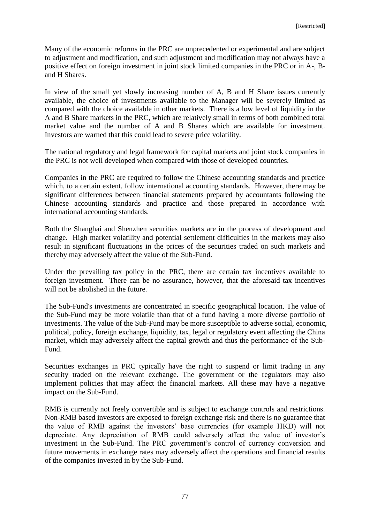Many of the economic reforms in the PRC are unprecedented or experimental and are subject to adjustment and modification, and such adjustment and modification may not always have a positive effect on foreign investment in joint stock limited companies in the PRC or in A-, Band H Shares.

In view of the small yet slowly increasing number of A, B and H Share issues currently available, the choice of investments available to the Manager will be severely limited as compared with the choice available in other markets. There is a low level of liquidity in the A and B Share markets in the PRC, which are relatively small in terms of both combined total market value and the number of A and B Shares which are available for investment. Investors are warned that this could lead to severe price volatility.

The national regulatory and legal framework for capital markets and joint stock companies in the PRC is not well developed when compared with those of developed countries.

Companies in the PRC are required to follow the Chinese accounting standards and practice which, to a certain extent, follow international accounting standards. However, there may be significant differences between financial statements prepared by accountants following the Chinese accounting standards and practice and those prepared in accordance with international accounting standards.

Both the Shanghai and Shenzhen securities markets are in the process of development and change. High market volatility and potential settlement difficulties in the markets may also result in significant fluctuations in the prices of the securities traded on such markets and thereby may adversely affect the value of the Sub-Fund.

Under the prevailing tax policy in the PRC, there are certain tax incentives available to foreign investment. There can be no assurance, however, that the aforesaid tax incentives will not be abolished in the future.

The Sub-Fund's investments are concentrated in specific geographical location. The value of the Sub-Fund may be more volatile than that of a fund having a more diverse portfolio of investments. The value of the Sub-Fund may be more susceptible to adverse social, economic, political, policy, foreign exchange, liquidity, tax, legal or regulatory event affecting the China market, which may adversely affect the capital growth and thus the performance of the Sub-Fund.

Securities exchanges in PRC typically have the right to suspend or limit trading in any security traded on the relevant exchange. The government or the regulators may also implement policies that may affect the financial markets. All these may have a negative impact on the Sub-Fund.

RMB is currently not freely convertible and is subject to exchange controls and restrictions. Non-RMB based investors are exposed to foreign exchange risk and there is no guarantee that the value of RMB against the investors' base currencies (for example HKD) will not depreciate. Any depreciation of RMB could adversely affect the value of investor's investment in the Sub-Fund. The PRC government's control of currency conversion and future movements in exchange rates may adversely affect the operations and financial results of the companies invested in by the Sub-Fund.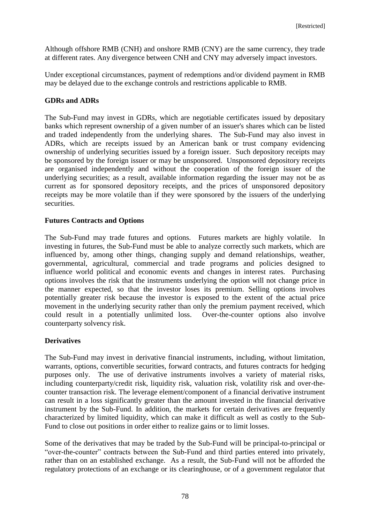Although offshore RMB (CNH) and onshore RMB (CNY) are the same currency, they trade at different rates. Any divergence between CNH and CNY may adversely impact investors.

Under exceptional circumstances, payment of redemptions and/or dividend payment in RMB may be delayed due to the exchange controls and restrictions applicable to RMB.

## **GDRs and ADRs**

The Sub-Fund may invest in GDRs, which are negotiable certificates issued by depositary banks which represent ownership of a given number of an issuer's shares which can be listed and traded independently from the underlying shares. The Sub-Fund may also invest in ADRs, which are receipts issued by an American bank or trust company evidencing ownership of underlying securities issued by a foreign issuer. Such depository receipts may be sponsored by the foreign issuer or may be unsponsored. Unsponsored depository receipts are organised independently and without the cooperation of the foreign issuer of the underlying securities; as a result, available information regarding the issuer may not be as current as for sponsored depository receipts, and the prices of unsponsored depository receipts may be more volatile than if they were sponsored by the issuers of the underlying securities.

### **Futures Contracts and Options**

The Sub-Fund may trade futures and options. Futures markets are highly volatile. In investing in futures, the Sub-Fund must be able to analyze correctly such markets, which are influenced by, among other things, changing supply and demand relationships, weather, governmental, agricultural, commercial and trade programs and policies designed to influence world political and economic events and changes in interest rates. Purchasing options involves the risk that the instruments underlying the option will not change price in the manner expected, so that the investor loses its premium. Selling options involves potentially greater risk because the investor is exposed to the extent of the actual price movement in the underlying security rather than only the premium payment received, which could result in a potentially unlimited loss. Over-the-counter options also involve counterparty solvency risk.

# **Derivatives**

The Sub-Fund may invest in derivative financial instruments, including, without limitation, warrants, options, convertible securities, forward contracts, and futures contracts for hedging purposes only. The use of derivative instruments involves a variety of material risks, including counterparty/credit risk, liquidity risk, valuation risk, volatility risk and over-thecounter transaction risk. The leverage element/component of a financial derivative instrument can result in a loss significantly greater than the amount invested in the financial derivative instrument by the Sub-Fund. In addition, the markets for certain derivatives are frequently characterized by limited liquidity, which can make it difficult as well as costly to the Sub-Fund to close out positions in order either to realize gains or to limit losses.

Some of the derivatives that may be traded by the Sub-Fund will be principal-to-principal or "over-the-counter" contracts between the Sub-Fund and third parties entered into privately, rather than on an established exchange. As a result, the Sub-Fund will not be afforded the regulatory protections of an exchange or its clearinghouse, or of a government regulator that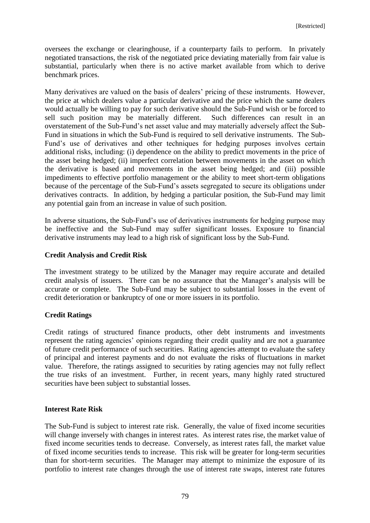oversees the exchange or clearinghouse, if a counterparty fails to perform. In privately negotiated transactions, the risk of the negotiated price deviating materially from fair value is substantial, particularly when there is no active market available from which to derive benchmark prices.

Many derivatives are valued on the basis of dealers' pricing of these instruments. However, the price at which dealers value a particular derivative and the price which the same dealers would actually be willing to pay for such derivative should the Sub-Fund wish or be forced to sell such position may be materially different. Such differences can result in an overstatement of the Sub-Fund's net asset value and may materially adversely affect the Sub-Fund in situations in which the Sub-Fund is required to sell derivative instruments. The Sub-Fund's use of derivatives and other techniques for hedging purposes involves certain additional risks, including: (i) dependence on the ability to predict movements in the price of the asset being hedged; (ii) imperfect correlation between movements in the asset on which the derivative is based and movements in the asset being hedged; and (iii) possible impediments to effective portfolio management or the ability to meet short-term obligations because of the percentage of the Sub-Fund's assets segregated to secure its obligations under derivatives contracts. In addition, by hedging a particular position, the Sub-Fund may limit any potential gain from an increase in value of such position.

In adverse situations, the Sub-Fund's use of derivatives instruments for hedging purpose may be ineffective and the Sub-Fund may suffer significant losses. Exposure to financial derivative instruments may lead to a high risk of significant loss by the Sub-Fund.

### **Credit Analysis and Credit Risk**

The investment strategy to be utilized by the Manager may require accurate and detailed credit analysis of issuers. There can be no assurance that the Manager's analysis will be accurate or complete. The Sub-Fund may be subject to substantial losses in the event of credit deterioration or bankruptcy of one or more issuers in its portfolio.

# **Credit Ratings**

Credit ratings of structured finance products, other debt instruments and investments represent the rating agencies' opinions regarding their credit quality and are not a guarantee of future credit performance of such securities. Rating agencies attempt to evaluate the safety of principal and interest payments and do not evaluate the risks of fluctuations in market value. Therefore, the ratings assigned to securities by rating agencies may not fully reflect the true risks of an investment. Further, in recent years, many highly rated structured securities have been subject to substantial losses.

# **Interest Rate Risk**

The Sub-Fund is subject to interest rate risk. Generally, the value of fixed income securities will change inversely with changes in interest rates. As interest rates rise, the market value of fixed income securities tends to decrease. Conversely, as interest rates fall, the market value of fixed income securities tends to increase. This risk will be greater for long-term securities than for short-term securities. The Manager may attempt to minimize the exposure of its portfolio to interest rate changes through the use of interest rate swaps, interest rate futures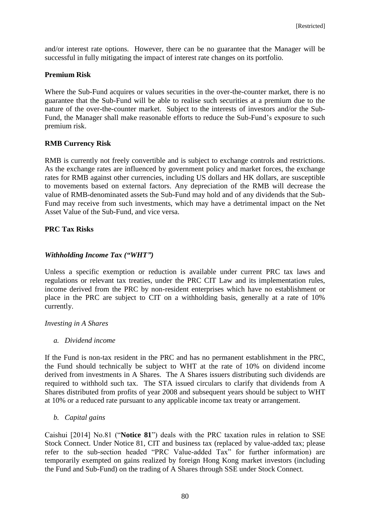and/or interest rate options. However, there can be no guarantee that the Manager will be successful in fully mitigating the impact of interest rate changes on its portfolio.

## **Premium Risk**

Where the Sub-Fund acquires or values securities in the over-the-counter market, there is no guarantee that the Sub-Fund will be able to realise such securities at a premium due to the nature of the over-the-counter market. Subject to the interests of investors and/or the Sub-Fund, the Manager shall make reasonable efforts to reduce the Sub-Fund's exposure to such premium risk.

### **RMB Currency Risk**

RMB is currently not freely convertible and is subject to exchange controls and restrictions. As the exchange rates are influenced by government policy and market forces, the exchange rates for RMB against other currencies, including US dollars and HK dollars, are susceptible to movements based on external factors. Any depreciation of the RMB will decrease the value of RMB-denominated assets the Sub-Fund may hold and of any dividends that the Sub-Fund may receive from such investments, which may have a detrimental impact on the Net Asset Value of the Sub-Fund, and vice versa.

# **PRC Tax Risks**

### *Withholding Income Tax ("WHT")*

Unless a specific exemption or reduction is available under current PRC tax laws and regulations or relevant tax treaties, under the PRC CIT Law and its implementation rules, income derived from the PRC by non-resident enterprises which have no establishment or place in the PRC are subject to CIT on a withholding basis, generally at a rate of 10% currently.

#### *Investing in A Shares*

*a. Dividend income* 

If the Fund is non-tax resident in the PRC and has no permanent establishment in the PRC, the Fund should technically be subject to WHT at the rate of 10% on dividend income derived from investments in A Shares. The A Shares issuers distributing such dividends are required to withhold such tax. The STA issued circulars to clarify that dividends from A Shares distributed from profits of year 2008 and subsequent years should be subject to WHT at 10% or a reduced rate pursuant to any applicable income tax treaty or arrangement.

#### *b. Capital gains*

Caishui [2014] No.81 ("**Notice 81**") deals with the PRC taxation rules in relation to SSE Stock Connect. Under Notice 81, CIT and business tax (replaced by value-added tax; please refer to the sub-section headed "PRC Value-added Tax" for further information) are temporarily exempted on gains realized by foreign Hong Kong market investors (including the Fund and Sub-Fund) on the trading of A Shares through SSE under Stock Connect.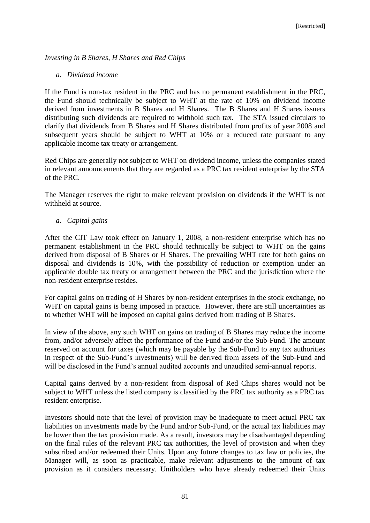## *Investing in B Shares, H Shares and Red Chips*

#### *a. Dividend income*

If the Fund is non-tax resident in the PRC and has no permanent establishment in the PRC, the Fund should technically be subject to WHT at the rate of 10% on dividend income derived from investments in B Shares and H Shares. The B Shares and H Shares issuers distributing such dividends are required to withhold such tax. The STA issued circulars to clarify that dividends from B Shares and H Shares distributed from profits of year 2008 and subsequent years should be subject to WHT at 10% or a reduced rate pursuant to any applicable income tax treaty or arrangement.

Red Chips are generally not subject to WHT on dividend income, unless the companies stated in relevant announcements that they are regarded as a PRC tax resident enterprise by the STA of the PRC.

The Manager reserves the right to make relevant provision on dividends if the WHT is not withheld at source.

#### *a. Capital gains*

After the CIT Law took effect on January 1, 2008, a non-resident enterprise which has no permanent establishment in the PRC should technically be subject to WHT on the gains derived from disposal of B Shares or H Shares. The prevailing WHT rate for both gains on disposal and dividends is 10%, with the possibility of reduction or exemption under an applicable double tax treaty or arrangement between the PRC and the jurisdiction where the non-resident enterprise resides.

For capital gains on trading of H Shares by non-resident enterprises in the stock exchange, no WHT on capital gains is being imposed in practice. However, there are still uncertainties as to whether WHT will be imposed on capital gains derived from trading of B Shares.

In view of the above, any such WHT on gains on trading of B Shares may reduce the income from, and/or adversely affect the performance of the Fund and/or the Sub-Fund. The amount reserved on account for taxes (which may be payable by the Sub-Fund to any tax authorities in respect of the Sub-Fund's investments) will be derived from assets of the Sub-Fund and will be disclosed in the Fund's annual audited accounts and unaudited semi-annual reports.

Capital gains derived by a non-resident from disposal of Red Chips shares would not be subject to WHT unless the listed company is classified by the PRC tax authority as a PRC tax resident enterprise.

Investors should note that the level of provision may be inadequate to meet actual PRC tax liabilities on investments made by the Fund and/or Sub-Fund, or the actual tax liabilities may be lower than the tax provision made. As a result, investors may be disadvantaged depending on the final rules of the relevant PRC tax authorities, the level of provision and when they subscribed and/or redeemed their Units. Upon any future changes to tax law or policies, the Manager will, as soon as practicable, make relevant adjustments to the amount of tax provision as it considers necessary. Unitholders who have already redeemed their Units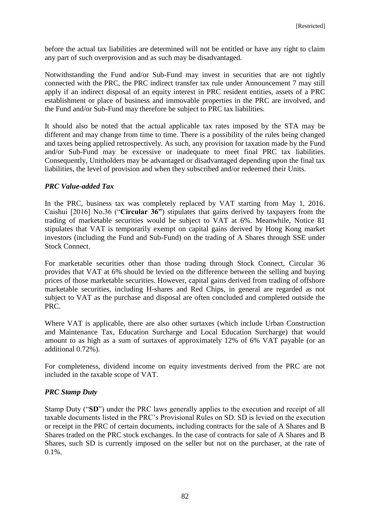before the actual tax liabilities are determined will not be entitled or have any right to claim any part of such overprovision and as such may be disadvantaged.

Notwithstanding the Fund and/or Sub-Fund may invest in securities that are not tightly connected with the PRC, the PRC indirect transfer tax rule under Announcement 7 may still apply if an indirect disposal of an equity interest in PRC resident entities, assets of a PRC establishment or place of business and immovable properties in the PRC are involved, and the Fund and/or Sub-Fund may therefore be subject to PRC tax liabilities.

It should also be noted that the actual applicable tax rates imposed by the STA may be different and may change from time to time. There is a possibility of the rules being changed and taxes being applied retrospectively. As such, any provision for taxation made by the Fund and/or Sub-Fund may be excessive or inadequate to meet final PRC tax liabilities. Consequently, Unitholders may be advantaged or disadvantaged depending upon the final tax liabilities, the level of provision and when they subscribed and/or redeemed their Units.

# *PRC Value-added Tax*

In the PRC, business tax was completely replaced by VAT starting from May 1, 2016. Caishui [2016] No.36 ("**Circular 36"**) stipulates that gains derived by taxpayers from the trading of marketable securities would be subject to VAT at 6%. Meanwhile, Notice 81 stipulates that VAT is temporarily exempt on capital gains derived by Hong Kong market investors (including the Fund and Sub-Fund) on the trading of A Shares through SSE under Stock Connect.

For marketable securities other than those trading through Stock Connect, Circular 36 provides that VAT at 6% should be levied on the difference between the selling and buying prices of those marketable securities. However, capital gains derived from trading of offshore marketable securities, including H-shares and Red Chips, in general are regarded as not subject to VAT as the purchase and disposal are often concluded and completed outside the PRC.

Where VAT is applicable, there are also other surtaxes (which include Urban Construction and Maintenance Tax, Education Surcharge and Local Education Surcharge) that would amount to as high as a sum of surtaxes of approximately 12% of 6% VAT payable (or an additional 0.72%).

For completeness, dividend income on equity investments derived from the PRC are not included in the taxable scope of VAT.

# *PRC Stamp Duty*

Stamp Duty ("**SD**") under the PRC laws generally applies to the execution and receipt of all taxable documents listed in the PRC's Provisional Rules on SD. SD is levied on the execution or receipt in the PRC of certain documents, including contracts for the sale of A Shares and B Shares traded on the PRC stock exchanges. In the case of contracts for sale of A Shares and B Shares, such SD is currently imposed on the seller but not on the purchaser, at the rate of 0.1%.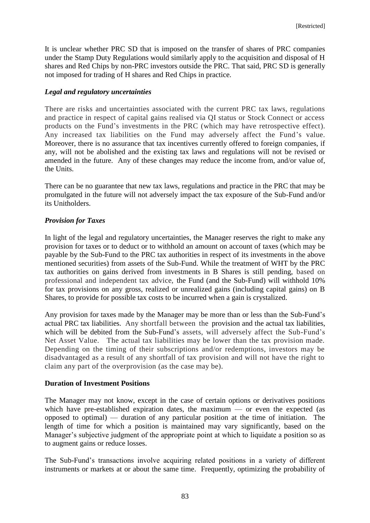It is unclear whether PRC SD that is imposed on the transfer of shares of PRC companies under the Stamp Duty Regulations would similarly apply to the acquisition and disposal of H shares and Red Chips by non-PRC investors outside the PRC. That said, PRC SD is generally not imposed for trading of H shares and Red Chips in practice.

### *Legal and regulatory uncertainties*

There are risks and uncertainties associated with the current PRC tax laws, regulations and practice in respect of capital gains realised via QI status or Stock Connect or access products on the Fund's investments in the PRC (which may have retrospective effect). Any increased tax liabilities on the Fund may adversely affect the Fund's value. Moreover, there is no assurance that tax incentives currently offered to foreign companies, if any, will not be abolished and the existing tax laws and regulations will not be revised or amended in the future. Any of these changes may reduce the income from, and/or value of, the Units.

There can be no guarantee that new tax laws, regulations and practice in the PRC that may be promulgated in the future will not adversely impact the tax exposure of the Sub-Fund and/or its Unitholders.

### *Provision for Taxes*

In light of the legal and regulatory uncertainties, the Manager reserves the right to make any provision for taxes or to deduct or to withhold an amount on account of taxes (which may be payable by the Sub-Fund to the PRC tax authorities in respect of its investments in the above mentioned securities) from assets of the Sub-Fund. While the treatment of WHT by the PRC tax authorities on gains derived from investments in B Shares is still pending, based on professional and independent tax advice, the Fund (and the Sub-Fund) will withhold 10% for tax provisions on any gross, realized or unrealized gains (including capital gains) on B Shares, to provide for possible tax costs to be incurred when a gain is crystalized.

Any provision for taxes made by the Manager may be more than or less than the Sub-Fund's actual PRC tax liabilities. Any shortfall between the provision and the actual tax liabilities, which will be debited from the Sub-Fund's assets, will adversely affect the Sub-Fund's Net Asset Value. The actual tax liabilities may be lower than the tax provision made. Depending on the timing of their subscriptions and/or redemptions, investors may be disadvantaged as a result of any shortfall of tax provision and will not have the right to claim any part of the overprovision (as the case may be).

#### **Duration of Investment Positions**

The Manager may not know, except in the case of certain options or derivatives positions which have pre-established expiration dates, the maximum — or even the expected (as opposed to optimal) — duration of any particular position at the time of initiation. The length of time for which a position is maintained may vary significantly, based on the Manager's subjective judgment of the appropriate point at which to liquidate a position so as to augment gains or reduce losses.

The Sub-Fund's transactions involve acquiring related positions in a variety of different instruments or markets at or about the same time. Frequently, optimizing the probability of